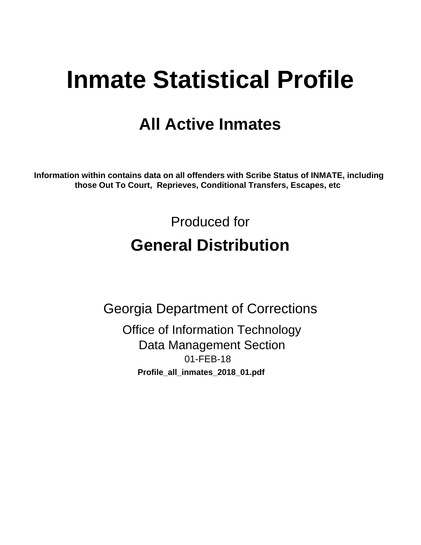# **Inmate Statistical Profile**

## **All Active Inmates**

Information within contains data on all offenders with Scribe Status of INMATE, including those Out To Court, Reprieves, Conditional Transfers, Escapes, etc

> Produced for **General Distribution**

**Georgia Department of Corrections Office of Information Technology Data Management Section** 01-FEB-18 Profile\_all\_inmates\_2018\_01.pdf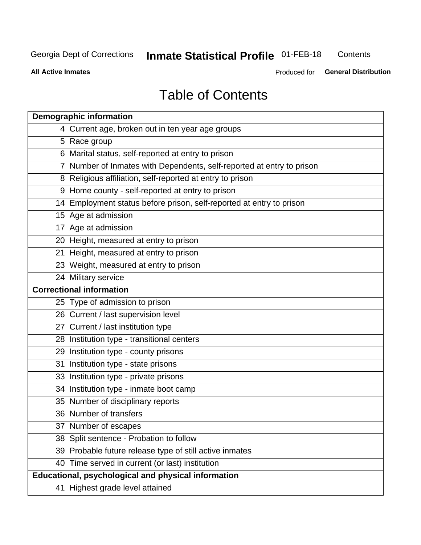#### **Inmate Statistical Profile 01-FEB-18** Contents

**All Active Inmates** 

Produced for General Distribution

## **Table of Contents**

|    | <b>Demographic information</b>                                        |
|----|-----------------------------------------------------------------------|
|    | 4 Current age, broken out in ten year age groups                      |
|    | 5 Race group                                                          |
|    | 6 Marital status, self-reported at entry to prison                    |
|    | 7 Number of Inmates with Dependents, self-reported at entry to prison |
|    | 8 Religious affiliation, self-reported at entry to prison             |
|    | 9 Home county - self-reported at entry to prison                      |
|    | 14 Employment status before prison, self-reported at entry to prison  |
|    | 15 Age at admission                                                   |
|    | 17 Age at admission                                                   |
|    | 20 Height, measured at entry to prison                                |
|    | 21 Height, measured at entry to prison                                |
|    | 23 Weight, measured at entry to prison                                |
|    | 24 Military service                                                   |
|    | <b>Correctional information</b>                                       |
|    | 25 Type of admission to prison                                        |
|    | 26 Current / last supervision level                                   |
|    | 27 Current / last institution type                                    |
|    | 28 Institution type - transitional centers                            |
|    | 29 Institution type - county prisons                                  |
| 31 | Institution type - state prisons                                      |
|    | 33 Institution type - private prisons                                 |
|    | 34 Institution type - inmate boot camp                                |
|    | 35 Number of disciplinary reports                                     |
|    | 36 Number of transfers                                                |
|    | 37 Number of escapes                                                  |
|    | 38 Split sentence - Probation to follow                               |
|    | 39 Probable future release type of still active inmates               |
|    | 40 Time served in current (or last) institution                       |
|    | <b>Educational, psychological and physical information</b>            |
|    | 41 Highest grade level attained                                       |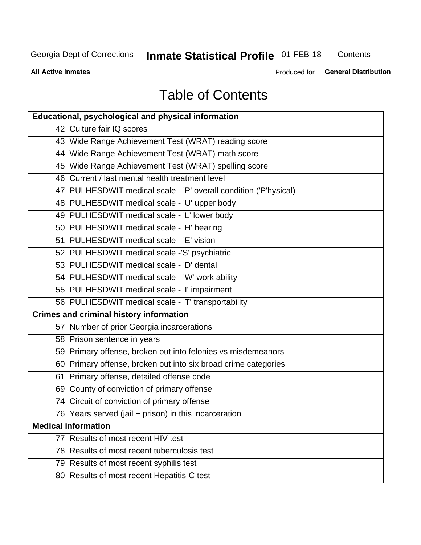## **Inmate Statistical Profile 01-FEB-18**

Contents

**All Active Inmates** 

Produced for General Distribution

## **Table of Contents**

| <b>Educational, psychological and physical information</b>       |
|------------------------------------------------------------------|
| 42 Culture fair IQ scores                                        |
| 43 Wide Range Achievement Test (WRAT) reading score              |
| 44 Wide Range Achievement Test (WRAT) math score                 |
| 45 Wide Range Achievement Test (WRAT) spelling score             |
| 46 Current / last mental health treatment level                  |
| 47 PULHESDWIT medical scale - 'P' overall condition ('P'hysical) |
| 48 PULHESDWIT medical scale - 'U' upper body                     |
| 49 PULHESDWIT medical scale - 'L' lower body                     |
| 50 PULHESDWIT medical scale - 'H' hearing                        |
| 51 PULHESDWIT medical scale - 'E' vision                         |
| 52 PULHESDWIT medical scale -'S' psychiatric                     |
| 53 PULHESDWIT medical scale - 'D' dental                         |
| 54 PULHESDWIT medical scale - 'W' work ability                   |
| 55 PULHESDWIT medical scale - 'I' impairment                     |
| 56 PULHESDWIT medical scale - 'T' transportability               |
| <b>Crimes and criminal history information</b>                   |
| 57 Number of prior Georgia incarcerations                        |
| 58 Prison sentence in years                                      |
| 59 Primary offense, broken out into felonies vs misdemeanors     |
| 60 Primary offense, broken out into six broad crime categories   |
| 61 Primary offense, detailed offense code                        |
| 69 County of conviction of primary offense                       |
| 74 Circuit of conviction of primary offense                      |
| 76 Years served (jail + prison) in this incarceration            |
| <b>Medical information</b>                                       |
| 77 Results of most recent HIV test                               |
| 78 Results of most recent tuberculosis test                      |
| 79 Results of most recent syphilis test                          |
| 80 Results of most recent Hepatitis-C test                       |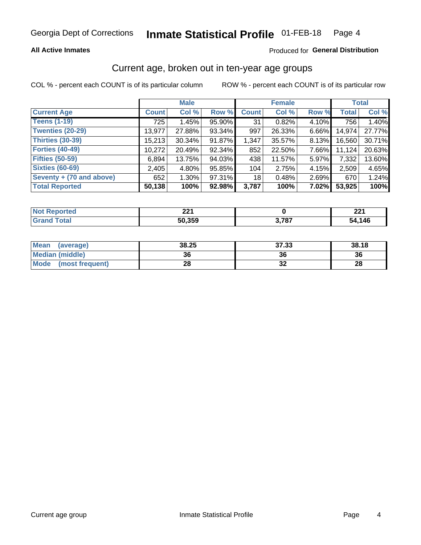#### **All Active Inmates**

#### Produced for General Distribution

### Current age, broken out in ten-year age groups

COL % - percent each COUNT is of its particular column

|                          | <b>Male</b>  |          |        | <b>Female</b> |        |          | <b>Total</b> |        |
|--------------------------|--------------|----------|--------|---------------|--------|----------|--------------|--------|
| <b>Current Age</b>       | <b>Count</b> | Col %    | Row %  | <b>Count</b>  | Col %  | Row %    | <b>Total</b> | Col %  |
| <b>Teens (1-19)</b>      | 725          | 1.45%    | 95.90% | 31            | 0.82%  | 4.10%    | 756          | 1.40%  |
| <b>Twenties (20-29)</b>  | 13,977       | 27.88%   | 93.34% | 997           | 26.33% | 6.66%    | 14,974       | 27.77% |
| Thirties (30-39)         | 15,213       | 30.34%   | 91.87% | 1,347         | 35.57% | $8.13\%$ | 16,560       | 30.71% |
| <b>Forties (40-49)</b>   | 10,272       | 20.49%   | 92.34% | 852           | 22.50% | 7.66%    | 11,124       | 20.63% |
| <b>Fifties (50-59)</b>   | 6,894        | 13.75%   | 94.03% | 438           | 11.57% | 5.97%    | 7,332        | 13.60% |
| <b>Sixties (60-69)</b>   | 2,405        | 4.80%    | 95.85% | 104           | 2.75%  | 4.15%    | 2.509        | 4.65%  |
| Seventy + (70 and above) | 652          | $1.30\%$ | 97.31% | 18            | 0.48%  | $2.69\%$ | 670          | 1.24%  |
| <b>Total Reported</b>    | 50,138       | 100%     | 92.98% | 3,787         | 100%   | 7.02%    | 53,925       | 100%   |

| <b>NOT</b>        | ימה    |       | י הה   |
|-------------------|--------|-------|--------|
| τeα               | 44 I   |       | 44 I   |
| $T \cap A \cap T$ | 50,359 | דסד נ | 54,146 |

| <b>Mean</b><br>(average) | 38.25 | 37.33 | 38.18 |
|--------------------------|-------|-------|-------|
| Median (middle)          | 36    | 36    | 36    |
| Mode<br>(most frequent)  | 28    | ◡▵    | 28    |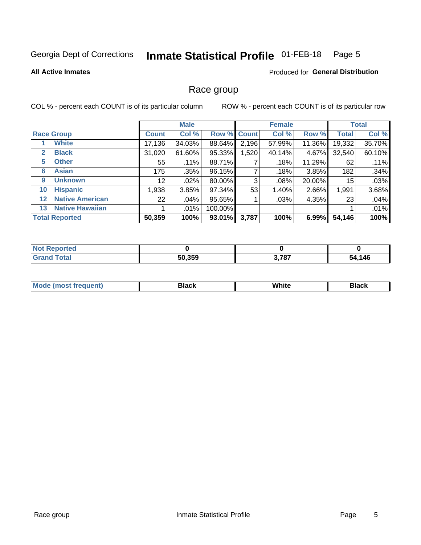#### Inmate Statistical Profile 01-FEB-18 Page 5

#### **All Active Inmates**

#### **Produced for General Distribution**

#### Race group

COL % - percent each COUNT is of its particular column

|              |                        |                 | <b>Male</b> |           |             | <b>Female</b> |        |              | <b>Total</b> |  |
|--------------|------------------------|-----------------|-------------|-----------|-------------|---------------|--------|--------------|--------------|--|
|              | <b>Race Group</b>      | <b>Count</b>    | Col %       |           | Row % Count | Col %         | Row %  | <b>Total</b> | Col %        |  |
|              | <b>White</b>           | 17,136          | 34.03%      | 88.64%    | 2,196       | 57.99%        | 11.36% | 19,332       | 35.70%       |  |
| $\mathbf{2}$ | <b>Black</b>           | 31,020          | 61.60%      | 95.33%    | 1,520       | 40.14%        | 4.67%  | 32,540       | 60.10%       |  |
| 5.           | <b>Other</b>           | 55              | .11%        | 88.71%    |             | .18%          | 11.29% | 62           | .11%         |  |
| 6            | <b>Asian</b>           | 175             | .35%        | 96.15%    |             | .18%          | 3.85%  | 182          | .34%         |  |
| 9            | <b>Unknown</b>         | 12 <sub>1</sub> | $.02\%$     | 80.00%    | 3           | .08%          | 20.00% | 15           | .03%         |  |
| 10           | <b>Hispanic</b>        | .938            | 3.85%       | 97.34%    | 53          | $1.40\%$      | 2.66%  | 1,991        | 3.68%        |  |
| $12 \,$      | <b>Native American</b> | 22              | .04%        | 95.65%    |             | $.03\%$       | 4.35%  | 23           | .04%         |  |
| 13           | <b>Native Hawaiian</b> |                 | $.01\%$     | 100.00%   |             |               |        |              | .01%         |  |
|              | <b>Total Reported</b>  | 50,359          | 100%        | $93.01\%$ | 3,787       | 100%          | 6.99%  | 54,146       | 100%         |  |

| <b>orted</b><br>w |        |       |             |
|-------------------|--------|-------|-------------|
| <b>otal</b>       | 50,359 | 3,787 | ,146<br>54. |

| <b>Mode</b><br>---<br>most frequent) | Black | White | <b>Black</b> |
|--------------------------------------|-------|-------|--------------|
|                                      |       |       |              |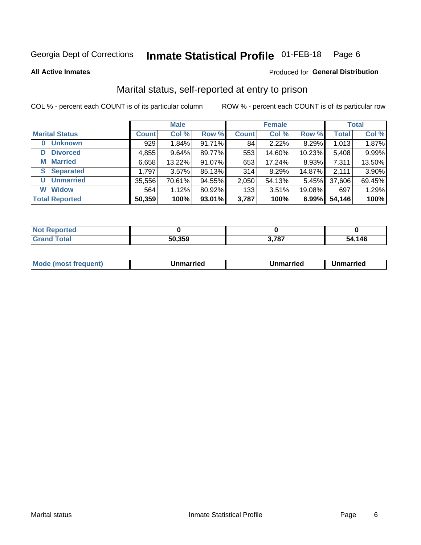#### **Inmate Statistical Profile 01-FEB-18** Page 6

**All Active Inmates** 

#### Produced for General Distribution

### Marital status, self-reported at entry to prison

COL % - percent each COUNT is of its particular column

|                            | <b>Male</b>  |        |           |              | <b>Female</b> | <b>Total</b> |              |        |
|----------------------------|--------------|--------|-----------|--------------|---------------|--------------|--------------|--------|
| <b>Marital Status</b>      | <b>Count</b> | Col %  | Row %     | <b>Count</b> | Col %         | Row %        | <b>Total</b> | Col %  |
| <b>Unknown</b><br>$\bf{0}$ | 929          | 1.84%  | $91.71\%$ | 84           | 2.22%         | 8.29%        | 1,013        | 1.87%  |
| <b>Divorced</b><br>D       | 4,855        | 9.64%  | 89.77%    | 553          | 14.60%        | 10.23%       | 5,408        | 9.99%  |
| <b>Married</b><br>М        | 6,658        | 13.22% | 91.07%    | 653          | 17.24%        | 8.93%        | 7,311        | 13.50% |
| <b>Separated</b><br>S.     | 1,797        | 3.57%  | 85.13%    | 314          | 8.29%         | 14.87%       | 2,111        | 3.90%  |
| <b>Unmarried</b><br>U      | 35,556       | 70.61% | 94.55%    | 2,050        | 54.13%        | 5.45%        | 37,606       | 69.45% |
| <b>Widow</b><br>W          | 564          | 1.12%  | 80.92%    | 133          | 3.51%         | 19.08%       | 697          | 1.29%  |
| <b>Total Reported</b>      | 50,359       | 100%   | 93.01%    | 3,787        | 100%          | 6.99%        | 54,146       | 100%   |

| ----<br>A CHO<br>NO |        |                        |             |
|---------------------|--------|------------------------|-------------|
| $\sim$ 100          | 50,359 | - 2070<br>$J, I$ O $I$ | .146<br>-54 |

|--|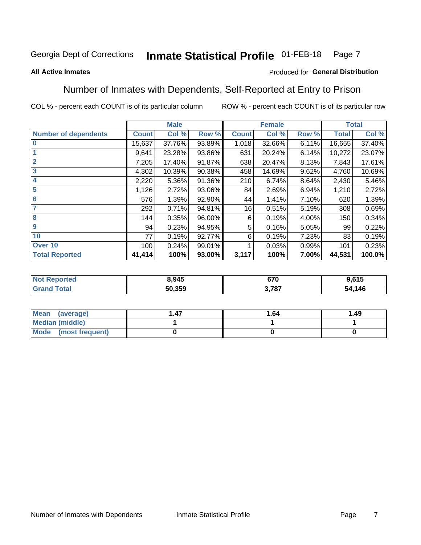#### **Inmate Statistical Profile 01-FEB-18** Page 7

#### **All Active Inmates**

#### Produced for General Distribution

### Number of Inmates with Dependents, Self-Reported at Entry to Prison

COL % - percent each COUNT is of its particular column

|                             |              | <b>Male</b> |        |              | <b>Female</b> |       |              | <b>Total</b> |
|-----------------------------|--------------|-------------|--------|--------------|---------------|-------|--------------|--------------|
| <b>Number of dependents</b> | <b>Count</b> | Col %       | Row %  | <b>Count</b> | Col %         | Row % | <b>Total</b> | Col %        |
| l 0                         | 15,637       | 37.76%      | 93.89% | 1,018        | 32.66%        | 6.11% | 16,655       | 37.40%       |
|                             | 9,641        | 23.28%      | 93.86% | 631          | 20.24%        | 6.14% | 10,272       | 23.07%       |
| $\overline{2}$              | 7,205        | 17.40%      | 91.87% | 638          | 20.47%        | 8.13% | 7,843        | 17.61%       |
| $\overline{\mathbf{3}}$     | 4,302        | 10.39%      | 90.38% | 458          | 14.69%        | 9.62% | 4,760        | 10.69%       |
| 4                           | 2,220        | 5.36%       | 91.36% | 210          | 6.74%         | 8.64% | 2,430        | 5.46%        |
| $\overline{\mathbf{5}}$     | 1,126        | 2.72%       | 93.06% | 84           | 2.69%         | 6.94% | 1,210        | 2.72%        |
| 6                           | 576          | 1.39%       | 92.90% | 44           | 1.41%         | 7.10% | 620          | 1.39%        |
| 7                           | 292          | 0.71%       | 94.81% | 16           | 0.51%         | 5.19% | 308          | 0.69%        |
| $\overline{\mathbf{8}}$     | 144          | 0.35%       | 96.00% | 6            | 0.19%         | 4.00% | 150          | 0.34%        |
| 9                           | 94           | 0.23%       | 94.95% | 5            | 0.16%         | 5.05% | 99           | 0.22%        |
| 10                          | 77           | 0.19%       | 92.77% | 6            | 0.19%         | 7.23% | 83           | 0.19%        |
| Over 10                     | 100          | 0.24%       | 99.01% |              | 0.03%         | 0.99% | 101          | 0.23%        |
| <b>Total Reported</b>       | 41,414       | 100%        | 93.00% | 3,117        | 100%          | 7.00% | 44,531       | 100.0%       |

| N | 3,945  | 670<br>97 U | 615<br>.o 13 |
|---|--------|-------------|--------------|
|   | 50.359 | 707         | 146<br>54    |

| Mean (average)         | 1.64 | 1.49 |
|------------------------|------|------|
| <b>Median (middle)</b> |      |      |
| Mode (most frequent)   |      |      |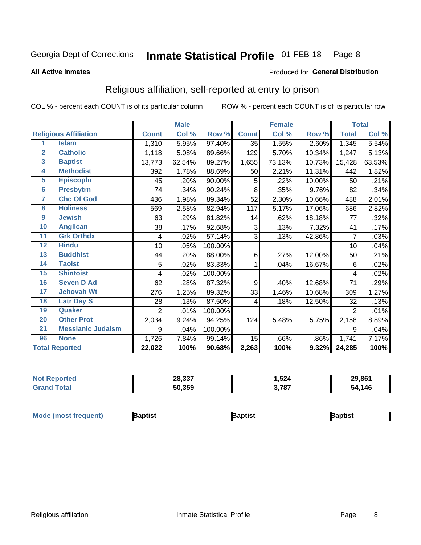#### Inmate Statistical Profile 01-FEB-18 Page 8

#### **All Active Inmates**

#### Produced for General Distribution

### Religious affiliation, self-reported at entry to prison

COL % - percent each COUNT is of its particular column

|                |                              |                | <b>Male</b> |         |              | <b>Female</b> |        |                     | <b>Total</b> |
|----------------|------------------------------|----------------|-------------|---------|--------------|---------------|--------|---------------------|--------------|
|                | <b>Religious Affiliation</b> | <b>Count</b>   | Col %       | Row %   | <b>Count</b> | Col %         | Row %  | <b>Total</b>        | Col %        |
| 1              | <b>Islam</b>                 | 1,310          | 5.95%       | 97.40%  | 35           | 1.55%         | 2.60%  | 1,345               | 5.54%        |
| $\overline{2}$ | <b>Catholic</b>              | 1,118          | 5.08%       | 89.66%  | 129          | 5.70%         | 10.34% | 1,247               | 5.13%        |
| 3              | <b>Baptist</b>               | 13,773         | 62.54%      | 89.27%  | 1,655        | 73.13%        | 10.73% | 15,428              | 63.53%       |
| 4              | <b>Methodist</b>             | 392            | 1.78%       | 88.69%  | 50           | 2.21%         | 11.31% | 442                 | 1.82%        |
| 5              | <b>EpiscopIn</b>             | 45             | .20%        | 90.00%  | 5            | .22%          | 10.00% | 50                  | .21%         |
| 6              | <b>Presbytrn</b>             | 74             | .34%        | 90.24%  | 8            | .35%          | 9.76%  | 82                  | .34%         |
| 7              | <b>Chc Of God</b>            | 436            | 1.98%       | 89.34%  | 52           | 2.30%         | 10.66% | 488                 | 2.01%        |
| 8              | <b>Holiness</b>              | 569            | 2.58%       | 82.94%  | 117          | 5.17%         | 17.06% | 686                 | 2.82%        |
| 9              | <b>Jewish</b>                | 63             | .29%        | 81.82%  | 14           | .62%          | 18.18% | 77                  | .32%         |
| 10             | <b>Anglican</b>              | 38             | .17%        | 92.68%  | 3            | .13%          | 7.32%  | 41                  | .17%         |
| 11             | <b>Grk Orthdx</b>            | 4              | .02%        | 57.14%  | 3            | .13%          | 42.86% | 7                   | .03%         |
| 12             | <b>Hindu</b>                 | 10             | .05%        | 100.00% |              |               |        | 10                  | .04%         |
| 13             | <b>Buddhist</b>              | 44             | .20%        | 88.00%  | 6            | .27%          | 12.00% | 50                  | .21%         |
| 14             | <b>Taoist</b>                | 5              | .02%        | 83.33%  | 1            | .04%          | 16.67% | 6                   | .02%         |
| 15             | <b>Shintoist</b>             | 4              | .02%        | 100.00% |              |               |        | 4                   | .02%         |
| 16             | <b>Seven D Ad</b>            | 62             | .28%        | 87.32%  | 9            | .40%          | 12.68% | 71                  | .29%         |
| 17             | <b>Jehovah Wt</b>            | 276            | 1.25%       | 89.32%  | 33           | 1.46%         | 10.68% | 309                 | 1.27%        |
| 18             | <b>Latr Day S</b>            | 28             | .13%        | 87.50%  | 4            | .18%          | 12.50% | 32                  | .13%         |
| 19             | Quaker                       | $\overline{2}$ | .01%        | 100.00% |              |               |        | 2                   | .01%         |
| 20             | <b>Other Prot</b>            | 2,034          | 9.24%       | 94.25%  | 124          | 5.48%         | 5.75%  | 2,158               | 8.89%        |
| 21             | <b>Messianic Judaism</b>     | 9              | .04%        | 100.00% |              |               |        | 9                   | .04%         |
| 96             | <b>None</b>                  | 1,726          | 7.84%       | 99.14%  | 15           | .66%          | .86%   | 1,741               | 7.17%        |
|                | <b>Total Reported</b>        | 22,022         | 100%        | 90.68%  | 2,263        | 100%          | 9.32%  | $\overline{24,}285$ | 100%         |

| 28,337 | ,524  | 29,861      |
|--------|-------|-------------|
| 50,359 | 3,787 | 4,146<br>54 |

| Baptist<br>Japtist<br>Baptist | <b>Mode (most frequent)</b> |  |  |  |
|-------------------------------|-----------------------------|--|--|--|
|-------------------------------|-----------------------------|--|--|--|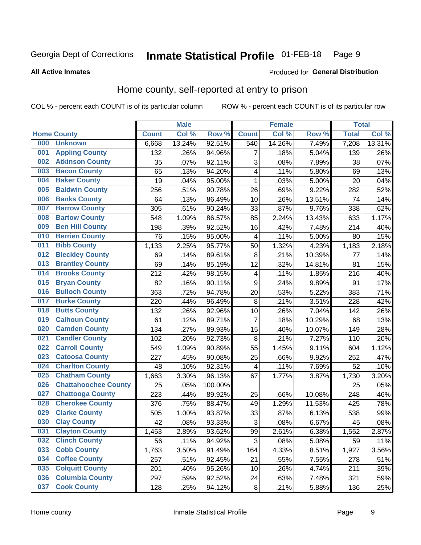#### Inmate Statistical Profile 01-FEB-18 Page 9

#### **All Active Inmates**

#### Produced for General Distribution

### Home county, self-reported at entry to prison

COL % - percent each COUNT is of its particular column

|     |                             |              | <b>Male</b> |                  |                  | <b>Female</b> |        | <b>Total</b> |        |
|-----|-----------------------------|--------------|-------------|------------------|------------------|---------------|--------|--------------|--------|
|     | <b>Home County</b>          | <b>Count</b> | Col %       | Row <sup>%</sup> | <b>Count</b>     | Col %         | Row %  | <b>Total</b> | Col %  |
| 000 | <b>Unknown</b>              | 6,668        | 13.24%      | 92.51%           | 540              | 14.26%        | 7.49%  | 7,208        | 13.31% |
| 001 | <b>Appling County</b>       | 132          | .26%        | 94.96%           | 7                | .18%          | 5.04%  | 139          | .26%   |
| 002 | <b>Atkinson County</b>      | 35           | .07%        | 92.11%           | 3                | .08%          | 7.89%  | 38           | .07%   |
| 003 | <b>Bacon County</b>         | 65           | .13%        | 94.20%           | 4                | .11%          | 5.80%  | 69           | .13%   |
| 004 | <b>Baker County</b>         | 19           | .04%        | 95.00%           | $\mathbf{1}$     | .03%          | 5.00%  | 20           | .04%   |
| 005 | <b>Baldwin County</b>       | 256          | .51%        | 90.78%           | 26               | .69%          | 9.22%  | 282          | .52%   |
| 006 | <b>Banks County</b>         | 64           | .13%        | 86.49%           | 10               | .26%          | 13.51% | 74           | .14%   |
| 007 | <b>Barrow County</b>        | 305          | .61%        | 90.24%           | 33               | .87%          | 9.76%  | 338          | .62%   |
| 008 | <b>Bartow County</b>        | 548          | 1.09%       | 86.57%           | 85               | 2.24%         | 13.43% | 633          | 1.17%  |
| 009 | <b>Ben Hill County</b>      | 198          | .39%        | 92.52%           | 16               | .42%          | 7.48%  | 214          | .40%   |
| 010 | <b>Berrien County</b>       | 76           | .15%        | 95.00%           | 4                | .11%          | 5.00%  | 80           | .15%   |
| 011 | <b>Bibb County</b>          | 1,133        | 2.25%       | 95.77%           | 50               | 1.32%         | 4.23%  | 1,183        | 2.18%  |
| 012 | <b>Bleckley County</b>      | 69           | .14%        | 89.61%           | 8                | .21%          | 10.39% | 77           | .14%   |
| 013 | <b>Brantley County</b>      | 69           | .14%        | 85.19%           | 12               | .32%          | 14.81% | 81           | .15%   |
| 014 | <b>Brooks County</b>        | 212          | .42%        | 98.15%           | $\overline{4}$   | .11%          | 1.85%  | 216          | .40%   |
| 015 | <b>Bryan County</b>         | 82           | .16%        | 90.11%           | $\boldsymbol{9}$ | .24%          | 9.89%  | 91           | .17%   |
| 016 | <b>Bulloch County</b>       | 363          | .72%        | 94.78%           | 20               | .53%          | 5.22%  | 383          | .71%   |
| 017 | <b>Burke County</b>         | 220          | .44%        | 96.49%           | 8                | .21%          | 3.51%  | 228          | .42%   |
| 018 | <b>Butts County</b>         | 132          | .26%        | 92.96%           | 10               | .26%          | 7.04%  | 142          | .26%   |
| 019 | <b>Calhoun County</b>       | 61           | .12%        | 89.71%           | $\overline{7}$   | .18%          | 10.29% | 68           | .13%   |
| 020 | <b>Camden County</b>        | 134          | .27%        | 89.93%           | 15               | .40%          | 10.07% | 149          | .28%   |
| 021 | <b>Candler County</b>       | 102          | .20%        | 92.73%           | 8                | .21%          | 7.27%  | 110          | .20%   |
| 022 | <b>Carroll County</b>       | 549          | 1.09%       | 90.89%           | 55               | 1.45%         | 9.11%  | 604          | 1.12%  |
| 023 | <b>Catoosa County</b>       | 227          | .45%        | 90.08%           | 25               | .66%          | 9.92%  | 252          | .47%   |
| 024 | <b>Charlton County</b>      | 48           | .10%        | 92.31%           | 4                | .11%          | 7.69%  | 52           | .10%   |
| 025 | <b>Chatham County</b>       | 1,663        | 3.30%       | 96.13%           | 67               | 1.77%         | 3.87%  | 1,730        | 3.20%  |
| 026 | <b>Chattahoochee County</b> | 25           | .05%        | 100.00%          |                  |               |        | 25           | .05%   |
| 027 | <b>Chattooga County</b>     | 223          | .44%        | 89.92%           | 25               | .66%          | 10.08% | 248          | .46%   |
| 028 | <b>Cherokee County</b>      | 376          | .75%        | 88.47%           | 49               | 1.29%         | 11.53% | 425          | .78%   |
| 029 | <b>Clarke County</b>        | 505          | 1.00%       | 93.87%           | 33               | .87%          | 6.13%  | 538          | .99%   |
| 030 | <b>Clay County</b>          | 42           | .08%        | 93.33%           | $\overline{3}$   | .08%          | 6.67%  | 45           | .08%   |
| 031 | <b>Clayton County</b>       | 1,453        | 2.89%       | 93.62%           | 99               | 2.61%         | 6.38%  | 1,552        | 2.87%  |
| 032 | <b>Clinch County</b>        | 56           | .11%        | 94.92%           | 3                | .08%          | 5.08%  | 59           | .11%   |
| 033 | <b>Cobb County</b>          | 1,763        | 3.50%       | 91.49%           | 164              | 4.33%         | 8.51%  | 1,927        | 3.56%  |
| 034 | <b>Coffee County</b>        | 257          | .51%        | 92.45%           | 21               | .55%          | 7.55%  | 278          | .51%   |
| 035 | <b>Colquitt County</b>      | 201          | .40%        | 95.26%           | 10               | .26%          | 4.74%  | 211          | .39%   |
| 036 | <b>Columbia County</b>      | 297          | .59%        | 92.52%           | 24               | .63%          | 7.48%  | 321          | .59%   |
| 037 | <b>Cook County</b>          | 128          | .25%        | 94.12%           | $\bf 8$          | .21%          | 5.88%  | 136          | .25%   |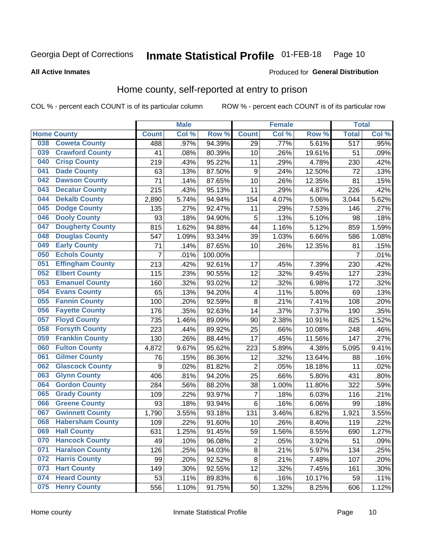#### Inmate Statistical Profile 01-FEB-18 Page 10

**All Active Inmates** 

#### Produced for General Distribution

### Home county, self-reported at entry to prison

COL % - percent each COUNT is of its particular column

|     |                         |              | <b>Male</b> |         |                  | <b>Female</b> |        | <b>Total</b>     |       |
|-----|-------------------------|--------------|-------------|---------|------------------|---------------|--------|------------------|-------|
|     | <b>Home County</b>      | <b>Count</b> | Col %       | Row %   | <b>Count</b>     | Col %         | Row %  | <b>Total</b>     | Col % |
| 038 | <b>Coweta County</b>    | 488          | .97%        | 94.39%  | 29               | .77%          | 5.61%  | $\overline{517}$ | .95%  |
| 039 | <b>Crawford County</b>  | 41           | .08%        | 80.39%  | 10               | .26%          | 19.61% | 51               | .09%  |
| 040 | <b>Crisp County</b>     | 219          | .43%        | 95.22%  | 11               | .29%          | 4.78%  | 230              | .42%  |
| 041 | <b>Dade County</b>      | 63           | .13%        | 87.50%  | $\boldsymbol{9}$ | .24%          | 12.50% | 72               | .13%  |
| 042 | <b>Dawson County</b>    | 71           | .14%        | 87.65%  | 10               | .26%          | 12.35% | 81               | .15%  |
| 043 | <b>Decatur County</b>   | 215          | .43%        | 95.13%  | 11               | .29%          | 4.87%  | 226              | .42%  |
| 044 | <b>Dekalb County</b>    | 2,890        | 5.74%       | 94.94%  | 154              | 4.07%         | 5.06%  | 3,044            | 5.62% |
| 045 | <b>Dodge County</b>     | 135          | .27%        | 92.47%  | 11               | .29%          | 7.53%  | 146              | .27%  |
| 046 | <b>Dooly County</b>     | 93           | .18%        | 94.90%  | 5                | .13%          | 5.10%  | 98               | .18%  |
| 047 | <b>Dougherty County</b> | 815          | 1.62%       | 94.88%  | 44               | 1.16%         | 5.12%  | 859              | 1.59% |
| 048 | <b>Douglas County</b>   | 547          | 1.09%       | 93.34%  | 39               | 1.03%         | 6.66%  | 586              | 1.08% |
| 049 | <b>Early County</b>     | 71           | .14%        | 87.65%  | 10               | .26%          | 12.35% | 81               | .15%  |
| 050 | <b>Echols County</b>    | 7            | .01%        | 100.00% |                  |               |        | $\overline{7}$   | .01%  |
| 051 | <b>Effingham County</b> | 213          | .42%        | 92.61%  | 17               | .45%          | 7.39%  | 230              | .42%  |
| 052 | <b>Elbert County</b>    | 115          | .23%        | 90.55%  | 12               | .32%          | 9.45%  | 127              | .23%  |
| 053 | <b>Emanuel County</b>   | 160          | .32%        | 93.02%  | 12               | .32%          | 6.98%  | 172              | .32%  |
| 054 | <b>Evans County</b>     | 65           | .13%        | 94.20%  | 4                | .11%          | 5.80%  | 69               | .13%  |
| 055 | <b>Fannin County</b>    | 100          | .20%        | 92.59%  | 8                | .21%          | 7.41%  | 108              | .20%  |
| 056 | <b>Fayette County</b>   | 176          | .35%        | 92.63%  | 14               | .37%          | 7.37%  | 190              | .35%  |
| 057 | <b>Floyd County</b>     | 735          | 1.46%       | 89.09%  | 90               | 2.38%         | 10.91% | 825              | 1.52% |
| 058 | <b>Forsyth County</b>   | 223          | .44%        | 89.92%  | 25               | .66%          | 10.08% | 248              | .46%  |
| 059 | <b>Franklin County</b>  | 130          | .26%        | 88.44%  | 17               | .45%          | 11.56% | 147              | .27%  |
| 060 | <b>Fulton County</b>    | 4,872        | 9.67%       | 95.62%  | 223              | 5.89%         | 4.38%  | 5,095            | 9.41% |
| 061 | <b>Gilmer County</b>    | 76           | .15%        | 86.36%  | 12               | .32%          | 13.64% | 88               | .16%  |
| 062 | <b>Glascock County</b>  | 9            | .02%        | 81.82%  | $\overline{2}$   | .05%          | 18.18% | 11               | .02%  |
| 063 | <b>Glynn County</b>     | 406          | .81%        | 94.20%  | 25               | .66%          | 5.80%  | 431              | .80%  |
| 064 | <b>Gordon County</b>    | 284          | .56%        | 88.20%  | 38               | 1.00%         | 11.80% | 322              | .59%  |
| 065 | <b>Grady County</b>     | 109          | .22%        | 93.97%  | $\overline{7}$   | .18%          | 6.03%  | 116              | .21%  |
| 066 | <b>Greene County</b>    | 93           | .18%        | 93.94%  | $\,6$            | .16%          | 6.06%  | 99               | .18%  |
| 067 | <b>Gwinnett County</b>  | 1,790        | 3.55%       | 93.18%  | 131              | 3.46%         | 6.82%  | 1,921            | 3.55% |
| 068 | <b>Habersham County</b> | 109          | .22%        | 91.60%  | 10               | .26%          | 8.40%  | 119              | .22%  |
| 069 | <b>Hall County</b>      | 631          | 1.25%       | 91.45%  | 59               | 1.56%         | 8.55%  | 690              | 1.27% |
| 070 | <b>Hancock County</b>   | 49           | .10%        | 96.08%  | $\mathbf 2$      | .05%          | 3.92%  | 51               | .09%  |
| 071 | <b>Haralson County</b>  | 126          | .25%        | 94.03%  | $\bf 8$          | .21%          | 5.97%  | 134              | .25%  |
| 072 | <b>Harris County</b>    | 99           | .20%        | 92.52%  | $\bf 8$          | .21%          | 7.48%  | 107              | .20%  |
| 073 | <b>Hart County</b>      | 149          | .30%        | 92.55%  | 12               | .32%          | 7.45%  | 161              | .30%  |
| 074 | <b>Heard County</b>     | 53           | .11%        | 89.83%  | 6                | .16%          | 10.17% | 59               | .11%  |
| 075 | <b>Henry County</b>     | 556          | 1.10%       | 91.75%  | 50               | 1.32%         | 8.25%  | 606              | 1.12% |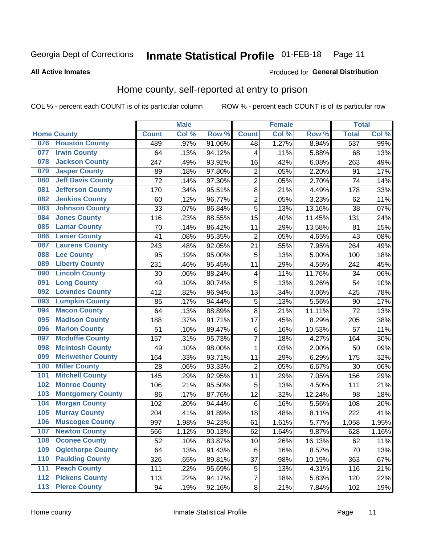#### **Inmate Statistical Profile 01-FEB-18** Page 11

Produced for General Distribution

#### **All Active Inmates**

### Home county, self-reported at entry to prison

COL % - percent each COUNT is of its particular column

|     |                          |              | <b>Male</b> |        |                | <b>Female</b> |        | <b>Total</b>     |       |
|-----|--------------------------|--------------|-------------|--------|----------------|---------------|--------|------------------|-------|
|     | <b>Home County</b>       | <b>Count</b> | Col %       | Row %  | <b>Count</b>   | Col %         | Row %  | <b>Total</b>     | Col%  |
| 076 | <b>Houston County</b>    | 489          | .97%        | 91.06% | 48             | 1.27%         | 8.94%  | $\overline{537}$ | .99%  |
| 077 | <b>Irwin County</b>      | 64           | .13%        | 94.12% | 4              | .11%          | 5.88%  | 68               | .13%  |
| 078 | <b>Jackson County</b>    | 247          | .49%        | 93.92% | 16             | .42%          | 6.08%  | 263              | .49%  |
| 079 | <b>Jasper County</b>     | 89           | .18%        | 97.80% | $\mathbf 2$    | .05%          | 2.20%  | 91               | .17%  |
| 080 | <b>Jeff Davis County</b> | 72           | .14%        | 97.30% | $\overline{2}$ | .05%          | 2.70%  | 74               | .14%  |
| 081 | <b>Jefferson County</b>  | 170          | .34%        | 95.51% | 8              | .21%          | 4.49%  | 178              | .33%  |
| 082 | <b>Jenkins County</b>    | 60           | .12%        | 96.77% | $\overline{2}$ | .05%          | 3.23%  | 62               | .11%  |
| 083 | <b>Johnson County</b>    | 33           | .07%        | 86.84% | 5              | .13%          | 13.16% | 38               | .07%  |
| 084 | <b>Jones County</b>      | 116          | .23%        | 88.55% | 15             | .40%          | 11.45% | 131              | .24%  |
| 085 | <b>Lamar County</b>      | 70           | .14%        | 86.42% | 11             | .29%          | 13.58% | 81               | .15%  |
| 086 | <b>Lanier County</b>     | 41           | .08%        | 95.35% | $\mathbf 2$    | .05%          | 4.65%  | 43               | .08%  |
| 087 | <b>Laurens County</b>    | 243          | .48%        | 92.05% | 21             | .55%          | 7.95%  | 264              | .49%  |
| 088 | <b>Lee County</b>        | 95           | .19%        | 95.00% | 5              | .13%          | 5.00%  | 100              | .18%  |
| 089 | <b>Liberty County</b>    | 231          | .46%        | 95.45% | 11             | .29%          | 4.55%  | 242              | .45%  |
| 090 | <b>Lincoln County</b>    | 30           | .06%        | 88.24% | 4              | .11%          | 11.76% | 34               | .06%  |
| 091 | <b>Long County</b>       | 49           | .10%        | 90.74% | 5              | .13%          | 9.26%  | 54               | .10%  |
| 092 | <b>Lowndes County</b>    | 412          | .82%        | 96.94% | 13             | .34%          | 3.06%  | 425              | .78%  |
| 093 | <b>Lumpkin County</b>    | 85           | .17%        | 94.44% | 5              | .13%          | 5.56%  | 90               | .17%  |
| 094 | <b>Macon County</b>      | 64           | .13%        | 88.89% | 8              | .21%          | 11.11% | $\overline{72}$  | .13%  |
| 095 | <b>Madison County</b>    | 188          | .37%        | 91.71% | 17             | .45%          | 8.29%  | 205              | .38%  |
| 096 | <b>Marion County</b>     | 51           | .10%        | 89.47% | 6              | .16%          | 10.53% | 57               | .11%  |
| 097 | <b>Mcduffie County</b>   | 157          | .31%        | 95.73% | 7              | .18%          | 4.27%  | 164              | .30%  |
| 098 | <b>Mcintosh County</b>   | 49           | .10%        | 98.00% | $\mathbf{1}$   | .03%          | 2.00%  | 50               | .09%  |
| 099 | <b>Meriwether County</b> | 164          | .33%        | 93.71% | 11             | .29%          | 6.29%  | 175              | .32%  |
| 100 | <b>Miller County</b>     | 28           | .06%        | 93.33% | $\overline{2}$ | .05%          | 6.67%  | 30               | .06%  |
| 101 | <b>Mitchell County</b>   | 145          | .29%        | 92.95% | 11             | .29%          | 7.05%  | 156              | .29%  |
| 102 | <b>Monroe County</b>     | 106          | .21%        | 95.50% | 5              | .13%          | 4.50%  | 111              | .21%  |
| 103 | <b>Montgomery County</b> | 86           | .17%        | 87.76% | 12             | .32%          | 12.24% | 98               | .18%  |
| 104 | <b>Morgan County</b>     | 102          | .20%        | 94.44% | $\,6$          | .16%          | 5.56%  | 108              | .20%  |
| 105 | <b>Murray County</b>     | 204          | .41%        | 91.89% | 18             | .48%          | 8.11%  | 222              | .41%  |
| 106 | <b>Muscogee County</b>   | 997          | 1.98%       | 94.23% | 61             | 1.61%         | 5.77%  | 1,058            | 1.95% |
| 107 | <b>Newton County</b>     | 566          | 1.12%       | 90.13% | 62             | 1.64%         | 9.87%  | 628              | 1.16% |
| 108 | <b>Oconee County</b>     | 52           | .10%        | 83.87% | 10             | .26%          | 16.13% | 62               | .11%  |
| 109 | <b>Oglethorpe County</b> | 64           | .13%        | 91.43% | 6              | .16%          | 8.57%  | 70               | .13%  |
| 110 | <b>Paulding County</b>   | 326          | .65%        | 89.81% | 37             | .98%          | 10.19% | 363              | .67%  |
| 111 | <b>Peach County</b>      | 111          | .22%        | 95.69% | 5              | .13%          | 4.31%  | 116              | .21%  |
| 112 | <b>Pickens County</b>    | 113          | .22%        | 94.17% | $\overline{7}$ | .18%          | 5.83%  | 120              | .22%  |
| 113 | <b>Pierce County</b>     | 94           | .19%        | 92.16% | $\bf 8$        | .21%          | 7.84%  | 102              | .19%  |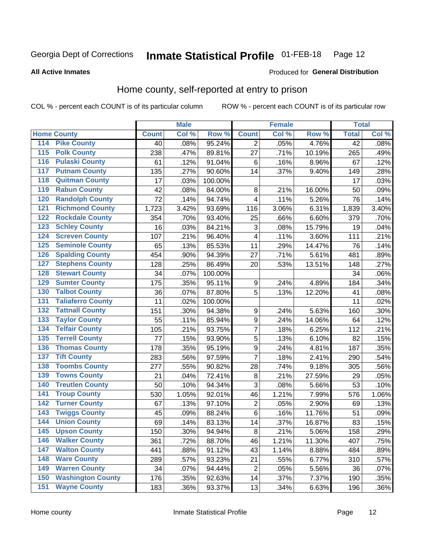#### Inmate Statistical Profile 01-FEB-18 Page 12

Produced for General Distribution

#### **All Active Inmates**

### Home county, self-reported at entry to prison

COL % - percent each COUNT is of its particular column

|                    |                          |              | <b>Male</b> |         |                         | <b>Female</b> |        | <b>Total</b> |         |
|--------------------|--------------------------|--------------|-------------|---------|-------------------------|---------------|--------|--------------|---------|
| <b>Home County</b> |                          | <b>Count</b> | Col %       | Row %   | <b>Count</b>            | Col %         | Row %  | <b>Total</b> | Col %   |
| 114                | <b>Pike County</b>       | 40           | .08%        | 95.24%  | 2                       | .05%          | 4.76%  | 42           | .08%    |
| 115                | <b>Polk County</b>       | 238          | .47%        | 89.81%  | 27                      | .71%          | 10.19% | 265          | .49%    |
| 116                | <b>Pulaski County</b>    | 61           | .12%        | 91.04%  | $\,6$                   | .16%          | 8.96%  | 67           | .12%    |
| 117                | <b>Putnam County</b>     | 135          | .27%        | 90.60%  | 14                      | .37%          | 9.40%  | 149          | .28%    |
| 118                | <b>Quitman County</b>    | 17           | .03%        | 100.00% |                         |               |        | 17           | .03%    |
| 119                | <b>Rabun County</b>      | 42           | .08%        | 84.00%  | 8                       | .21%          | 16.00% | 50           | .09%    |
| 120                | <b>Randolph County</b>   | 72           | .14%        | 94.74%  | 4                       | .11%          | 5.26%  | 76           | .14%    |
| 121                | <b>Richmond County</b>   | 1,723        | 3.42%       | 93.69%  | 116                     | 3.06%         | 6.31%  | 1,839        | 3.40%   |
| 122                | <b>Rockdale County</b>   | 354          | .70%        | 93.40%  | 25                      | .66%          | 6.60%  | 379          | .70%    |
| 123                | <b>Schley County</b>     | 16           | .03%        | 84.21%  | 3                       | .08%          | 15.79% | 19           | .04%    |
| 124                | <b>Screven County</b>    | 107          | .21%        | 96.40%  | 4                       | .11%          | 3.60%  | 111          | .21%    |
| 125                | <b>Seminole County</b>   | 65           | .13%        | 85.53%  | 11                      | .29%          | 14.47% | 76           | .14%    |
| 126                | <b>Spalding County</b>   | 454          | .90%        | 94.39%  | 27                      | .71%          | 5.61%  | 481          | .89%    |
| 127                | <b>Stephens County</b>   | 128          | .25%        | 86.49%  | 20                      | .53%          | 13.51% | 148          | .27%    |
| 128                | <b>Stewart County</b>    | 34           | .07%        | 100.00% |                         |               |        | 34           | .06%    |
| 129                | <b>Sumter County</b>     | 175          | .35%        | 95.11%  | 9                       | .24%          | 4.89%  | 184          | .34%    |
| 130                | <b>Talbot County</b>     | 36           | .07%        | 87.80%  | 5                       | .13%          | 12.20% | 41           | .08%    |
| 131                | <b>Taliaferro County</b> | 11           | .02%        | 100.00% |                         |               |        | 11           | .02%    |
| 132                | <b>Tattnall County</b>   | 151          | .30%        | 94.38%  | 9                       | .24%          | 5.63%  | 160          | .30%    |
| 133                | <b>Taylor County</b>     | 55           | .11%        | 85.94%  | $\boldsymbol{9}$        | .24%          | 14.06% | 64           | .12%    |
| 134                | <b>Telfair County</b>    | 105          | .21%        | 93.75%  | $\overline{7}$          | .18%          | 6.25%  | 112          | .21%    |
| 135                | <b>Terrell County</b>    | 77           | .15%        | 93.90%  | 5                       | .13%          | 6.10%  | 82           | .15%    |
| 136                | <b>Thomas County</b>     | 178          | .35%        | 95.19%  | $\overline{9}$          | .24%          | 4.81%  | 187          | .35%    |
| 137                | <b>Tift County</b>       | 283          | .56%        | 97.59%  | $\overline{7}$          | .18%          | 2.41%  | 290          | .54%    |
| 138                | <b>Toombs County</b>     | 277          | .55%        | 90.82%  | 28                      | .74%          | 9.18%  | 305          | .56%    |
| 139                | <b>Towns County</b>      | 21           | .04%        | 72.41%  | 8                       | .21%          | 27.59% | 29           | .05%    |
| 140                | <b>Treutlen County</b>   | 50           | .10%        | 94.34%  | 3                       | .08%          | 5.66%  | 53           | .10%    |
| 141                | <b>Troup County</b>      | 530          | 1.05%       | 92.01%  | 46                      | 1.21%         | 7.99%  | 576          | 1.06%   |
| $\overline{142}$   | <b>Turner County</b>     | 67           | .13%        | 97.10%  | $\overline{\mathbf{c}}$ | .05%          | 2.90%  | 69           | .13%    |
| 143                | <b>Twiggs County</b>     | 45           | .09%        | 88.24%  | $\overline{6}$          | .16%          | 11.76% | 51           | .09%    |
| 144                | <b>Union County</b>      | 69           | .14%        | 83.13%  | 14                      | .37%          | 16.87% | 83           | .15%    |
| 145                | <b>Upson County</b>      | 150          | .30%        | 94.94%  | 8                       | .21%          | 5.06%  | 158          | .29%    |
| 146                | <b>Walker County</b>     | 361          | .72%        | 88.70%  | 46                      | 1.21%         | 11.30% | 407          | .75%    |
| 147                | <b>Walton County</b>     | 441          | .88%        | 91.12%  | 43                      | 1.14%         | 8.88%  | 484          | .89%    |
| 148                | <b>Ware County</b>       | 289          | .57%        | 93.23%  | 21                      | .55%          | 6.77%  | 310          | .57%    |
| 149                | <b>Warren County</b>     | 34           | .07%        | 94.44%  | $\overline{2}$          | .05%          | 5.56%  | 36           | .07%    |
| 150                | <b>Washington County</b> | 176          | .35%        | 92.63%  | 14                      | .37%          | 7.37%  | 190          | .35%    |
| 151                | <b>Wayne County</b>      | 183          | .36%        | 93.37%  | 13                      | .34%          | 6.63%  | 196          | $.36\%$ |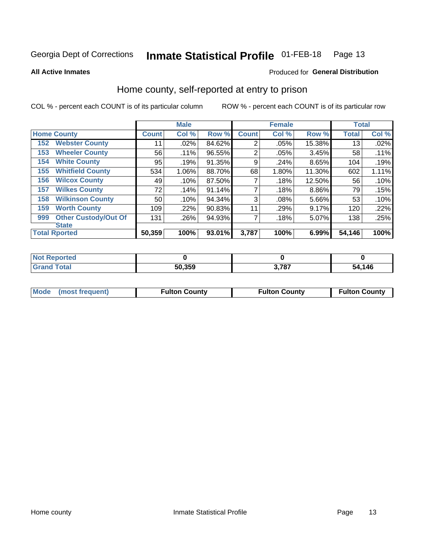#### Inmate Statistical Profile 01-FEB-18 Page 13

**All Active Inmates** 

#### Produced for General Distribution

### Home county, self-reported at entry to prison

COL % - percent each COUNT is of its particular column

|     |                             |              | <b>Male</b> |        |                | <b>Female</b> |        | <b>Total</b> |       |
|-----|-----------------------------|--------------|-------------|--------|----------------|---------------|--------|--------------|-------|
|     | <b>Home County</b>          | <b>Count</b> | Col %       | Row %  | <b>Count</b>   | Col %         | Row %  | <b>Total</b> | Col % |
| 152 | <b>Webster County</b>       | 11           | .02%        | 84.62% | $\overline{2}$ | .05%          | 15.38% | 13           | .02%  |
| 153 | <b>Wheeler County</b>       | 56           | .11%        | 96.55% | $\overline{2}$ | .05%          | 3.45%  | 58           | .11%  |
| 154 | <b>White County</b>         | 95           | .19%        | 91.35% | 9              | .24%          | 8.65%  | 104          | .19%  |
| 155 | <b>Whitfield County</b>     | 534          | 1.06%       | 88.70% | 68             | 1.80%         | 11.30% | 602          | 1.11% |
| 156 | <b>Wilcox County</b>        | 49           | .10%        | 87.50% | 7              | .18%          | 12.50% | 56           | .10%  |
| 157 | <b>Wilkes County</b>        | 72           | .14%        | 91.14% | 7              | .18%          | 8.86%  | 79           | .15%  |
| 158 | <b>Wilkinson County</b>     | 50           | .10%        | 94.34% | 3              | .08%          | 5.66%  | 53           | .10%  |
| 159 | <b>Worth County</b>         | 109          | .22%        | 90.83% | 11             | .29%          | 9.17%  | 120          | .22%  |
| 999 | <b>Other Custody/Out Of</b> | 131          | .26%        | 94.93% | 7              | .18%          | 5.07%  | 138          | .25%  |
|     | <b>State</b>                |              |             |        |                |               |        |              |       |
|     | <b>Total Rported</b>        | 50,359       | 100%        | 93.01% | 3,787          | 100%          | 6.99%  | 54,146       | 100%  |

| <b>Not</b><br>Reported |        |              |      |
|------------------------|--------|--------------|------|
| Total                  | 50,359 | <b>2.707</b> | ,146 |
| <b>Grand</b>           |        | 10.          | -54  |

| Mode (most frequent) | <b>Fulton County</b> | <b>Fulton County</b> | <b>Fulton County</b> |
|----------------------|----------------------|----------------------|----------------------|
|                      |                      |                      |                      |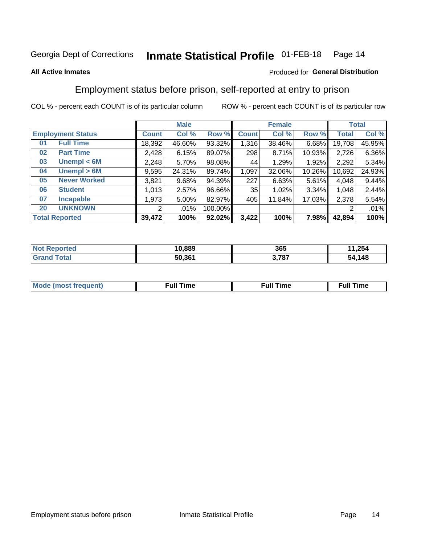#### **Inmate Statistical Profile 01-FEB-18** Page 14

#### **All Active Inmates**

#### Produced for General Distribution

### Employment status before prison, self-reported at entry to prison

COL % - percent each COUNT is of its particular column

|                           | <b>Male</b>  |        |         |              | <b>Female</b> | <b>Total</b> |        |        |
|---------------------------|--------------|--------|---------|--------------|---------------|--------------|--------|--------|
| <b>Employment Status</b>  | <b>Count</b> | Col %  | Row %   | <b>Count</b> | Col %         | Row %        | Total  | Col %  |
| <b>Full Time</b><br>01    | 18,392       | 46.60% | 93.32%  | 1,316        | 38.46%        | 6.68%        | 19,708 | 45.95% |
| <b>Part Time</b><br>02    | 2,428        | 6.15%  | 89.07%  | 298          | 8.71%         | 10.93%       | 2,726  | 6.36%  |
| Unempl $<$ 6M<br>03       | 2,248        | 5.70%  | 98.08%  | 44           | 1.29%         | 1.92%        | 2,292  | 5.34%  |
| Unempl > 6M<br>04         | 9,595        | 24.31% | 89.74%  | 1,097        | 32.06%        | 10.26%       | 10,692 | 24.93% |
| <b>Never Worked</b><br>05 | 3,821        | 9.68%  | 94.39%  | 227          | 6.63%         | 5.61%        | 4,048  | 9.44%  |
| <b>Student</b><br>06      | 1,013        | 2.57%  | 96.66%  | 35           | 1.02%         | 3.34%        | 1,048  | 2.44%  |
| <b>Incapable</b><br>07    | 1,973        | 5.00%  | 82.97%  | 405          | 11.84%        | 17.03%       | 2,378  | 5.54%  |
| <b>UNKNOWN</b><br>20      | 2            | .01%   | 100.00% |              |               |              | 2      | .01%   |
| <b>Total Reported</b>     | 39,472       | 100%   | 92.02%  | 3,422        | 100%          | 7.98%        | 42,894 | 100%   |

| <b>Not Reported</b> | 10,889 | 365   | 1,254<br>44 |
|---------------------|--------|-------|-------------|
| <b>Grand Total</b>  | 50,361 | 3,787 | 54,148      |

| <b>Mode (most frequent)</b> | $^{\prime\prime}$ Time | <b>Time</b><br>rull i |
|-----------------------------|------------------------|-----------------------|
|                             |                        |                       |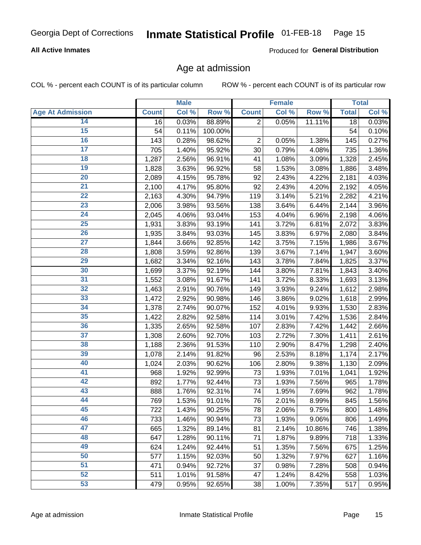#### **All Active Inmates**

Produced for General Distribution

### Age at admission

COL % - percent each COUNT is of its particular column

|                         |              | <b>Male</b> |         |                | <b>Female</b> |        |              | <b>Total</b> |
|-------------------------|--------------|-------------|---------|----------------|---------------|--------|--------------|--------------|
| <b>Age At Admission</b> | <b>Count</b> | Col %       | Row %   | <b>Count</b>   | Col %         | Row %  | <b>Total</b> | Col %        |
| 14                      | 16           | 0.03%       | 88.89%  | $\overline{2}$ | 0.05%         | 11.11% | 18           | 0.03%        |
| $\overline{15}$         | 54           | 0.11%       | 100.00% |                |               |        | 54           | 0.10%        |
| 16                      | 143          | 0.28%       | 98.62%  | $\overline{2}$ | 0.05%         | 1.38%  | 145          | 0.27%        |
| $\overline{17}$         | 705          | 1.40%       | 95.92%  | 30             | 0.79%         | 4.08%  | 735          | 1.36%        |
| $\overline{18}$         | 1,287        | 2.56%       | 96.91%  | 41             | 1.08%         | 3.09%  | 1,328        | 2.45%        |
| 19                      | 1,828        | 3.63%       | 96.92%  | 58             | 1.53%         | 3.08%  | 1,886        | 3.48%        |
| 20                      | 2,089        | 4.15%       | 95.78%  | 92             | 2.43%         | 4.22%  | 2,181        | 4.03%        |
| $\overline{21}$         | 2,100        | 4.17%       | 95.80%  | 92             | 2.43%         | 4.20%  | 2,192        | 4.05%        |
| $\overline{22}$         | 2,163        | 4.30%       | 94.79%  | 119            | 3.14%         | 5.21%  | 2,282        | 4.21%        |
| 23                      | 2,006        | 3.98%       | 93.56%  | 138            | 3.64%         | 6.44%  | 2,144        | 3.96%        |
| 24                      | 2,045        | 4.06%       | 93.04%  | 153            | 4.04%         | 6.96%  | 2,198        | 4.06%        |
| $\overline{25}$         | 1,931        | 3.83%       | 93.19%  | 141            | 3.72%         | 6.81%  | 2,072        | 3.83%        |
| $\overline{26}$         | 1,935        | 3.84%       | 93.03%  | 145            | 3.83%         | 6.97%  | 2,080        | 3.84%        |
| $\overline{27}$         | 1,844        | 3.66%       | 92.85%  | 142            | 3.75%         | 7.15%  | 1,986        | 3.67%        |
| 28                      | 1,808        | 3.59%       | 92.86%  | 139            | 3.67%         | 7.14%  | 1,947        | 3.60%        |
| 29                      | 1,682        | 3.34%       | 92.16%  | 143            | 3.78%         | 7.84%  | 1,825        | 3.37%        |
| 30                      | 1,699        | 3.37%       | 92.19%  | 144            | 3.80%         | 7.81%  | 1,843        | 3.40%        |
| 31                      | 1,552        | 3.08%       | 91.67%  | 141            | 3.72%         | 8.33%  | 1,693        | 3.13%        |
| 32                      | 1,463        | 2.91%       | 90.76%  | 149            | 3.93%         | 9.24%  | 1,612        | 2.98%        |
| 33                      | 1,472        | 2.92%       | 90.98%  | 146            | 3.86%         | 9.02%  | 1,618        | 2.99%        |
| 34                      | 1,378        | 2.74%       | 90.07%  | 152            | 4.01%         | 9.93%  | 1,530        | 2.83%        |
| 35                      | 1,422        | 2.82%       | 92.58%  | 114            | 3.01%         | 7.42%  | 1,536        | 2.84%        |
| 36                      | 1,335        | 2.65%       | 92.58%  | 107            | 2.83%         | 7.42%  | 1,442        | 2.66%        |
| $\overline{37}$         | 1,308        | 2.60%       | 92.70%  | 103            | 2.72%         | 7.30%  | 1,411        | 2.61%        |
| 38                      | 1,188        | 2.36%       | 91.53%  | 110            | 2.90%         | 8.47%  | 1,298        | 2.40%        |
| 39                      | 1,078        | 2.14%       | 91.82%  | 96             | 2.53%         | 8.18%  | 1,174        | 2.17%        |
| 40                      | 1,024        | 2.03%       | 90.62%  | 106            | 2.80%         | 9.38%  | 1,130        | 2.09%        |
| 41                      | 968          | 1.92%       | 92.99%  | 73             | 1.93%         | 7.01%  | 1,041        | 1.92%        |
| 42                      | 892          | 1.77%       | 92.44%  | 73             | 1.93%         | 7.56%  | 965          | 1.78%        |
| 43                      | 888          | 1.76%       | 92.31%  | 74             | 1.95%         | 7.69%  | 962          | 1.78%        |
| 44                      | 769          | 1.53%       | 91.01%  | 76             | 2.01%         | 8.99%  | 845          | 1.56%        |
| 45                      | 722          | 1.43%       | 90.25%  | 78             | 2.06%         | 9.75%  | 800          | 1.48%        |
| 46                      | 733          | 1.46%       | 90.94%  | 73             | 1.93%         | 9.06%  | 806          | 1.49%        |
| 47                      | 665          | 1.32%       | 89.14%  | 81             | 2.14%         | 10.86% | 746          | 1.38%        |
| 48                      | 647          | 1.28%       | 90.11%  | 71             | 1.87%         | 9.89%  | 718          | 1.33%        |
| 49                      | 624          | 1.24%       | 92.44%  | 51             | 1.35%         | 7.56%  | 675          | 1.25%        |
| 50                      | 577          | 1.15%       | 92.03%  | 50             | 1.32%         | 7.97%  | 627          | 1.16%        |
| 51                      | 471          | 0.94%       | 92.72%  | 37             | 0.98%         | 7.28%  | 508          | 0.94%        |
| 52                      | 511          | 1.01%       | 91.58%  | 47             | 1.24%         | 8.42%  | 558          | 1.03%        |
| 53                      | 479          | 0.95%       | 92.65%  | 38             | 1.00%         | 7.35%  | 517          | 0.95%        |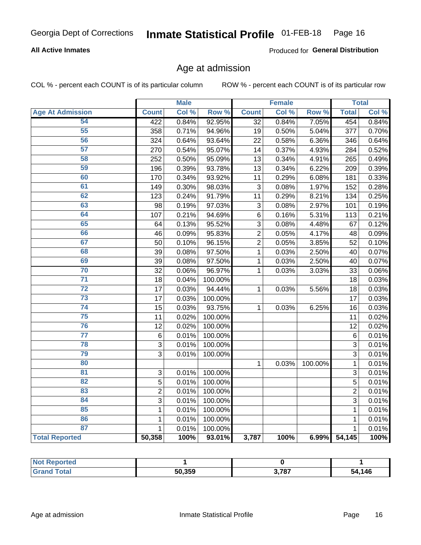#### **All Active Inmates**

Produced for General Distribution

### Age at admission

COL % - percent each COUNT is of its particular column

|                         |                | <b>Male</b> |         |                 | <b>Female</b> |         |                | <b>Total</b> |
|-------------------------|----------------|-------------|---------|-----------------|---------------|---------|----------------|--------------|
| <b>Age At Admission</b> | <b>Count</b>   | Col %       | Row %   | <b>Count</b>    | Col %         | Row %   | <b>Total</b>   | Col %        |
| 54                      | 422            | 0.84%       | 92.95%  | $\overline{32}$ | 0.84%         | 7.05%   | 454            | 0.84%        |
| 55                      | 358            | 0.71%       | 94.96%  | 19              | 0.50%         | 5.04%   | 377            | 0.70%        |
| 56                      | 324            | 0.64%       | 93.64%  | 22              | 0.58%         | 6.36%   | 346            | 0.64%        |
| 57                      | 270            | 0.54%       | 95.07%  | 14              | 0.37%         | 4.93%   | 284            | 0.52%        |
| 58                      | 252            | 0.50%       | 95.09%  | 13              | 0.34%         | 4.91%   | 265            | 0.49%        |
| 59                      | 196            | 0.39%       | 93.78%  | 13              | 0.34%         | 6.22%   | 209            | 0.39%        |
| 60                      | 170            | 0.34%       | 93.92%  | 11              | 0.29%         | 6.08%   | 181            | 0.33%        |
| 61                      | 149            | 0.30%       | 98.03%  | 3               | 0.08%         | 1.97%   | 152            | 0.28%        |
| 62                      | 123            | 0.24%       | 91.79%  | 11              | 0.29%         | 8.21%   | 134            | 0.25%        |
| 63                      | 98             | 0.19%       | 97.03%  | $\mathbf{3}$    | 0.08%         | 2.97%   | 101            | 0.19%        |
| 64                      | 107            | 0.21%       | 94.69%  | 6               | 0.16%         | 5.31%   | 113            | 0.21%        |
| 65                      | 64             | 0.13%       | 95.52%  | 3               | 0.08%         | 4.48%   | 67             | 0.12%        |
| 66                      | 46             | 0.09%       | 95.83%  | $\overline{2}$  | 0.05%         | 4.17%   | 48             | 0.09%        |
| 67                      | 50             | 0.10%       | 96.15%  | $\overline{2}$  | 0.05%         | 3.85%   | 52             | 0.10%        |
| 68                      | 39             | 0.08%       | 97.50%  | $\mathbf 1$     | 0.03%         | 2.50%   | 40             | 0.07%        |
| 69                      | 39             | 0.08%       | 97.50%  | $\mathbf{1}$    | 0.03%         | 2.50%   | 40             | 0.07%        |
| 70                      | 32             | 0.06%       | 96.97%  | 1               | 0.03%         | 3.03%   | 33             | 0.06%        |
| $\overline{71}$         | 18             | 0.04%       | 100.00% |                 |               |         | 18             | 0.03%        |
| $\overline{72}$         | 17             | 0.03%       | 94.44%  | 1               | 0.03%         | 5.56%   | 18             | 0.03%        |
| $\overline{73}$         | 17             | 0.03%       | 100.00% |                 |               |         | 17             | 0.03%        |
| $\overline{74}$         | 15             | 0.03%       | 93.75%  | $\mathbf{1}$    | 0.03%         | 6.25%   | 16             | 0.03%        |
| 75                      | 11             | 0.02%       | 100.00% |                 |               |         | 11             | 0.02%        |
| 76                      | 12             | 0.02%       | 100.00% |                 |               |         | 12             | 0.02%        |
| $\overline{77}$         | $\,6$          | 0.01%       | 100.00% |                 |               |         | 6              | 0.01%        |
| 78                      | $\mathbf{3}$   | 0.01%       | 100.00% |                 |               |         | 3              | 0.01%        |
| 79                      | 3              | 0.01%       | 100.00% |                 |               |         | 3              | 0.01%        |
| 80                      |                |             |         | 1               | 0.03%         | 100.00% | 1              | 0.01%        |
| 81                      | 3              | 0.01%       | 100.00% |                 |               |         | 3              | 0.01%        |
| $\overline{82}$         | 5              | 0.01%       | 100.00% |                 |               |         | 5              | 0.01%        |
| 83                      | $\overline{2}$ | 0.01%       | 100.00% |                 |               |         | $\overline{2}$ | 0.01%        |
| 84                      | 3              | 0.01%       | 100.00% |                 |               |         | 3              | 0.01%        |
| 85                      | $\mathbf{1}$   | 0.01%       | 100.00% |                 |               |         | 1              | 0.01%        |
| 86                      | $\mathbf 1$    | 0.01%       | 100.00% |                 |               |         | 1              | 0.01%        |
| 87                      | 1              | 0.01%       | 100.00% |                 |               |         | 1              | 0.01%        |
| <b>Total Reported</b>   | 50,358         | 100%        | 93.01%  | 3,787           | 100%          | 6.99%   | 54,145         | 100%         |

| <b>Not Reported</b> |        |       |        |
|---------------------|--------|-------|--------|
| Tota.               | 50.359 | 3,787 | 54,146 |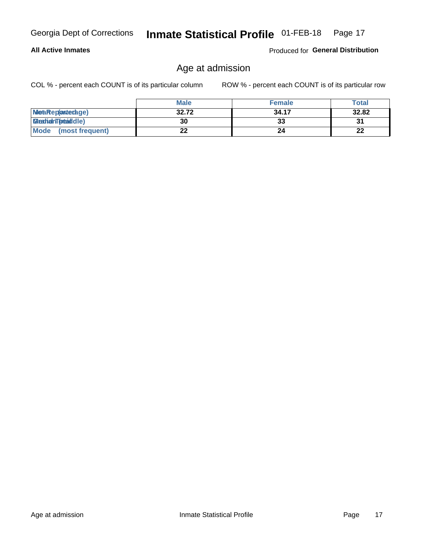#### **All Active Inmates**

Produced for General Distribution

### Age at admission

COL % - percent each COUNT is of its particular column

|                         | <b>Male</b> | <b>Female</b> | <b>Total</b> |
|-------------------------|-------------|---------------|--------------|
| MetaRep(anterage)       | 32.72       | 34.17         | 32.82        |
| <b>MeatianTotaddle)</b> | 30          | 33            | 31           |
| Mode<br>(most frequent) | 22          | 24            | 22           |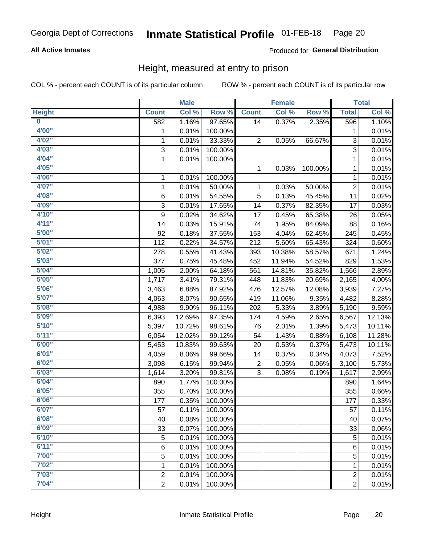#### **All Active Inmates**

#### Produced for General Distribution

### Height, measured at entry to prison

COL % - percent each COUNT is of its particular column

|                         |                | <b>Male</b> |         |              | <b>Female</b> |         |                | <b>Total</b> |
|-------------------------|----------------|-------------|---------|--------------|---------------|---------|----------------|--------------|
| <b>Height</b>           | <b>Count</b>   | Col %       | Row %   | <b>Count</b> | Col %         | Row %   | <b>Total</b>   | Col %        |
| $\overline{\mathbf{0}}$ | 582            | 1.16%       | 97.65%  | 14           | 0.37%         | 2.35%   | 596            | 1.10%        |
| 4'00''                  | 1              | 0.01%       | 100.00% |              |               |         | 1              | 0.01%        |
| 4'02"                   | 1              | 0.01%       | 33.33%  | 2            | 0.05%         | 66.67%  | 3              | 0.01%        |
| 4'03''                  | 3              | 0.01%       | 100.00% |              |               |         | 3              | 0.01%        |
| 4'04"                   | $\mathbf{1}$   | 0.01%       | 100.00% |              |               |         | 1              | 0.01%        |
| 4'05"                   |                |             |         | 1            | 0.03%         | 100.00% | $\mathbf{1}$   | 0.01%        |
| 4'06"                   | 1              | 0.01%       | 100.00% |              |               |         | $\mathbf{1}$   | 0.01%        |
| 4'07"                   | 1              | 0.01%       | 50.00%  | 1            | 0.03%         | 50.00%  | $\overline{c}$ | 0.01%        |
| 4'08"                   | 6              | 0.01%       | 54.55%  | 5            | 0.13%         | 45.45%  | 11             | 0.02%        |
| 4'09"                   | 3              | 0.01%       | 17.65%  | 14           | 0.37%         | 82.35%  | 17             | 0.03%        |
| 4'10"                   | 9              | 0.02%       | 34.62%  | 17           | 0.45%         | 65.38%  | 26             | 0.05%        |
| 4'11''                  | 14             | 0.03%       | 15.91%  | 74           | 1.95%         | 84.09%  | 88             | 0.16%        |
| 5'00''                  | 92             | 0.18%       | 37.55%  | 153          | 4.04%         | 62.45%  | 245            | 0.45%        |
| 5'01"                   | 112            | 0.22%       | 34.57%  | 212          | 5.60%         | 65.43%  | 324            | 0.60%        |
| 5'02"                   | 278            | 0.55%       | 41.43%  | 393          | 10.38%        | 58.57%  | 671            | 1.24%        |
| 5'03''                  | 377            | 0.75%       | 45.48%  | 452          | 11.94%        | 54.52%  | 829            | 1.53%        |
| 5'04"                   | 1,005          | 2.00%       | 64.18%  | 561          | 14.81%        | 35.82%  | 1,566          | 2.89%        |
| 5'05"                   | 1,717          | 3.41%       | 79.31%  | 448          | 11.83%        | 20.69%  | 2,165          | 4.00%        |
| 5'06''                  | 3,463          | 6.88%       | 87.92%  | 476          | 12.57%        | 12.08%  | 3,939          | 7.27%        |
| 5'07''                  | 4,063          | 8.07%       | 90.65%  | 419          | 11.06%        | 9.35%   | 4,482          | 8.28%        |
| 5'08''                  | 4,988          | 9.90%       | 96.11%  | 202          | 5.33%         | 3.89%   | 5,190          | 9.59%        |
| 5'09''                  | 6,393          | 12.69%      | 97.35%  | 174          | 4.59%         | 2.65%   | 6,567          | 12.13%       |
| 5'10''                  | 5,397          | 10.72%      | 98.61%  | 76           | 2.01%         | 1.39%   | 5,473          | 10.11%       |
| 5'11"                   | 6,054          | 12.02%      | 99.12%  | 54           | 1.43%         | 0.88%   | 6,108          | 11.28%       |
| 6'00''                  | 5,453          | 10.83%      | 99.63%  | 20           | 0.53%         | 0.37%   | 5,473          | 10.11%       |
| 6'01''                  | 4,059          | 8.06%       | 99.66%  | 14           | 0.37%         | 0.34%   | 4,073          | 7.52%        |
| 6'02"                   | 3,098          | 6.15%       | 99.94%  | 2            | 0.05%         | 0.06%   | 3,100          | 5.73%        |
| 6'03''                  | 1,614          | 3.20%       | 99.81%  | 3            | 0.08%         | 0.19%   | 1,617          | 2.99%        |
| 6'04"                   | 890            | 1.77%       | 100.00% |              |               |         | 890            | 1.64%        |
| 6'05"                   | 355            | 0.70%       | 100.00% |              |               |         | 355            | 0.66%        |
| 6'06''                  | 177            | 0.35%       | 100.00% |              |               |         | 177            | 0.33%        |
| 6'07"                   | 57             | 0.11%       | 100.00% |              |               |         | 57             | 0.11%        |
| 6'08''                  | 40             | 0.08%       | 100.00% |              |               |         | 40             | 0.07%        |
| 6'09''                  | 33             | 0.07%       | 100.00% |              |               |         | 33             | 0.06%        |
| 6'10''                  | 5              | 0.01%       | 100.00% |              |               |         | 5              | 0.01%        |
| 6'11''                  | 6              | 0.01%       | 100.00% |              |               |         | 6              | 0.01%        |
| 7'00"                   | 5              | 0.01%       | 100.00% |              |               |         | 5              | 0.01%        |
| 7'02"                   | 1              | 0.01%       | 100.00% |              |               |         | 1              | 0.01%        |
| 7'03''                  | $\overline{c}$ | 0.01%       | 100.00% |              |               |         | $\overline{c}$ | 0.01%        |
| 7'04"                   | $\overline{2}$ | 0.01%       | 100.00% |              |               |         | $\overline{2}$ | 0.01%        |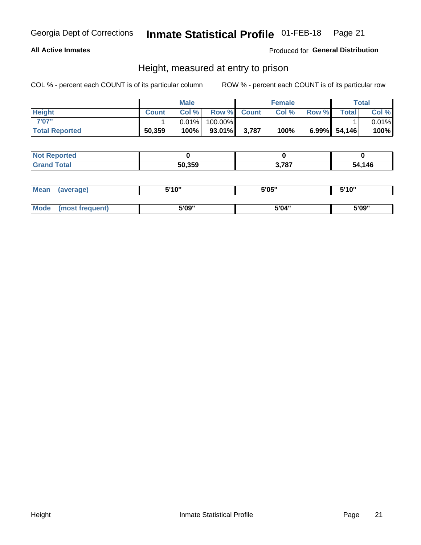#### **All Active Inmates**

#### Produced for General Distribution

### Height, measured at entry to prison

COL % - percent each COUNT is of its particular column

|                       | <b>Male</b>  |          |         | <b>Female</b> |       |       | Total           |       |
|-----------------------|--------------|----------|---------|---------------|-------|-------|-----------------|-------|
| <b>Height</b>         | <b>Count</b> | Col %    |         | Row % Count   | Col % | Row % | <b>Total</b>    | Col % |
| 7'07"                 |              | $0.01\%$ | 100.00% |               |       |       |                 | 0.01% |
| <b>Total Reported</b> | 50,359       | 100%     | 93.01%  | 3,787         | 100%  |       | $6.99\%$ 54,146 | 100%  |

| <b>Not Reported</b> |        |      |        |
|---------------------|--------|------|--------|
| <b>Grand Total</b>  | 50.359 | .787 | 54,146 |

| <b>Mean</b> | (average)       | 5'10" | 5'05" | 5'10" |
|-------------|-----------------|-------|-------|-------|
|             |                 |       |       |       |
| <b>Mode</b> | (most frequent) | 5'09" | 5'04" | 5'09" |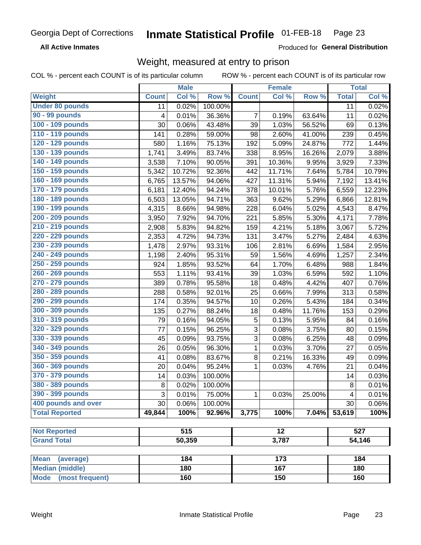**All Active Inmates** 

Produced for General Distribution

### Weight, measured at entry to prison

COL % - percent each COUNT is of its particular column ROW % - percent each COUNT is of its particular row

|                                |              | <b>Male</b>      |         |                | <b>Female</b>   |        |              | <b>Total</b> |
|--------------------------------|--------------|------------------|---------|----------------|-----------------|--------|--------------|--------------|
| Weight                         | <b>Count</b> | Col %            | Row %   | <b>Count</b>   | Col %           | Row %  | <b>Total</b> | Col %        |
| <b>Under 80 pounds</b>         | 11           | 0.02%            | 100.00% |                |                 |        | 11           | 0.02%        |
| 90 - 99 pounds                 | 4            | 0.01%            | 36.36%  | $\overline{7}$ | 0.19%           | 63.64% | 11           | 0.02%        |
| 100 - 109 pounds               | 30           | 0.06%            | 43.48%  | 39             | 1.03%           | 56.52% | 69           | 0.13%        |
| 110 - 119 pounds               | 141          | 0.28%            | 59.00%  | 98             | 2.60%           | 41.00% | 239          | 0.45%        |
| 120 - 129 pounds               | 580          | 1.16%            | 75.13%  | 192            | 5.09%           | 24.87% | 772          | 1.44%        |
| 130 - 139 pounds               | 1,741        | 3.49%            | 83.74%  | 338            | 8.95%           | 16.26% | 2,079        | 3.88%        |
| 140 - 149 pounds               | 3,538        | 7.10%            | 90.05%  | 391            | 10.36%          | 9.95%  | 3,929        | 7.33%        |
| 150 - 159 pounds               | 5,342        | 10.72%           | 92.36%  | 442            | 11.71%          | 7.64%  | 5,784        | 10.79%       |
| 160 - 169 pounds               | 6,765        | 13.57%           | 94.06%  | 427            | 11.31%          | 5.94%  | 7,192        | 13.41%       |
| 170 - 179 pounds               | 6,181        | 12.40%           | 94.24%  | 378            | 10.01%          | 5.76%  | 6,559        | 12.23%       |
| 180 - 189 pounds               | 6,503        | 13.05%           | 94.71%  | 363            | 9.62%           | 5.29%  | 6,866        | 12.81%       |
| 190 - 199 pounds               | 4,315        | 8.66%            | 94.98%  | 228            | 6.04%           | 5.02%  | 4,543        | 8.47%        |
| 200 - 209 pounds               | 3,950        | 7.92%            | 94.70%  | 221            | 5.85%           | 5.30%  | 4,171        | 7.78%        |
| 210 - 219 pounds               | 2,908        | 5.83%            | 94.82%  | 159            | 4.21%           | 5.18%  | 3,067        | 5.72%        |
| 220 - 229 pounds               | 2,353        | 4.72%            | 94.73%  | 131            | 3.47%           | 5.27%  | 2,484        | 4.63%        |
| 230 - 239 pounds               | 1,478        | 2.97%            | 93.31%  | 106            | 2.81%           | 6.69%  | 1,584        | 2.95%        |
| 240 - 249 pounds               | 1,198        | 2.40%            | 95.31%  | 59             | 1.56%           | 4.69%  | 1,257        | 2.34%        |
| 250 - 259 pounds               | 924          | 1.85%            | 93.52%  | 64             | 1.70%           | 6.48%  | 988          | 1.84%        |
| 260 - 269 pounds               | 553          | 1.11%            | 93.41%  | 39             | 1.03%           | 6.59%  | 592          | 1.10%        |
| 270 - 279 pounds               | 389          | 0.78%            | 95.58%  | 18             | 0.48%           | 4.42%  | 407          | 0.76%        |
| 280 - 289 pounds               | 288          | 0.58%            | 92.01%  | 25             | 0.66%           | 7.99%  | 313          | 0.58%        |
| 290 - 299 pounds               | 174          | 0.35%            | 94.57%  | 10             | 0.26%           | 5.43%  | 184          | 0.34%        |
| 300 - 309 pounds               | 135          | 0.27%            | 88.24%  | 18             | 0.48%           | 11.76% | 153          | 0.29%        |
| 310 - 319 pounds               | 79           | 0.16%            | 94.05%  | 5              | 0.13%           | 5.95%  | 84           | 0.16%        |
| 320 - 329 pounds               | 77           | 0.15%            | 96.25%  | 3              | 0.08%           | 3.75%  | 80           | 0.15%        |
| 330 - 339 pounds               | 45           | 0.09%            | 93.75%  | 3              | 0.08%           | 6.25%  | 48           | 0.09%        |
| 340 - 349 pounds               | 26           | 0.05%            | 96.30%  | 1              | 0.03%           | 3.70%  | 27           | 0.05%        |
| 350 - 359 pounds               | 41           | 0.08%            | 83.67%  | 8              | 0.21%           | 16.33% | 49           | 0.09%        |
| 360 - 369 pounds               | 20           | 0.04%            | 95.24%  | $\mathbf{1}$   | 0.03%           | 4.76%  | 21           | 0.04%        |
| 370 - 379 pounds               | 14           | 0.03%            | 100.00% |                |                 |        | 14           | 0.03%        |
| 380 - 389 pounds               | 8            | 0.02%            | 100.00% |                |                 |        | 8            | 0.01%        |
| 390 - 399 pounds               | 3            | 0.01%            | 75.00%  | 1              | 0.03%           | 25.00% | 4            | 0.01%        |
| 400 pounds and over            | 30           | 0.06%            | 100.00% |                |                 |        | 30           | 0.06%        |
| <b>Total Reported</b>          | 49,844       | 100%             | 92.96%  | 3,775          | 100%            | 7.04%  | 53,619       | 100%         |
|                                |              |                  |         |                |                 |        |              |              |
| <b>Not Reported</b>            |              | $\overline{515}$ |         |                | $\overline{12}$ |        |              | 527          |
| <b>Grand Total</b>             |              | 50,359           |         |                | 3,787           |        |              | 54,146       |
| <b>Mean</b><br>(average)       |              | 184              |         |                | 173             |        |              | 184          |
| <b>Median (middle)</b>         |              | 180              |         |                | 167             |        |              | 180          |
| <b>Mode</b><br>(most frequent) |              | 160              |         |                | 150             |        |              | 160          |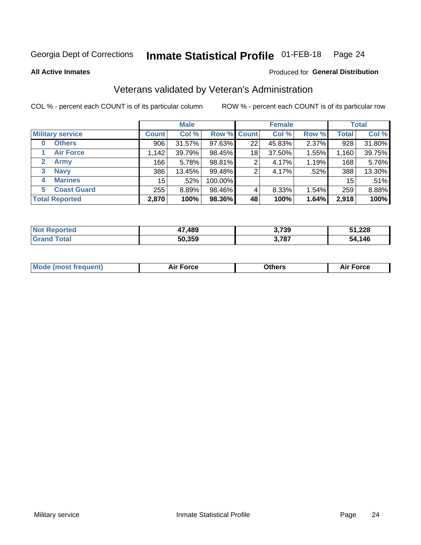#### **Inmate Statistical Profile 01-FEB-18** Page 24

**All Active Inmates** 

#### Produced for General Distribution

### Veterans validated by Veteran's Administration

COL % - percent each COUNT is of its particular column

|                             |                 | <b>Male</b> |             |    | <b>Female</b> |       |              | <b>Total</b> |
|-----------------------------|-----------------|-------------|-------------|----|---------------|-------|--------------|--------------|
| <b>Military service</b>     | <b>Count</b>    | Col %       | Row % Count |    | Col %         | Row % | <b>Total</b> | Col %        |
| <b>Others</b><br>$\bf{0}$   | 906             | 31.57%      | 97.63%      | 22 | 45.83%        | 2.37% | 928          | 31.80%       |
| <b>Air Force</b>            | 1,142           | 39.79%      | 98.45%      | 18 | 37.50%        | 1.55% | 1,160        | 39.75%       |
| $\mathbf{2}$<br><b>Army</b> | 166             | 5.78%       | 98.81%      | 2  | 4.17%         | 1.19% | 168          | 5.76%        |
| <b>Navy</b><br>3            | 386             | 13.45%      | 99.48%      | 2  | 4.17%         | .52%  | 388          | 13.30%       |
| <b>Marines</b><br>4         | 15 <sub>1</sub> | .52%        | 100.00%     |    |               |       | 15           | .51%         |
| <b>Coast Guard</b><br>5     | 255             | 8.89%       | 98.46%      | 4  | 8.33%         | 1.54% | 259          | 8.88%        |
| <b>Total Reported</b>       | 2,870           | 100%        | 98.36%      | 48 | 100%          | 1.64% | 2,918        | 100%         |

| тео | .489   | 3,739 | E4 990 |
|-----|--------|-------|--------|
| N   |        |       | 31.ZZ0 |
|     | 50.359 | 3,787 | 54.146 |

| <b>Mode (most frequent)</b> | Force<br>Aır | <b>Dthers</b> | orce |
|-----------------------------|--------------|---------------|------|
|                             |              |               |      |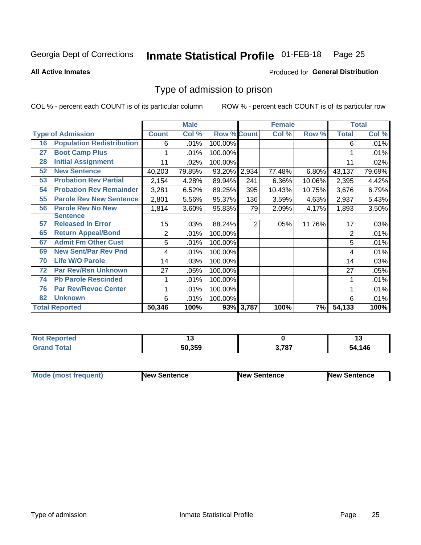#### **Inmate Statistical Profile 01-FEB-18** Page 25

**All Active Inmates** 

#### **Produced for General Distribution**

### Type of admission to prison

COL % - percent each COUNT is of its particular column

|    |                                  |                | <b>Male</b> |                    |                | <b>Female</b> |        |                | <b>Total</b> |
|----|----------------------------------|----------------|-------------|--------------------|----------------|---------------|--------|----------------|--------------|
|    | <b>Type of Admission</b>         | <b>Count</b>   | Col %       | <b>Row % Count</b> |                | Col %         | Row %  | <b>Total</b>   | Col %        |
| 16 | <b>Population Redistribution</b> | 6              | .01%        | 100.00%            |                |               |        | 6              | .01%         |
| 27 | <b>Boot Camp Plus</b>            |                | .01%        | 100.00%            |                |               |        |                | .01%         |
| 28 | <b>Initial Assignment</b>        | 11             | .02%        | 100.00%            |                |               |        | 11             | .02%         |
| 52 | <b>New Sentence</b>              | 40,203         | 79.85%      | 93.20%             | 2,934          | 77.48%        | 6.80%  | 43,137         | 79.69%       |
| 53 | <b>Probation Rev Partial</b>     | 2,154          | 4.28%       | 89.94%             | 241            | 6.36%         | 10.06% | 2,395          | 4.42%        |
| 54 | <b>Probation Rev Remainder</b>   | 3,281          | 6.52%       | 89.25%             | 395            | 10.43%        | 10.75% | 3,676          | 6.79%        |
| 55 | <b>Parole Rev New Sentence</b>   | 2,801          | 5.56%       | 95.37%             | 136            | 3.59%         | 4.63%  | 2,937          | 5.43%        |
| 56 | <b>Parole Rev No New</b>         | 1,814          | 3.60%       | 95.83%             | 79             | 2.09%         | 4.17%  | 1,893          | 3.50%        |
|    | <b>Sentence</b>                  |                |             |                    |                |               |        |                |              |
| 57 | <b>Released In Error</b>         | 15             | .03%        | 88.24%             | $\overline{2}$ | .05%          | 11.76% | 17             | .03%         |
| 65 | <b>Return Appeal/Bond</b>        | $\overline{2}$ | .01%        | 100.00%            |                |               |        | $\overline{2}$ | .01%         |
| 67 | <b>Admit Fm Other Cust</b>       | 5              | .01%        | 100.00%            |                |               |        | 5              | .01%         |
| 69 | <b>New Sent/Par Rev Pnd</b>      | 4              | .01%        | 100.00%            |                |               |        | 4              | .01%         |
| 70 | <b>Life W/O Parole</b>           | 14             | .03%        | 100.00%            |                |               |        | 14             | .03%         |
| 72 | <b>Par Rev/Rsn Unknown</b>       | 27             | .05%        | 100.00%            |                |               |        | 27             | .05%         |
| 74 | <b>Pb Parole Rescinded</b>       |                | .01%        | 100.00%            |                |               |        |                | .01%         |
| 76 | <b>Par Rev/Revoc Center</b>      |                | .01%        | 100.00%            |                |               |        |                | .01%         |
| 82 | <b>Unknown</b>                   | 6              | .01%        | 100.00%            |                |               |        | 6              | .01%         |
|    | <b>Total Reported</b>            | 50,346         | 100%        |                    | 93% 3,787      | 100%          | 7%     | 54,133         | 100%         |

| <b>Not</b><br><b>eported</b> |        |       | יי   |
|------------------------------|--------|-------|------|
| Total                        | 50.359 | 3,787 | .146 |
| Grai                         |        | .     | -54  |

| <b>Mode (most frequent)</b> | New Sentence | <b>New Sentence</b> | <b>New Sentence</b> |
|-----------------------------|--------------|---------------------|---------------------|
|                             |              |                     |                     |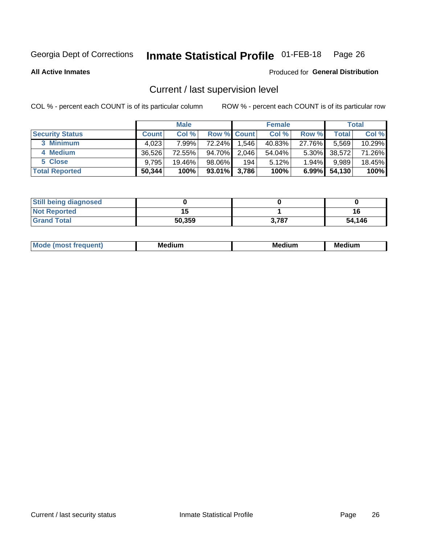## Inmate Statistical Profile 01-FEB-18 Page 26

**All Active Inmates** 

#### Produced for General Distribution

### Current / last supervision level

COL % - percent each COUNT is of its particular column

|                        |              | <b>Male</b> |                    |       | <b>Female</b> |          |        | <b>Total</b> |
|------------------------|--------------|-------------|--------------------|-------|---------------|----------|--------|--------------|
| <b>Security Status</b> | <b>Count</b> | Col %       | <b>Row % Count</b> |       | Col %         | Row %    | Total  | Col %        |
| 3 Minimum              | 4,023        | 7.99%       | 72.24%             | 1,546 | 40.83%        | 27.76%   | 5,569  | 10.29%       |
| 4 Medium               | 36,526       | 72.55%      | 94.70%             | 2,046 | 54.04%        | $5.30\%$ | 38,572 | 71.26%       |
| 5 Close                | 9,795        | 19.46%      | 98.06%             | 194   | 5.12%         | 1.94%    | 9,989  | 18.45%       |
| <b>Total Reported</b>  | 50,344       | 100%        | 93.01%             | 3,786 | 100%          | $6.99\%$ | 54,130 | 100%         |

| <b>Still being diagnosed</b> |        |       |        |
|------------------------------|--------|-------|--------|
| <b>Not Reported</b>          |        |       |        |
| <b>Grand Total</b>           | 50,359 | 3,787 | 54,146 |

| Mo | Me<br>edium<br>_____ | M۵<br>rdıum<br>_____ | <b>Medium</b> |
|----|----------------------|----------------------|---------------|
|    |                      |                      |               |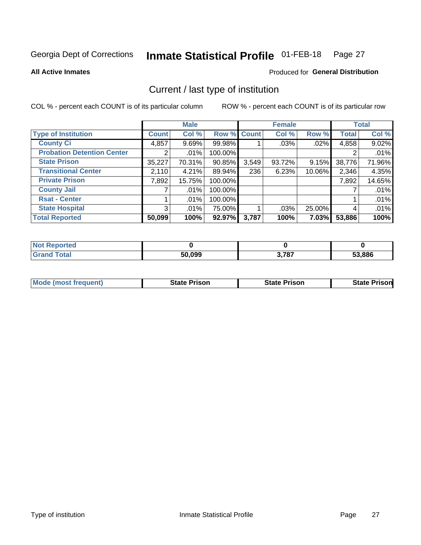#### Inmate Statistical Profile 01-FEB-18 Page 27

**All Active Inmates** 

#### **Produced for General Distribution**

### Current / last type of institution

COL % - percent each COUNT is of its particular column

|                                   |                | <b>Male</b> |             |       | <b>Female</b> |        |              | <b>Total</b> |
|-----------------------------------|----------------|-------------|-------------|-------|---------------|--------|--------------|--------------|
| <b>Type of Institution</b>        | <b>Count</b>   | Col %       | Row % Count |       | Col %         | Row %  | <b>Total</b> | Col %        |
| <b>County Ci</b>                  | 4,857          | 9.69%       | 99.98%      |       | .03%          | .02%   | 4,858        | 9.02%        |
| <b>Probation Detention Center</b> |                | .01%        | 100.00%     |       |               |        |              | .01%         |
| <b>State Prison</b>               | 35,227         | 70.31%      | 90.85%      | 3,549 | 93.72%        | 9.15%  | 38,776       | 71.96%       |
| <b>Transitional Center</b>        | 2,110          | 4.21%       | 89.94%      | 236   | 6.23%         | 10.06% | 2,346        | 4.35%        |
| <b>Private Prison</b>             | 7,892          | 15.75%      | 100.00%     |       |               |        | 7,892        | 14.65%       |
| <b>County Jail</b>                |                | .01%        | 100.00%     |       |               |        |              | .01%         |
| <b>Rsat - Center</b>              |                | $.01\%$     | 100.00%     |       |               |        |              | .01%         |
| <b>State Hospital</b>             | 3 <sup>1</sup> | $.01\%$     | 75.00%      |       | .03%          | 25.00% | 4            | .01%         |
| <b>Total Reported</b>             | 50,099         | 100%        | 92.97%      | 3,787 | 100%          | 7.03%  | 53,886       | 100%         |

| orted<br>NO |        |                        |              |
|-------------|--------|------------------------|--------------|
| `otal       | 50,099 | 2 707<br><b>J.</b> 10. | 53.886<br>55 |

| Mode (most frequent) | <b>State Prison</b> | <b>State Prison</b> | <b>State Prisonl</b> |
|----------------------|---------------------|---------------------|----------------------|
|                      |                     |                     |                      |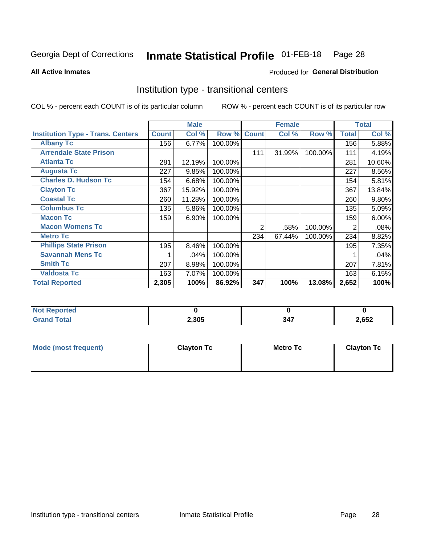#### **Inmate Statistical Profile 01-FEB-18** Page 28

Produced for General Distribution

#### **All Active Inmates**

### Institution type - transitional centers

COL % - percent each COUNT is of its particular column

|                                          |              | <b>Male</b> |         |              | <b>Female</b> |         |              | <b>Total</b> |
|------------------------------------------|--------------|-------------|---------|--------------|---------------|---------|--------------|--------------|
| <b>Institution Type - Trans. Centers</b> | <b>Count</b> | Col %       | Row %   | <b>Count</b> | Col %         | Row %   | <b>Total</b> | Col %        |
| <b>Albany Tc</b>                         | 156          | 6.77%       | 100.00% |              |               |         | 156          | 5.88%        |
| <b>Arrendale State Prison</b>            |              |             |         | 111          | 31.99%        | 100.00% | 111          | 4.19%        |
| <b>Atlanta Tc</b>                        | 281          | 12.19%      | 100.00% |              |               |         | 281          | 10.60%       |
| <b>Augusta Tc</b>                        | 227          | 9.85%       | 100.00% |              |               |         | 227          | 8.56%        |
| <b>Charles D. Hudson Tc</b>              | 154          | 6.68%       | 100.00% |              |               |         | 154          | 5.81%        |
| <b>Clayton Tc</b>                        | 367          | 15.92%      | 100.00% |              |               |         | 367          | 13.84%       |
| <b>Coastal Tc</b>                        | 260          | 11.28%      | 100.00% |              |               |         | 260          | 9.80%        |
| <b>Columbus Tc</b>                       | 135          | 5.86%       | 100.00% |              |               |         | 135          | 5.09%        |
| <b>Macon Tc</b>                          | 159          | 6.90%       | 100.00% |              |               |         | 159          | 6.00%        |
| <b>Macon Womens Tc</b>                   |              |             |         | 2            | .58%          | 100.00% | 2            | .08%         |
| <b>Metro Tc</b>                          |              |             |         | 234          | 67.44%        | 100.00% | 234          | 8.82%        |
| <b>Phillips State Prison</b>             | 195          | 8.46%       | 100.00% |              |               |         | 195          | 7.35%        |
| <b>Savannah Mens Tc</b>                  |              | .04%        | 100.00% |              |               |         |              | .04%         |
| <b>Smith Tc</b>                          | 207          | 8.98%       | 100.00% |              |               |         | 207          | 7.81%        |
| <b>Valdosta Tc</b>                       | 163          | 7.07%       | 100.00% |              |               |         | 163          | 6.15%        |
| <b>Total Reported</b>                    | 2,305        | 100%        | 86.92%  | 347          | 100%          | 13.08%  | 2,652        | 100%         |

| ortea<br>$\sim$ |       |                    |      |
|-----------------|-------|--------------------|------|
|                 | 2,305 | .<br>$\sim$ $\sim$ | ,652 |

| Mode (most frequent) | <b>Clayton Tc</b> | Metro Tc | <b>Clayton Tc</b> |
|----------------------|-------------------|----------|-------------------|
|                      |                   |          |                   |
|                      |                   |          |                   |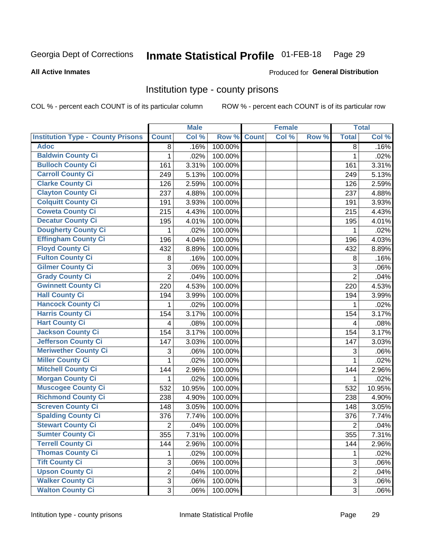#### **Inmate Statistical Profile 01-FEB-18** Page 29

#### **All Active Inmates**

### Produced for General Distribution

#### Institution type - county prisons

COL % - percent each COUNT is of its particular column

|                                          |                | <b>Male</b> |         |              | <b>Female</b> |       |                         | <b>Total</b> |
|------------------------------------------|----------------|-------------|---------|--------------|---------------|-------|-------------------------|--------------|
| <b>Institution Type - County Prisons</b> | <b>Count</b>   | Col %       | Row %   | <b>Count</b> | Col %         | Row % | <b>Total</b>            | Col %        |
| <b>Adoc</b>                              | 8              | .16%        | 100.00% |              |               |       | 8                       | .16%         |
| <b>Baldwin County Ci</b>                 | 1              | .02%        | 100.00% |              |               |       | $\mathbf 1$             | .02%         |
| <b>Bulloch County Ci</b>                 | 161            | 3.31%       | 100.00% |              |               |       | 161                     | 3.31%        |
| <b>Carroll County Ci</b>                 | 249            | 5.13%       | 100.00% |              |               |       | 249                     | 5.13%        |
| <b>Clarke County Ci</b>                  | 126            | 2.59%       | 100.00% |              |               |       | 126                     | 2.59%        |
| <b>Clayton County Ci</b>                 | 237            | 4.88%       | 100.00% |              |               |       | 237                     | 4.88%        |
| <b>Colquitt County Ci</b>                | 191            | 3.93%       | 100.00% |              |               |       | 191                     | 3.93%        |
| <b>Coweta County Ci</b>                  | 215            | 4.43%       | 100.00% |              |               |       | 215                     | 4.43%        |
| <b>Decatur County Ci</b>                 | 195            | 4.01%       | 100.00% |              |               |       | 195                     | 4.01%        |
| <b>Dougherty County Ci</b>               | 1              | .02%        | 100.00% |              |               |       | 1                       | .02%         |
| <b>Effingham County Ci</b>               | 196            | 4.04%       | 100.00% |              |               |       | 196                     | 4.03%        |
| <b>Floyd County Ci</b>                   | 432            | 8.89%       | 100.00% |              |               |       | 432                     | 8.89%        |
| <b>Fulton County Ci</b>                  | 8              | .16%        | 100.00% |              |               |       | 8                       | .16%         |
| <b>Gilmer County Ci</b>                  | 3              | .06%        | 100.00% |              |               |       | 3                       | .06%         |
| <b>Grady County Ci</b>                   | $\overline{2}$ | .04%        | 100.00% |              |               |       | $\overline{2}$          | .04%         |
| <b>Gwinnett County Ci</b>                | 220            | 4.53%       | 100.00% |              |               |       | 220                     | 4.53%        |
| <b>Hall County Ci</b>                    | 194            | 3.99%       | 100.00% |              |               |       | 194                     | 3.99%        |
| <b>Hancock County Ci</b>                 | 1              | .02%        | 100.00% |              |               |       | 1                       | .02%         |
| <b>Harris County Ci</b>                  | 154            | 3.17%       | 100.00% |              |               |       | 154                     | 3.17%        |
| <b>Hart County Ci</b>                    | 4              | .08%        | 100.00% |              |               |       | $\overline{\mathbf{4}}$ | .08%         |
| <b>Jackson County Ci</b>                 | 154            | 3.17%       | 100.00% |              |               |       | 154                     | 3.17%        |
| Jefferson County Ci                      | 147            | 3.03%       | 100.00% |              |               |       | 147                     | 3.03%        |
| <b>Meriwether County Ci</b>              | 3              | .06%        | 100.00% |              |               |       | 3                       | .06%         |
| <b>Miller County Ci</b>                  | 1              | .02%        | 100.00% |              |               |       | $\mathbf 1$             | .02%         |
| <b>Mitchell County Ci</b>                | 144            | 2.96%       | 100.00% |              |               |       | 144                     | 2.96%        |
| <b>Morgan County Ci</b>                  | 1              | .02%        | 100.00% |              |               |       | 1                       | .02%         |
| <b>Muscogee County Ci</b>                | 532            | 10.95%      | 100.00% |              |               |       | 532                     | 10.95%       |
| <b>Richmond County Ci</b>                | 238            | 4.90%       | 100.00% |              |               |       | 238                     | 4.90%        |
| <b>Screven County Ci</b>                 | 148            | 3.05%       | 100.00% |              |               |       | 148                     | 3.05%        |
| <b>Spalding County Ci</b>                | 376            | 7.74%       | 100.00% |              |               |       | 376                     | 7.74%        |
| <b>Stewart County Ci</b>                 | $\overline{c}$ | .04%        | 100.00% |              |               |       | $\overline{2}$          | .04%         |
| <b>Sumter County Ci</b>                  | 355            | 7.31%       | 100.00% |              |               |       | 355                     | 7.31%        |
| <b>Terrell County Ci</b>                 | 144            | 2.96%       | 100.00% |              |               |       | 144                     | 2.96%        |
| <b>Thomas County Ci</b>                  | 1              | .02%        | 100.00% |              |               |       | 1                       | .02%         |
| <b>Tift County Ci</b>                    | $\overline{3}$ | .06%        | 100.00% |              |               |       | $\mathbf{3}$            | .06%         |
| <b>Upson County Ci</b>                   | $\overline{2}$ | .04%        | 100.00% |              |               |       | $\overline{2}$          | .04%         |
| <b>Walker County Ci</b>                  | 3              | .06%        | 100.00% |              |               |       | 3                       | .06%         |
| <b>Walton County Ci</b>                  | 3              | .06%        | 100.00% |              |               |       | 3                       | .06%         |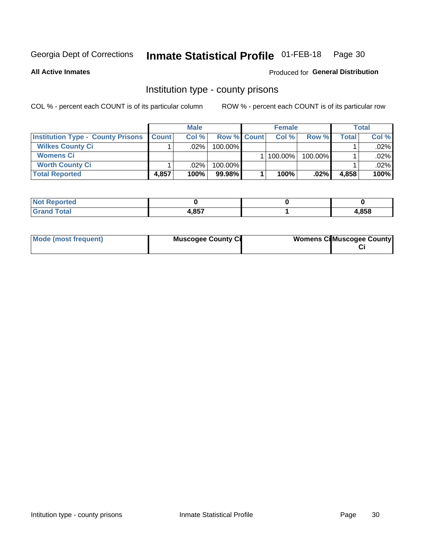#### **Inmate Statistical Profile 01-FEB-18** Page 30

**All Active Inmates** 

#### Produced for General Distribution

#### Institution type - county prisons

COL % - percent each COUNT is of its particular column

|                                          |              | <b>Male</b> |                    | <b>Female</b> |         |       | Total   |
|------------------------------------------|--------------|-------------|--------------------|---------------|---------|-------|---------|
| <b>Institution Type - County Prisons</b> | <b>Count</b> | Col%        | <b>Row % Count</b> | Col%          | Row %   | Total | Col %   |
| <b>Wilkes County Ci</b>                  |              | $.02\%$     | 100.00%            |               |         |       | $.02\%$ |
| <b>Womens Ci</b>                         |              |             |                    | $ 100.00\% $  | 100.00% |       | $.02\%$ |
| <b>Worth County Ci</b>                   |              | $.02\%$     | 100.00%            |               |         |       | .02% l  |
| <b>Total Reported</b>                    | 4.857        | 100%        | $99.98\%$          | 100%          | .02%    | 4,858 | 100%    |

| τeα                         |            |      |
|-----------------------------|------------|------|
| $\sim$ $\sim$ $\sim$ $\sim$ | <b>DET</b> | .858 |

| Mode (most frequent)<br><b>Muscogee County Ci</b> |  | <b>Womens CilMuscogee County</b> |
|---------------------------------------------------|--|----------------------------------|
|---------------------------------------------------|--|----------------------------------|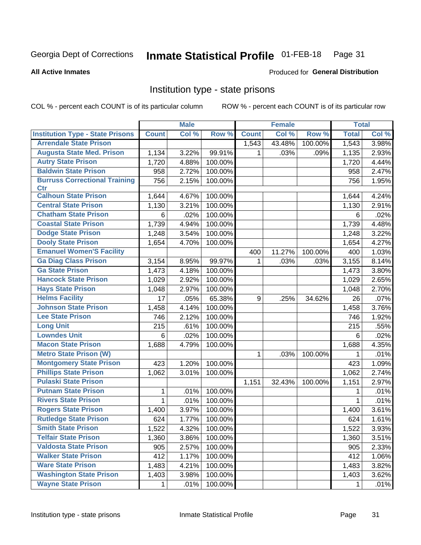#### Inmate Statistical Profile 01-FEB-18 Page 31

#### **All Active Inmates**

### Produced for General Distribution

### Institution type - state prisons

COL % - percent each COUNT is of its particular column

|                                         |              | <b>Male</b> |         |              | <b>Female</b> |         | <b>Total</b> |       |
|-----------------------------------------|--------------|-------------|---------|--------------|---------------|---------|--------------|-------|
| <b>Institution Type - State Prisons</b> | <b>Count</b> | Col %       | Row %   | <b>Count</b> | Col %         | Row %   | <b>Total</b> | Col % |
| <b>Arrendale State Prison</b>           |              |             |         | 1,543        | 43.48%        | 100.00% | 1,543        | 3.98% |
| <b>Augusta State Med. Prison</b>        | 1,134        | 3.22%       | 99.91%  | 1            | .03%          | .09%    | 1,135        | 2.93% |
| <b>Autry State Prison</b>               | 1,720        | 4.88%       | 100.00% |              |               |         | 1,720        | 4.44% |
| <b>Baldwin State Prison</b>             | 958          | 2.72%       | 100.00% |              |               |         | 958          | 2.47% |
| <b>Burruss Correctional Training</b>    | 756          | 2.15%       | 100.00% |              |               |         | 756          | 1.95% |
| <b>Ctr</b>                              |              |             |         |              |               |         |              |       |
| <b>Calhoun State Prison</b>             | 1,644        | 4.67%       | 100.00% |              |               |         | 1,644        | 4.24% |
| <b>Central State Prison</b>             | 1,130        | 3.21%       | 100.00% |              |               |         | 1,130        | 2.91% |
| <b>Chatham State Prison</b>             | 6            | .02%        | 100.00% |              |               |         | 6            | .02%  |
| <b>Coastal State Prison</b>             | 1,739        | 4.94%       | 100.00% |              |               |         | 1,739        | 4.48% |
| <b>Dodge State Prison</b>               | 1,248        | 3.54%       | 100.00% |              |               |         | 1,248        | 3.22% |
| <b>Dooly State Prison</b>               | 1,654        | 4.70%       | 100.00% |              |               |         | 1,654        | 4.27% |
| <b>Emanuel Women'S Facility</b>         |              |             |         | 400          | 11.27%        | 100.00% | 400          | 1.03% |
| <b>Ga Diag Class Prison</b>             | 3,154        | 8.95%       | 99.97%  | 1            | .03%          | .03%    | 3,155        | 8.14% |
| <b>Ga State Prison</b>                  | 1,473        | 4.18%       | 100.00% |              |               |         | 1,473        | 3.80% |
| <b>Hancock State Prison</b>             | 1,029        | 2.92%       | 100.00% |              |               |         | 1,029        | 2.65% |
| <b>Hays State Prison</b>                | 1,048        | 2.97%       | 100.00% |              |               |         | 1,048        | 2.70% |
| <b>Helms Facility</b>                   | 17           | .05%        | 65.38%  | 9            | .25%          | 34.62%  | 26           | .07%  |
| <b>Johnson State Prison</b>             | 1,458        | 4.14%       | 100.00% |              |               |         | 1,458        | 3.76% |
| <b>Lee State Prison</b>                 | 746          | 2.12%       | 100.00% |              |               |         | 746          | 1.92% |
| <b>Long Unit</b>                        | 215          | .61%        | 100.00% |              |               |         | 215          | .55%  |
| <b>Lowndes Unit</b>                     | 6            | .02%        | 100.00% |              |               |         | 6            | .02%  |
| <b>Macon State Prison</b>               | 1,688        | 4.79%       | 100.00% |              |               |         | 1,688        | 4.35% |
| <b>Metro State Prison (W)</b>           |              |             |         | 1            | .03%          | 100.00% | 1            | .01%  |
| <b>Montgomery State Prison</b>          | 423          | 1.20%       | 100.00% |              |               |         | 423          | 1.09% |
| <b>Phillips State Prison</b>            | 1,062        | 3.01%       | 100.00% |              |               |         | 1,062        | 2.74% |
| <b>Pulaski State Prison</b>             |              |             |         | 1,151        | 32.43%        | 100.00% | 1,151        | 2.97% |
| <b>Putnam State Prison</b>              | 1            | .01%        | 100.00% |              |               |         | 1            | .01%  |
| <b>Rivers State Prison</b>              | $\mathbf{1}$ | .01%        | 100.00% |              |               |         | $\mathbf{1}$ | .01%  |
| <b>Rogers State Prison</b>              | 1,400        | 3.97%       | 100.00% |              |               |         | 1,400        | 3.61% |
| <b>Rutledge State Prison</b>            | 624          | 1.77%       | 100.00% |              |               |         | 624          | 1.61% |
| <b>Smith State Prison</b>               | 1,522        | 4.32%       | 100.00% |              |               |         | 1,522        | 3.93% |
| <b>Telfair State Prison</b>             | 1,360        | $3.86\%$    | 100.00% |              |               |         | 1,360        | 3.51% |
| <b>Valdosta State Prison</b>            | 905          | 2.57%       | 100.00% |              |               |         | 905          | 2.33% |
| <b>Walker State Prison</b>              | 412          | 1.17%       | 100.00% |              |               |         | 412          | 1.06% |
| <b>Ware State Prison</b>                | 1,483        | 4.21%       | 100.00% |              |               |         | 1,483        | 3.82% |
| <b>Washington State Prison</b>          | 1,403        | 3.98%       | 100.00% |              |               |         | 1,403        | 3.62% |
| <b>Wayne State Prison</b>               | $\mathbf{1}$ | .01%        | 100.00% |              |               |         | 1            | .01%  |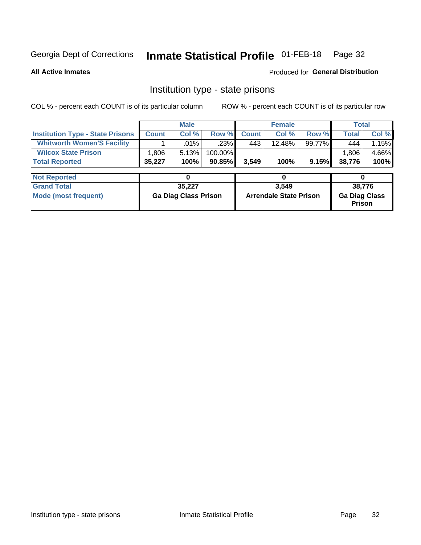## Inmate Statistical Profile 01-FEB-18 Page 32

**All Active Inmates** 

**Produced for General Distribution** 

### Institution type - state prisons

COL % - percent each COUNT is of its particular column ROW % - percent each COUNT is of its particular row

|                                         | <b>Male</b>                 |         |                               |              | <b>Female</b> |                                       | <b>Total</b> |       |
|-----------------------------------------|-----------------------------|---------|-------------------------------|--------------|---------------|---------------------------------------|--------------|-------|
| <b>Institution Type - State Prisons</b> | <b>Count</b>                | Col %   | Row %                         | <b>Count</b> | Col %         | Row %                                 | <b>Total</b> | Col % |
| <b>Whitworth Women'S Facility</b>       |                             | $.01\%$ | .23%                          | 443          | 12.48%        | 99.77%                                | 444          | 1.15% |
| <b>Wilcox State Prison</b>              | 1,806                       | 5.13%   | 100.00%                       |              |               |                                       | 1,806        | 4.66% |
| <b>Total Reported</b>                   | 35,227                      | 100%    | 90.85%                        | 3,549        | 100%          | 9.15%                                 | 38,776       | 100%  |
|                                         |                             |         |                               |              |               |                                       |              |       |
| <b>Not Reported</b>                     |                             | 0       |                               |              | 0             |                                       | 0            |       |
| <b>Grand Total</b>                      |                             | 35,227  |                               | 3,549        |               |                                       | 38,776       |       |
| <b>Mode (most frequent)</b>             | <b>Ga Diag Class Prison</b> |         | <b>Arrendale State Prison</b> |              |               | <b>Ga Diag Class</b><br><b>Prison</b> |              |       |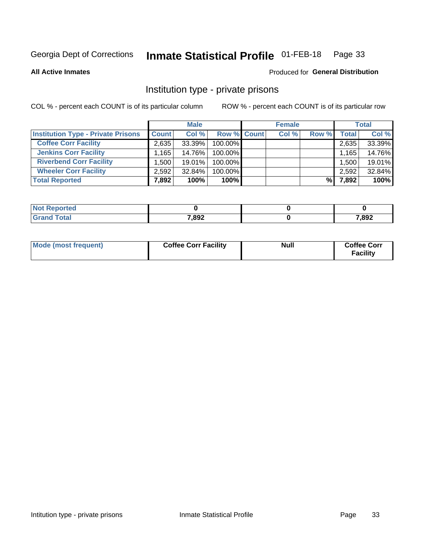#### **Inmate Statistical Profile 01-FEB-18** Page 33

**All Active Inmates** 

#### Produced for General Distribution

### Institution type - private prisons

COL % - percent each COUNT is of its particular column

|                                           |              | <b>Male</b> |                    | <b>Female</b> |       |       | <b>Total</b> |
|-------------------------------------------|--------------|-------------|--------------------|---------------|-------|-------|--------------|
| <b>Institution Type - Private Prisons</b> | <b>Count</b> | Col %       | <b>Row % Count</b> | Col %         | Row % | Total | Col %        |
| <b>Coffee Corr Facility</b>               | 2.635        | 33.39%      | 100.00%            |               |       | 2,635 | 33.39%       |
| <b>Jenkins Corr Facility</b>              | $.165+$      | 14.76%      | $100.00\%$         |               |       | 1,165 | 14.76%       |
| <b>Riverbend Corr Facility</b>            | .500         | $19.01\%$   | 100.00%            |               |       | 1,500 | 19.01%       |
| <b>Wheeler Corr Facility</b>              | 2.592        | 32.84%      | 100.00%            |               |       | 2,592 | 32.84%       |
| <b>Total Reported</b>                     | 7,892        | 100%        | 100%               |               | %     | 7,892 | 100%         |

| Reported<br>' NO). |       |       |
|--------------------|-------|-------|
| <b>cotal</b>       | 7,892 | 7,892 |

| Mode (most frequent) | <b>Coffee Corr Facility</b> | <b>Null</b> | <b>Coffee Corr</b><br><b>Facility</b> |
|----------------------|-----------------------------|-------------|---------------------------------------|
|----------------------|-----------------------------|-------------|---------------------------------------|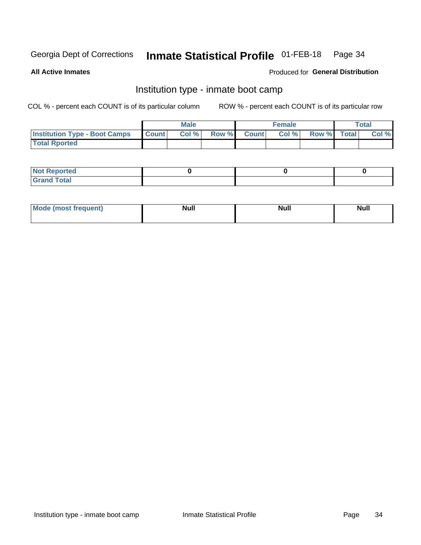#### **Inmate Statistical Profile 01-FEB-18** Page 34

**All Active Inmates** 

#### Produced for General Distribution

### Institution type - inmate boot camp

COL % - percent each COUNT is of its particular column

|                                      |                  | <b>Male</b> |              |              | <b>Female</b> |             | <b>Total</b> |
|--------------------------------------|------------------|-------------|--------------|--------------|---------------|-------------|--------------|
| <b>Institution Type - Boot Camps</b> | <b>I</b> Count I | Col %       | <b>Row %</b> | <b>Count</b> | Col %         | Row % Total | Col %        |
| <b>Total Rported</b>                 |                  |             |              |              |               |             |              |

| <b>Not Reported</b>            |  |  |
|--------------------------------|--|--|
| <b>Total</b><br>C <sub>r</sub> |  |  |

| Mod<br>uamo | Nul.<br>$- - - - - -$ | <b>Null</b> | <br>uu.<br>------ |
|-------------|-----------------------|-------------|-------------------|
|             |                       |             |                   |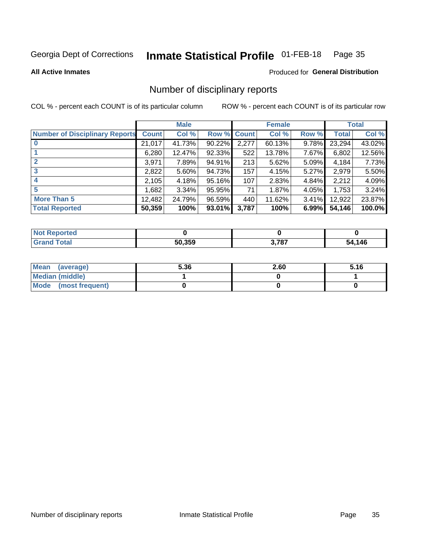#### Inmate Statistical Profile 01-FEB-18 Page 35

**All Active Inmates** 

#### Produced for General Distribution

### Number of disciplinary reports

COL % - percent each COUNT is of its particular column

|                                       |              | <b>Male</b> |             |       | <b>Female</b> |          |        | <b>Total</b> |
|---------------------------------------|--------------|-------------|-------------|-------|---------------|----------|--------|--------------|
| <b>Number of Disciplinary Reports</b> | <b>Count</b> | Col %       | Row % Count |       | Col %         | Row %    | Total  | Col %        |
| $\bf{0}$                              | 21,017       | 41.73%      | 90.22%      | 2,277 | 60.13%        | 9.78%    | 23,294 | 43.02%       |
|                                       | 6,280        | 12.47%      | 92.33%      | 522   | 13.78%        | 7.67%    | 6,802  | 12.56%       |
| $\overline{2}$                        | 3,971        | 7.89%       | 94.91%      | 213   | 5.62%         | $5.09\%$ | 4,184  | 7.73%        |
| 3                                     | 2,822        | 5.60%       | 94.73%      | 157   | 4.15%         | 5.27%    | 2,979  | 5.50%        |
|                                       | 2,105        | 4.18%       | 95.16%      | 107   | 2.83%         | 4.84%    | 2,212  | 4.09%        |
| 5                                     | .682         | 3.34%       | 95.95%      | 71    | 1.87%         | 4.05%    | 1,753  | 3.24%        |
| <b>More Than 5</b>                    | 12,482       | 24.79%      | 96.59%      | 440   | 11.62%        | 3.41%    | 12,922 | 23.87%       |
| <b>Total Reported</b>                 | 50,359       | 100%        | 93.01%      | 3,787 | 100%          | 6.99%    | 54,146 | 100.0%       |

| วrted<br>NO |        |       |            |
|-------------|--------|-------|------------|
| Total       | 50.359 | 3,787 | .146<br>54 |

| Mean (average)       | 5.36 | 2.60 | 5.16 |
|----------------------|------|------|------|
| Median (middle)      |      |      |      |
| Mode (most frequent) |      |      |      |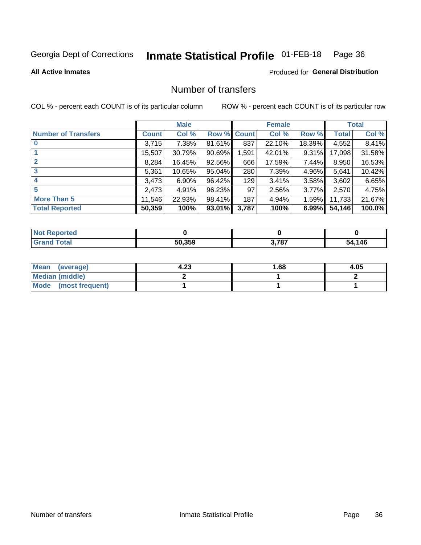#### **Inmate Statistical Profile 01-FEB-18** Page 36

#### **All Active Inmates**

#### **Produced for General Distribution**

### Number of transfers

COL % - percent each COUNT is of its particular column

|                            |              | <b>Male</b> |        |              | <b>Female</b> |          |              | <b>Total</b> |
|----------------------------|--------------|-------------|--------|--------------|---------------|----------|--------------|--------------|
| <b>Number of Transfers</b> | <b>Count</b> | Col %       | Row %  | <b>Count</b> | Col %         | Row %    | <b>Total</b> | Col %        |
|                            | 3,715        | 7.38%       | 81.61% | 837          | 22.10%        | 18.39%   | 4,552        | 8.41%        |
|                            | 15,507       | 30.79%      | 90.69% | 1,591        | 42.01%        | $9.31\%$ | 17,098       | 31.58%       |
| $\mathbf{2}$               | 8,284        | 16.45%      | 92.56% | 666          | 17.59%        | 7.44%    | 8,950        | 16.53%       |
| 3                          | 5,361        | 10.65%      | 95.04% | 280          | 7.39%         | 4.96%    | 5,641        | 10.42%       |
| 4                          | 3,473        | $6.90\%$    | 96.42% | 129          | 3.41%         | 3.58%    | 3,602        | 6.65%        |
| 5                          | 2,473        | 4.91%       | 96.23% | 97           | 2.56%         | 3.77%    | 2,570        | 4.75%        |
| <b>More Than 5</b>         | 11,546       | 22.93%      | 98.41% | 187          | 4.94%         | $1.59\%$ | 11,733       | 21.67%       |
| <b>Total Reported</b>      | 50,359       | 100%        | 93.01% | 3,787        | 100%          | 6.99%    | 54,146       | 100.0%       |

| <b>Not Reported</b> |        |       |             |
|---------------------|--------|-------|-------------|
| <b>Total</b>        | 50.359 | 3,787 | l.146<br>54 |

| Mean (average)       | 4.23 | l.68 | 4.05 |
|----------------------|------|------|------|
| Median (middle)      |      |      |      |
| Mode (most frequent) |      |      |      |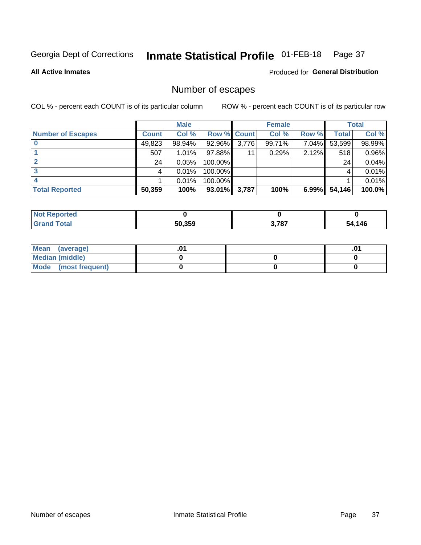#### **Inmate Statistical Profile 01-FEB-18** Page 37

**All Active Inmates** 

**Produced for General Distribution** 

### Number of escapes

COL % - percent each COUNT is of its particular column

|                          |              | <b>Male</b> |             |       | <b>Female</b> |       |        | <b>Total</b> |
|--------------------------|--------------|-------------|-------------|-------|---------------|-------|--------|--------------|
| <b>Number of Escapes</b> | <b>Count</b> | Col %       | Row % Count |       | Col %         | Row % | Total  | Col %        |
|                          | 49,823       | 98.94%      | 92.96%      | 3,776 | 99.71%        | 7.04% | 53,599 | 98.99%       |
|                          | 507          | 1.01%       | 97.88%      | 11    | 0.29%         | 2.12% | 518    | 0.96%        |
|                          | 24           | 0.05%       | 100.00%     |       |               |       | 24     | 0.04%        |
|                          |              | 0.01%       | 100.00%     |       |               |       |        | 0.01%        |
|                          |              | 0.01%       | 100.00%     |       |               |       |        | 0.01%        |
| <b>Total Reported</b>    | 50,359       | 100%        | 93.01%      | 3,787 | 100%          | 6.99% | 54,146 | 100.0%       |

| <b>Not Reported</b> |        |       |        |
|---------------------|--------|-------|--------|
| Total               | 50,359 | 3,787 | 54,146 |

| Mean (average)       |  | ו ש. |
|----------------------|--|------|
| Median (middle)      |  |      |
| Mode (most frequent) |  |      |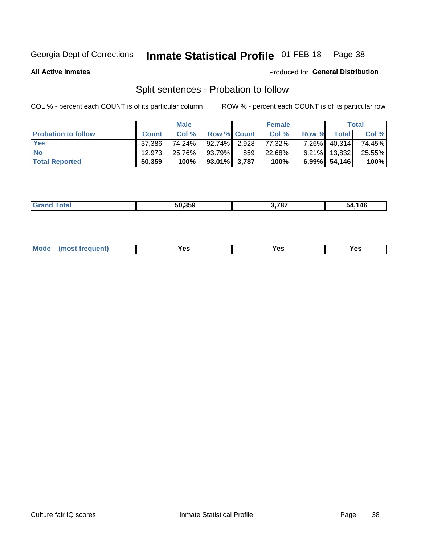#### **Inmate Statistical Profile 01-FEB-18** Page 38

**All Active Inmates** 

#### Produced for General Distribution

### Split sentences - Probation to follow

COL % - percent each COUNT is of its particular column

|                            |              | <b>Male</b> |                    |     | <b>Female</b> |          |              | <b>Total</b> |
|----------------------------|--------------|-------------|--------------------|-----|---------------|----------|--------------|--------------|
| <b>Probation to follow</b> | <b>Count</b> | Col%        | <b>Row % Count</b> |     | Col %         | Row %    | <b>Total</b> | Col %        |
| <b>Yes</b>                 | 37.386       | 74.24%      | $92.74\%$ 2.928    |     | 77.32%        | $7.26\%$ | 40,314       | 74.45%       |
| <b>No</b>                  | 12.973       | 25.76%      | 93.79%             | 859 | 22.68%        | $6.21\%$ | 13,832       | 25.55%       |
| <b>Total Reported</b>      | 50,359       | 100%        | $93.01\%$ 3,787    |     | 100%          |          | 6.99% 54,146 | 100%         |

| 50.359 | דמד י | .146<br>- מר |
|--------|-------|--------------|
|        |       |              |

| M<br>reauent)<br>/٥<br>$\sim$<br>v.,<br>.<br>$\ddotsc$<br>$\cdot$ - $\cdot$ |  |  |  |  |  |
|-----------------------------------------------------------------------------|--|--|--|--|--|
|-----------------------------------------------------------------------------|--|--|--|--|--|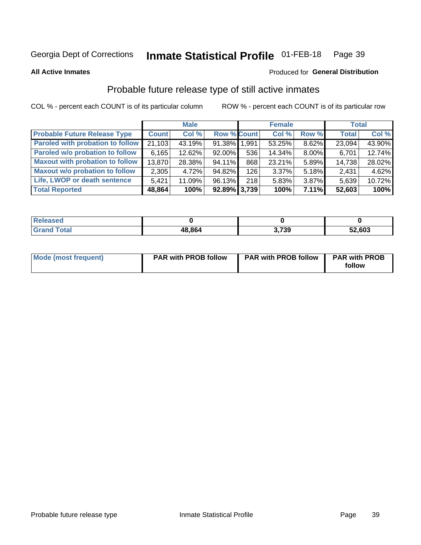#### **Inmate Statistical Profile 01-FEB-18** Page 39

**All Active Inmates** 

#### Produced for General Distribution

### Probable future release type of still active inmates

COL % - percent each COUNT is of its particular column

|                                         |              | <b>Male</b> |                    |     | <b>Female</b> |       | <b>Total</b> |        |
|-----------------------------------------|--------------|-------------|--------------------|-----|---------------|-------|--------------|--------|
| <b>Probable Future Release Type</b>     | <b>Count</b> | Col %       | <b>Row % Count</b> |     | Col %         | Row % | <b>Total</b> | Col %  |
| <b>Paroled with probation to follow</b> | 21,103       | 43.19%      | 91.38% 1.991       |     | 53.25%        | 8.62% | 23,094       | 43.90% |
| Paroled w/o probation to follow         | 6,165        | 12.62%      | $92.00\%$          | 536 | 14.34%        | 8.00% | 6,701        | 12.74% |
| <b>Maxout with probation to follow</b>  | 13,870       | 28.38%      | 94.11%             | 868 | 23.21%        | 5.89% | 14,738       | 28.02% |
| <b>Maxout w/o probation to follow</b>   | 2,305        | 4.72%       | 94.82%             | 126 | 3.37%         | 5.18% | 2,431        | 4.62%  |
| Life, LWOP or death sentence            | 5.421        | 11.09%      | 96.13%             | 218 | 5.83%         | 3.87% | 5,639        | 10.72% |
| <b>Total Reported</b>                   | 48,864       | 100%        | $92.89\%$ 3,739    |     | 100%          | 7.11% | 52,603       | 100%   |

| $f \wedge f \wedge f$ | 48,864 | ,739 | 52,603 |
|-----------------------|--------|------|--------|

| <b>Mode (most frequent)</b> | <b>PAR with PROB follow</b> | <b>PAR with PROB follow</b> | <b>PAR with PROB</b> |
|-----------------------------|-----------------------------|-----------------------------|----------------------|
|                             |                             |                             | follow               |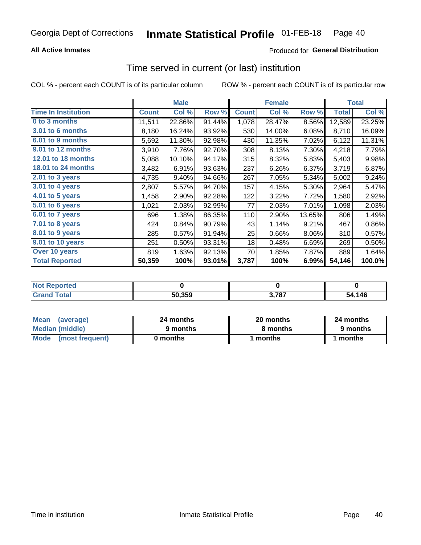## **All Active Inmates**

## **Produced for General Distribution**

## Time served in current (or last) institution

COL % - percent each COUNT is of its particular column

|                            |              | <b>Male</b> |        |              | <b>Female</b> |        |                     | <b>Total</b> |
|----------------------------|--------------|-------------|--------|--------------|---------------|--------|---------------------|--------------|
| <b>Time In Institution</b> | <b>Count</b> | Col %       | Row %  | <b>Count</b> | Col %         | Row %  | <b>Total</b>        | Col %        |
| 0 to 3 months              | 11,511       | 22.86%      | 91.44% | 1,078        | 28.47%        | 8.56%  | $\overline{12,589}$ | 23.25%       |
| 3.01 to 6 months           | 8,180        | 16.24%      | 93.92% | 530          | 14.00%        | 6.08%  | 8,710               | 16.09%       |
| 6.01 to 9 months           | 5,692        | 11.30%      | 92.98% | 430          | 11.35%        | 7.02%  | 6,122               | 11.31%       |
| 9.01 to 12 months          | 3,910        | 7.76%       | 92.70% | 308          | 8.13%         | 7.30%  | 4,218               | 7.79%        |
| 12.01 to 18 months         | 5,088        | 10.10%      | 94.17% | 315          | 8.32%         | 5.83%  | 5,403               | 9.98%        |
| <b>18.01 to 24 months</b>  | 3,482        | 6.91%       | 93.63% | 237          | 6.26%         | 6.37%  | 3,719               | 6.87%        |
| 2.01 to 3 years            | 4,735        | 9.40%       | 94.66% | 267          | 7.05%         | 5.34%  | 5,002               | 9.24%        |
| $3.01$ to 4 years          | 2,807        | 5.57%       | 94.70% | 157          | 4.15%         | 5.30%  | 2,964               | 5.47%        |
| 4.01 to 5 years            | 1,458        | 2.90%       | 92.28% | 122          | 3.22%         | 7.72%  | 1,580               | 2.92%        |
| 5.01 to 6 years            | 1,021        | 2.03%       | 92.99% | 77           | 2.03%         | 7.01%  | 1,098               | 2.03%        |
| 6.01 to 7 years            | 696          | 1.38%       | 86.35% | 110          | 2.90%         | 13.65% | 806                 | 1.49%        |
| 7.01 to 8 years            | 424          | 0.84%       | 90.79% | 43           | 1.14%         | 9.21%  | 467                 | 0.86%        |
| $8.01$ to 9 years          | 285          | 0.57%       | 91.94% | 25           | 0.66%         | 8.06%  | 310                 | 0.57%        |
| 9.01 to 10 years           | 251          | 0.50%       | 93.31% | 18           | 0.48%         | 6.69%  | 269                 | 0.50%        |
| Over 10 years              | 819          | 1.63%       | 92.13% | 70           | 1.85%         | 7.87%  | 889                 | 1.64%        |
| <b>Total Reported</b>      | 50,359       | 100%        | 93.01% | 3,787        | 100%          | 6.99%  | 54,146              | 100.0%       |

| neo<br><b>NOT</b> |        |       |        |
|-------------------|--------|-------|--------|
|                   | 50,359 | 3,787 | 54,146 |

| <b>Mean</b><br>(average) | 24 months | 20 months | 24 months |  |
|--------------------------|-----------|-----------|-----------|--|
| Median (middle)          | 9 months  | 8 months  | 9 months  |  |
| Mode<br>(most frequent)  | 0 months  | months    | months    |  |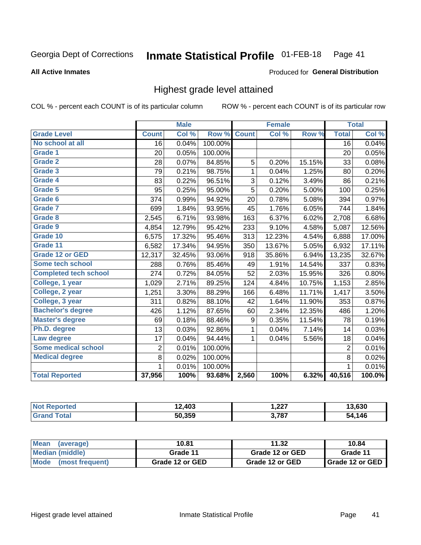### Inmate Statistical Profile 01-FEB-18 Page 41

### **All Active Inmates**

# Produced for General Distribution

# Highest grade level attained

COL % - percent each COUNT is of its particular column

|                              |                 | <b>Male</b> |         |              | <b>Female</b> |        |                 | <b>Total</b> |
|------------------------------|-----------------|-------------|---------|--------------|---------------|--------|-----------------|--------------|
| <b>Grade Level</b>           | <b>Count</b>    | Col %       | Row %   | <b>Count</b> | Col %         | Row %  | <b>Total</b>    | Col %        |
| No school at all             | $\overline{16}$ | 0.04%       | 100.00% |              |               |        | $\overline{16}$ | 0.04%        |
| <b>Grade 1</b>               | 20              | 0.05%       | 100.00% |              |               |        | 20              | 0.05%        |
| <b>Grade 2</b>               | 28              | 0.07%       | 84.85%  | 5            | 0.20%         | 15.15% | 33              | 0.08%        |
| Grade 3                      | 79              | 0.21%       | 98.75%  | 1            | 0.04%         | 1.25%  | 80              | 0.20%        |
| <b>Grade 4</b>               | 83              | 0.22%       | 96.51%  | 3            | 0.12%         | 3.49%  | 86              | 0.21%        |
| Grade 5                      | 95              | 0.25%       | 95.00%  | 5            | 0.20%         | 5.00%  | 100             | 0.25%        |
| Grade 6                      | 374             | 0.99%       | 94.92%  | 20           | 0.78%         | 5.08%  | 394             | 0.97%        |
| <b>Grade 7</b>               | 699             | 1.84%       | 93.95%  | 45           | 1.76%         | 6.05%  | 744             | 1.84%        |
| Grade 8                      | 2,545           | 6.71%       | 93.98%  | 163          | 6.37%         | 6.02%  | 2,708           | 6.68%        |
| Grade 9                      | 4,854           | 12.79%      | 95.42%  | 233          | 9.10%         | 4.58%  | 5,087           | 12.56%       |
| Grade 10                     | 6,575           | 17.32%      | 95.46%  | 313          | 12.23%        | 4.54%  | 6,888           | 17.00%       |
| Grade 11                     | 6,582           | 17.34%      | 94.95%  | 350          | 13.67%        | 5.05%  | 6,932           | 17.11%       |
| <b>Grade 12 or GED</b>       | 12,317          | 32.45%      | 93.06%  | 918          | 35.86%        | 6.94%  | 13,235          | 32.67%       |
| <b>Some tech school</b>      | 288             | 0.76%       | 85.46%  | 49           | 1.91%         | 14.54% | 337             | 0.83%        |
| <b>Completed tech school</b> | 274             | 0.72%       | 84.05%  | 52           | 2.03%         | 15.95% | 326             | 0.80%        |
| College, 1 year              | 1,029           | 2.71%       | 89.25%  | 124          | 4.84%         | 10.75% | 1,153           | 2.85%        |
| College, 2 year              | 1,251           | 3.30%       | 88.29%  | 166          | 6.48%         | 11.71% | 1,417           | 3.50%        |
| College, 3 year              | 311             | 0.82%       | 88.10%  | 42           | 1.64%         | 11.90% | 353             | 0.87%        |
| <b>Bachelor's degree</b>     | 426             | 1.12%       | 87.65%  | 60           | 2.34%         | 12.35% | 486             | 1.20%        |
| <b>Master's degree</b>       | 69              | 0.18%       | 88.46%  | 9            | 0.35%         | 11.54% | 78              | 0.19%        |
| Ph.D. degree                 | 13              | 0.03%       | 92.86%  | 1            | 0.04%         | 7.14%  | 14              | 0.03%        |
| Law degree                   | 17              | 0.04%       | 94.44%  | 1            | 0.04%         | 5.56%  | 18              | 0.04%        |
| <b>Some medical school</b>   | $\overline{2}$  | 0.01%       | 100.00% |              |               |        | $\overline{2}$  | 0.01%        |
| <b>Medical degree</b>        | 8               | 0.02%       | 100.00% |              |               |        | 8               | 0.02%        |
|                              | $\mathbf 1$     | 0.01%       | 100.00% |              |               |        | 1               | 0.01%        |
| <b>Total Reported</b>        | 37,956          | 100%        | 93.68%  | 2,560        | 100%          | 6.32%  | 40,516          | 100.0%       |

| .403            | ່າາກ<br>، عمر ا | 0.000<br>.63U |
|-----------------|-----------------|---------------|
| 50350<br>ວບ.ວວນ | 3 787           | 14F<br>מרי    |

| <b>Mean</b><br>(average) | 10.81           | 11.32           | 10.84           |
|--------------------------|-----------------|-----------------|-----------------|
| Median (middle)          | Grade 11        | Grade 12 or GED | Grade 11        |
| Mode<br>(most frequent)  | Grade 12 or GED | Grade 12 or GED | Grade 12 or GED |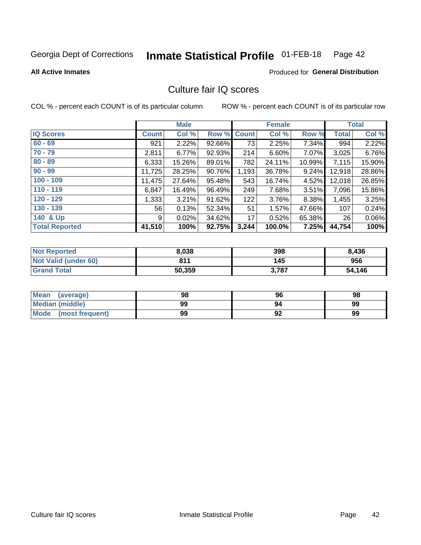### **Inmate Statistical Profile 01-FEB-18** Page 42

**All Active Inmates** 

## **Produced for General Distribution**

# Culture fair IQ scores

COL % - percent each COUNT is of its particular column

|                       |              | <b>Male</b> |        |              | <b>Female</b> |          |              | <b>Total</b> |
|-----------------------|--------------|-------------|--------|--------------|---------------|----------|--------------|--------------|
| <b>IQ Scores</b>      | <b>Count</b> | Col %       | Row %  | <b>Count</b> | Col %         | Row %    | <b>Total</b> | Col %        |
| $60 - 69$             | 921          | 2.22%       | 92.66% | 73           | 2.25%         | 7.34%    | 994          | 2.22%        |
| $70 - 79$             | 2,811        | 6.77%       | 92.93% | 214          | 6.60%         | 7.07%    | 3,025        | 6.76%        |
| $80 - 89$             | 6,333        | 15.26%      | 89.01% | 782          | 24.11%        | 10.99%   | 7,115        | 15.90%       |
| $90 - 99$             | 11,725       | 28.25%      | 90.76% | 1,193        | 36.78%        | 9.24%    | 12,918       | 28.86%       |
| $100 - 109$           | 11,475       | 27.64%      | 95.48% | 543          | 16.74%        | 4.52%    | 12,018       | 26.85%       |
| $110 - 119$           | 6,847        | 16.49%      | 96.49% | 249          | 7.68%         | $3.51\%$ | 7,096        | 15.86%       |
| $120 - 129$           | 1,333        | 3.21%       | 91.62% | 122          | 3.76%         | 8.38%    | 1,455        | 3.25%        |
| $130 - 139$           | 56           | 0.13%       | 52.34% | 51           | 1.57%         | 47.66%   | 107          | 0.24%        |
| 140 & Up              | 9            | 0.02%       | 34.62% | 17           | 0.52%         | 65.38%   | 26           | 0.06%        |
| <b>Total Reported</b> | 41,510       | 100%        | 92.75% | 3,244        | 100.0%        | 7.25%    | 44,754       | 100%         |

| <b>Not Reported</b>         | 8,038  | 398   | 8,436  |
|-----------------------------|--------|-------|--------|
| <b>Not Valid (under 60)</b> | 811    | 145   | 956    |
| <b>Grand Total</b>          | 50,359 | 3,787 | 54,146 |

| <b>Mean</b><br>(average) | 98 | 96 | 98 |
|--------------------------|----|----|----|
| Median (middle)          | 99 | 94 | 99 |
| Mode<br>(most frequent)  | 99 | 92 | 99 |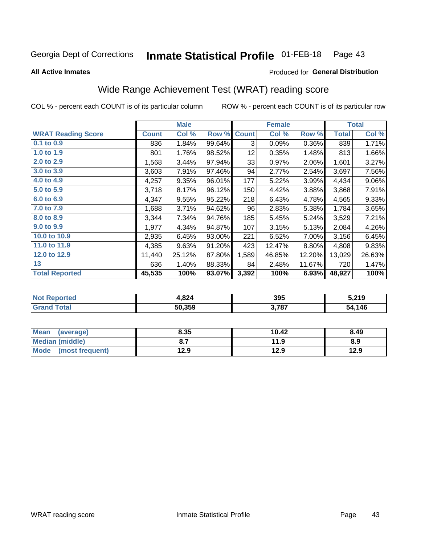### **Inmate Statistical Profile 01-FEB-18** Page 43

**All Active Inmates** 

## Produced for General Distribution

# Wide Range Achievement Test (WRAT) reading score

COL % - percent each COUNT is of its particular column

|                           |              | <b>Male</b> |        |              | <b>Female</b> |        |              | <b>Total</b> |
|---------------------------|--------------|-------------|--------|--------------|---------------|--------|--------------|--------------|
| <b>WRAT Reading Score</b> | <b>Count</b> | Col %       | Row %  | <b>Count</b> | Col %         | Row %  | <b>Total</b> | Col %        |
| 0.1 to 0.9                | 836          | 1.84%       | 99.64% | 3            | 0.09%         | 0.36%  | 839          | 1.71%        |
| 1.0 to 1.9                | 801          | 1.76%       | 98.52% | 12           | 0.35%         | 1.48%  | 813          | 1.66%        |
| 2.0 to 2.9                | 1,568        | 3.44%       | 97.94% | 33           | 0.97%         | 2.06%  | 1,601        | 3.27%        |
| 3.0 to 3.9                | 3,603        | 7.91%       | 97.46% | 94           | 2.77%         | 2.54%  | 3,697        | 7.56%        |
| 4.0 to 4.9                | 4,257        | 9.35%       | 96.01% | 177          | 5.22%         | 3.99%  | 4,434        | $9.06\%$     |
| 5.0 to 5.9                | 3,718        | 8.17%       | 96.12% | 150          | 4.42%         | 3.88%  | 3,868        | 7.91%        |
| 6.0 to 6.9                | 4,347        | 9.55%       | 95.22% | 218          | 6.43%         | 4.78%  | 4,565        | 9.33%        |
| 7.0 to 7.9                | 1,688        | 3.71%       | 94.62% | 96           | 2.83%         | 5.38%  | 1,784        | 3.65%        |
| 8.0 to 8.9                | 3,344        | 7.34%       | 94.76% | 185          | 5.45%         | 5.24%  | 3,529        | 7.21%        |
| 9.0 to 9.9                | 1,977        | 4.34%       | 94.87% | 107          | 3.15%         | 5.13%  | 2,084        | 4.26%        |
| 10.0 to 10.9              | 2,935        | 6.45%       | 93.00% | 221          | 6.52%         | 7.00%  | 3,156        | 6.45%        |
| 11.0 to 11.9              | 4,385        | 9.63%       | 91.20% | 423          | 12.47%        | 8.80%  | 4,808        | 9.83%        |
| 12.0 to 12.9              | 11,440       | 25.12%      | 87.80% | 1,589        | 46.85%        | 12.20% | 13,029       | 26.63%       |
| 13                        | 636          | 1.40%       | 88.33% | 84           | 2.48%         | 11.67% | 720          | 1.47%        |
| <b>Total Reported</b>     | 45,535       | 100%        | 93.07% | 3,392        | 100%          | 6.93%  | 48,927       | 100%         |

| -тес<br>NO | 4,824  | 395   | 5,219      |
|------------|--------|-------|------------|
|            | 50,359 | 3,787 | .146<br>54 |

| <b>Mean</b><br>(average) | 8.35 | 10.42 | 8.49 |
|--------------------------|------|-------|------|
| Median (middle)          |      | 11.9  | 8.9  |
| Mode<br>(most frequent)  | 12.9 | 12.9  | 12.9 |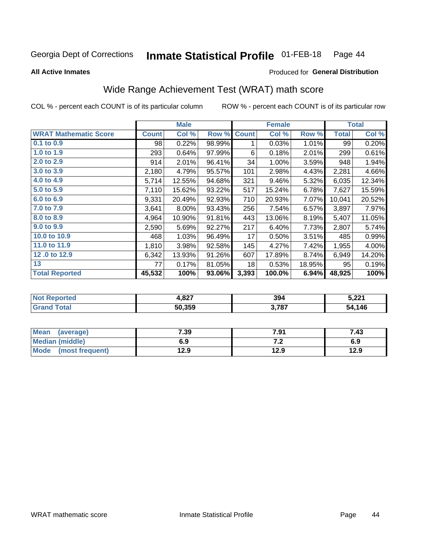### **Inmate Statistical Profile 01-FEB-18** Page 44

**All Active Inmates** 

### Produced for General Distribution

# Wide Range Achievement Test (WRAT) math score

COL % - percent each COUNT is of its particular column

|                              |              | <b>Male</b> |        |              | <b>Female</b> |        |              | <b>Total</b> |
|------------------------------|--------------|-------------|--------|--------------|---------------|--------|--------------|--------------|
| <b>WRAT Mathematic Score</b> | <b>Count</b> | Col %       | Row %  | <b>Count</b> | Col %         | Row %  | <b>Total</b> | Col %        |
| $0.1$ to $0.9$               | 98           | 0.22%       | 98.99% | 1            | 0.03%         | 1.01%  | 99           | 0.20%        |
| 1.0 to 1.9                   | 293          | 0.64%       | 97.99% | 6            | 0.18%         | 2.01%  | 299          | 0.61%        |
| 2.0 to 2.9                   | 914          | 2.01%       | 96.41% | 34           | 1.00%         | 3.59%  | 948          | 1.94%        |
| 3.0 to 3.9                   | 2,180        | 4.79%       | 95.57% | 101          | 2.98%         | 4.43%  | 2,281        | 4.66%        |
| 4.0 to 4.9                   | 5,714        | 12.55%      | 94.68% | 321          | 9.46%         | 5.32%  | 6,035        | 12.34%       |
| 5.0 to 5.9                   | 7,110        | 15.62%      | 93.22% | 517          | 15.24%        | 6.78%  | 7,627        | 15.59%       |
| 6.0 to 6.9                   | 9,331        | 20.49%      | 92.93% | 710          | 20.93%        | 7.07%  | 10,041       | 20.52%       |
| 7.0 to 7.9                   | 3,641        | 8.00%       | 93.43% | 256          | 7.54%         | 6.57%  | 3,897        | 7.97%        |
| 8.0 to 8.9                   | 4,964        | 10.90%      | 91.81% | 443          | 13.06%        | 8.19%  | 5,407        | 11.05%       |
| 9.0 to 9.9                   | 2,590        | 5.69%       | 92.27% | 217          | 6.40%         | 7.73%  | 2,807        | 5.74%        |
| 10.0 to 10.9                 | 468          | 1.03%       | 96.49% | 17           | 0.50%         | 3.51%  | 485          | 0.99%        |
| 11.0 to 11.9                 | 1,810        | 3.98%       | 92.58% | 145          | 4.27%         | 7.42%  | 1,955        | 4.00%        |
| 12.0 to 12.9                 | 6,342        | 13.93%      | 91.26% | 607          | 17.89%        | 8.74%  | 6,949        | 14.20%       |
| 13                           | 77           | 0.17%       | 81.05% | 18           | 0.53%         | 18.95% | 95           | 0.19%        |
| <b>Total Reported</b>        | 45,532       | 100%        | 93.06% | 3,393        | 100.0%        | 6.94%  | 48,925       | 100%         |

| <b>orted</b><br><b>NOT</b> | 4,827  | 394   | רמה :<br>1 <b>3.4</b> |
|----------------------------|--------|-------|-----------------------|
| <b>Total</b><br>'Grano     | 50,359 | 3,787 | 54,146                |

| <b>Mean</b><br>(average) | 7.39 | 7.91 | 7.43 |
|--------------------------|------|------|------|
| Median (middle)          | 6.9  | 6.⊾  | 6.9  |
| Mode<br>(most frequent)  | 12.9 | 12.9 | 12.9 |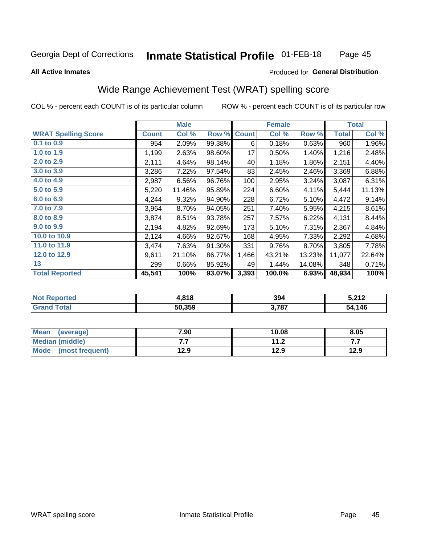### **Inmate Statistical Profile 01-FEB-18** Page 45

### **All Active Inmates**

## Produced for General Distribution

# Wide Range Achievement Test (WRAT) spelling score

COL % - percent each COUNT is of its particular column

|                            |              | <b>Male</b> |        |              | <b>Female</b> |        |              | <b>Total</b> |
|----------------------------|--------------|-------------|--------|--------------|---------------|--------|--------------|--------------|
| <b>WRAT Spelling Score</b> | <b>Count</b> | Col %       | Row %  | <b>Count</b> | Col %         | Row %  | <b>Total</b> | Col %        |
| $0.1$ to $0.9$             | 954          | 2.09%       | 99.38% | 6            | 0.18%         | 0.63%  | 960          | 1.96%        |
| 1.0 to 1.9                 | 1,199        | 2.63%       | 98.60% | 17           | 0.50%         | 1.40%  | 1,216        | 2.48%        |
| 2.0 to 2.9                 | 2,111        | 4.64%       | 98.14% | 40           | 1.18%         | 1.86%  | 2,151        | 4.40%        |
| 3.0 to 3.9                 | 3,286        | 7.22%       | 97.54% | 83           | 2.45%         | 2.46%  | 3,369        | 6.88%        |
| 4.0 to 4.9                 | 2,987        | 6.56%       | 96.76% | 100          | 2.95%         | 3.24%  | 3,087        | 6.31%        |
| 5.0 to 5.9                 | 5,220        | 11.46%      | 95.89% | 224          | 6.60%         | 4.11%  | 5,444        | 11.13%       |
| 6.0 to 6.9                 | 4,244        | 9.32%       | 94.90% | 228          | 6.72%         | 5.10%  | 4,472        | 9.14%        |
| 7.0 to 7.9                 | 3,964        | 8.70%       | 94.05% | 251          | 7.40%         | 5.95%  | 4,215        | 8.61%        |
| 8.0 to 8.9                 | 3,874        | 8.51%       | 93.78% | 257          | 7.57%         | 6.22%  | 4,131        | 8.44%        |
| 9.0 to 9.9                 | 2,194        | 4.82%       | 92.69% | 173          | 5.10%         | 7.31%  | 2,367        | 4.84%        |
| 10.0 to 10.9               | 2,124        | 4.66%       | 92.67% | 168          | 4.95%         | 7.33%  | 2,292        | 4.68%        |
| 11.0 to 11.9               | 3,474        | 7.63%       | 91.30% | 331          | 9.76%         | 8.70%  | 3,805        | 7.78%        |
| 12.0 to 12.9               | 9,611        | 21.10%      | 86.77% | 1,466        | 43.21%        | 13.23% | 11,077       | 22.64%       |
| 13                         | 299          | 0.66%       | 85.92% | 49           | 1.44%         | 14.08% | 348          | 0.71%        |
| <b>Total Reported</b>      | 45,541       | 100%        | 93.07% | 3,393        | 100.0%        | 6.93%  | 48,934       | 100%         |

| -тес<br>NO | 4,818  | 394   | ξ 919<br><u>c i a</u> |
|------------|--------|-------|-----------------------|
| int        | 50,359 | 3,787 | .146<br>54            |

| <b>Mean</b><br>(average)       | 7.90 | 10.08                | 8.05 |
|--------------------------------|------|----------------------|------|
| Median (middle)                | . .  | 11 つ<br>. . <u>.</u> |      |
| <b>Mode</b><br>(most frequent) | 12.9 | 12.9                 | 12.9 |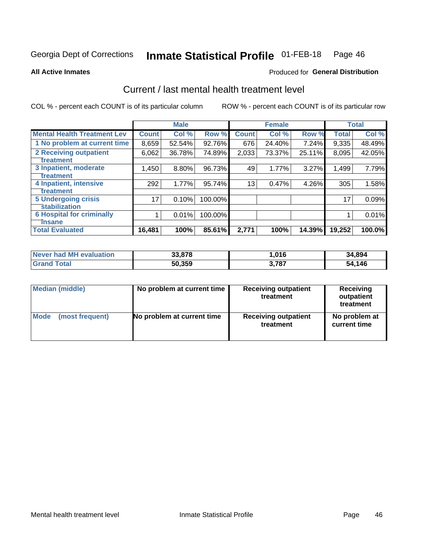### **Inmate Statistical Profile 01-FEB-18** Page 46

**All Active Inmates** 

## **Produced for General Distribution**

# Current / last mental health treatment level

COL % - percent each COUNT is of its particular column

|                                    |              | <b>Male</b> |         |              | <b>Female</b> |        |              | <b>Total</b> |
|------------------------------------|--------------|-------------|---------|--------------|---------------|--------|--------------|--------------|
| <b>Mental Health Treatment Lev</b> | <b>Count</b> | Col %       | Row %   | <b>Count</b> | Col %         | Row %  | <b>Total</b> | Col %        |
| 1 No problem at current time       | 8,659        | 52.54%      | 92.76%  | 676          | 24.40%        | 7.24%  | 9,335        | 48.49%       |
| 2 Receiving outpatient             | 6,062        | 36.78%      | 74.89%  | 2,033        | 73.37%        | 25.11% | 8,095        | 42.05%       |
| <b>Treatment</b>                   |              |             |         |              |               |        |              |              |
| 3 Inpatient, moderate              | 1,450        | 8.80%       | 96.73%  | 49           | 1.77%         | 3.27%  | 1,499        | 7.79%        |
| <b>Treatment</b>                   |              |             |         |              |               |        |              |              |
| 4 Inpatient, intensive             | 292          | 1.77%       | 95.74%  | 13           | 0.47%         | 4.26%  | 305          | 1.58%        |
| <b>Treatment</b>                   |              |             |         |              |               |        |              |              |
| <b>5 Undergoing crisis</b>         | 17           | 0.10%       | 100.00% |              |               |        | 17           | 0.09%        |
| <b>stabilization</b>               |              |             |         |              |               |        |              |              |
| <b>6 Hospital for criminally</b>   |              | 0.01%       | 100.00% |              |               |        |              | 0.01%        |
| <b>Tinsane</b>                     |              |             |         |              |               |        |              |              |
| <b>Total Evaluated</b>             | 16,481       | 100%        | 85.61%  | 2,771        | 100%          | 14.39% | 19,252       | 100.0%       |

| <b>Never had MH evaluation</b> | 33.878 | .016  | 34,894 |
|--------------------------------|--------|-------|--------|
| Total                          | 50,359 | 3,787 | 54,146 |

| Median (middle) | No problem at current time | <b>Receiving outpatient</b><br>treatment | <b>Receiving</b><br>outpatient<br>treatment |
|-----------------|----------------------------|------------------------------------------|---------------------------------------------|
| <b>Mode</b>     | No problem at current time | <b>Receiving outpatient</b>              | No problem at                               |
| (most frequent) |                            | treatment                                | current time                                |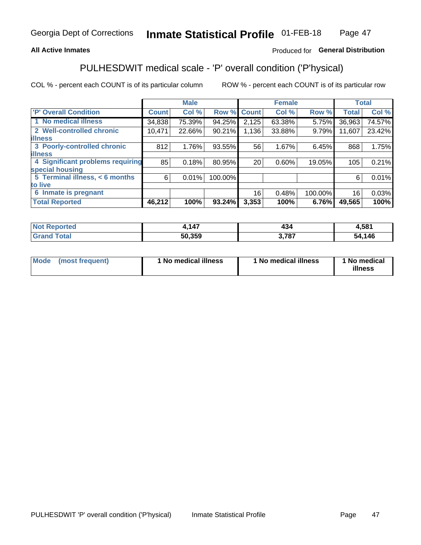## **All Active Inmates**

## Produced for General Distribution

# PULHESDWIT medical scale - 'P' overall condition ('P'hysical)

COL % - percent each COUNT is of its particular column

|                                  |              | <b>Male</b> |         |              | <b>Female</b> |         |              | <b>Total</b> |
|----------------------------------|--------------|-------------|---------|--------------|---------------|---------|--------------|--------------|
| <b>'P' Overall Condition</b>     | <b>Count</b> | Col %       | Row %   | <b>Count</b> | Col %         | Row %   | <b>Total</b> | Col %        |
| 1 No medical illness             | 34,838       | 75.39%      | 94.25%  | 2,125        | 63.38%        | 5.75%   | 36,963       | 74.57%       |
| 2 Well-controlled chronic        | 10,471       | 22.66%      | 90.21%  | 1,136        | 33.88%        | 9.79%   | 11,607       | 23.42%       |
| <b>lillness</b>                  |              |             |         |              |               |         |              |              |
| 3 Poorly-controlled chronic      | 812          | 1.76%       | 93.55%  | 56           | 1.67%         | 6.45%   | 868          | 1.75%        |
| <b>illness</b>                   |              |             |         |              |               |         |              |              |
| 4 Significant problems requiring | 85           | 0.18%       | 80.95%  | 20           | 0.60%         | 19.05%  | 105          | 0.21%        |
| special housing                  |              |             |         |              |               |         |              |              |
| 5 Terminal illness, < 6 months   | 6            | 0.01%       | 100.00% |              |               |         | 6            | 0.01%        |
| to live                          |              |             |         |              |               |         |              |              |
| Inmate is pregnant<br>6          |              |             |         | 16           | 0.48%         | 100.00% | 16           | 0.03%        |
| <b>Total Reported</b>            | 46,212       | 100%        | 93.24%  | 3,353        | 100%          | 6.76%   | 49,565       | 100%         |

| rteo | A7<br>т. |     | .581   |
|------|----------|-----|--------|
|      | 50.359   | 707 | 54,146 |

| Mode | (most frequent) | 1 No medical illness | 1 No medical illness | 1 No medical<br>illness |
|------|-----------------|----------------------|----------------------|-------------------------|
|------|-----------------|----------------------|----------------------|-------------------------|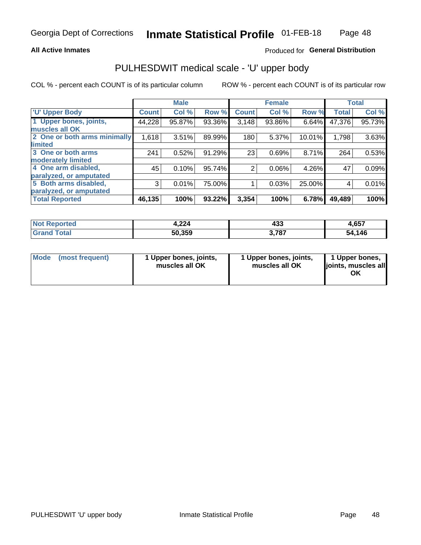## **All Active Inmates**

## Produced for General Distribution

# PULHESDWIT medical scale - 'U' upper body

COL % - percent each COUNT is of its particular column

|                              |              | <b>Male</b> |        |                | <b>Female</b> |        |              | <b>Total</b> |
|------------------------------|--------------|-------------|--------|----------------|---------------|--------|--------------|--------------|
| <b>U' Upper Body</b>         | <b>Count</b> | Col %       | Row %  | <b>Count</b>   | Col %         | Row %  | <b>Total</b> | Col %        |
| 1 Upper bones, joints,       | 44,228       | 95.87%      | 93.36% | 3,148          | 93.86%        | 6.64%  | 47,376       | 95.73%       |
| muscles all OK               |              |             |        |                |               |        |              |              |
| 2 One or both arms minimally | 1,618        | 3.51%       | 89.99% | 180            | 5.37%         | 10.01% | 1,798        | 3.63%        |
| limited                      |              |             |        |                |               |        |              |              |
| 3 One or both arms           | 241          | 0.52%       | 91.29% | 23             | 0.69%         | 8.71%  | 264          | 0.53%        |
| <b>moderately limited</b>    |              |             |        |                |               |        |              |              |
| 4 One arm disabled,          | 45           | 0.10%       | 95.74% | $\overline{2}$ | 0.06%         | 4.26%  | 47           | 0.09%        |
| paralyzed, or amputated      |              |             |        |                |               |        |              |              |
| 5 Both arms disabled,        | 3            | 0.01%       | 75.00% |                | 0.03%         | 25.00% | 4            | 0.01%        |
| paralyzed, or amputated      |              |             |        |                |               |        |              |              |
| <b>Total Reported</b>        | 46,135       | 100%        | 93.22% | 3,354          | 100%          | 6.78%  | 49,489       | 100%         |

| <b>Not Reported</b>          | 4,224  | 433   | 4,657  |
|------------------------------|--------|-------|--------|
| <b>Total</b><br><b>Grand</b> | 50,359 | 3,787 | 54,146 |

| Mode (most frequent) | 1 Upper bones, joints,<br>muscles all OK | 1 Upper bones, joints,<br>muscles all OK | 1 Upper bones,<br>joints, muscles all<br>ΟK |
|----------------------|------------------------------------------|------------------------------------------|---------------------------------------------|
|----------------------|------------------------------------------|------------------------------------------|---------------------------------------------|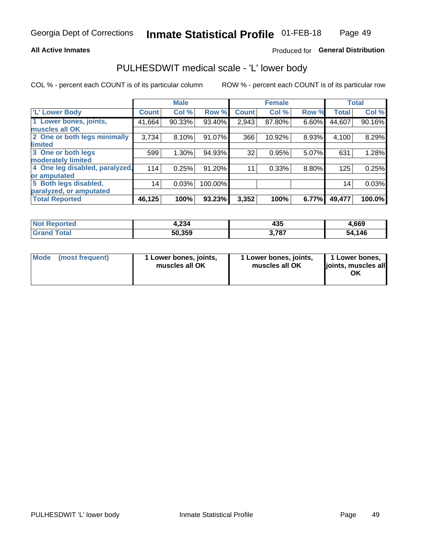## **All Active Inmates**

## Produced for General Distribution

# PULHESDWIT medical scale - 'L' lower body

COL % - percent each COUNT is of its particular column

|                                |              | <b>Male</b> |         |              | <b>Female</b> |       |              | <b>Total</b> |
|--------------------------------|--------------|-------------|---------|--------------|---------------|-------|--------------|--------------|
| 'L' Lower Body                 | <b>Count</b> | Col %       | Row %   | <b>Count</b> | Col %         | Row % | <b>Total</b> | Col %        |
| 1 Lower bones, joints,         | 41,664       | 90.33%      | 93.40%  | 2,943        | 87.80%        | 6.60% | 44,607       | 90.16%       |
| muscles all OK                 |              |             |         |              |               |       |              |              |
| 2 One or both legs minimally   | 3,734        | 8.10%       | 91.07%  | 366          | 10.92%        | 8.93% | 4,100        | 8.29%        |
| limited                        |              |             |         |              |               |       |              |              |
| 3 One or both legs             | 599          | 1.30%       | 94.93%  | 32           | 0.95%         | 5.07% | 631          | 1.28%        |
| moderately limited             |              |             |         |              |               |       |              |              |
| 4 One leg disabled, paralyzed, | 114          | 0.25%       | 91.20%  | 11           | 0.33%         | 8.80% | 125          | 0.25%        |
| or amputated                   |              |             |         |              |               |       |              |              |
| 5 Both legs disabled,          | 14           | 0.03%       | 100.00% |              |               |       | 14           | 0.03%        |
| paralyzed, or amputated        |              |             |         |              |               |       |              |              |
| <b>Total Reported</b>          | 46,125       | 100%        | 93.23%  | 3,352        | 100%          | 6.77% | 49,477       | 100.0%       |

| <b>Not Reported</b>   | າາທ<br>4.ZJ4 | 435              | 4,669  |
|-----------------------|--------------|------------------|--------|
| Total<br><b>Grand</b> | 50,359       | 1707<br>J. 1 0 1 | 54,146 |

| Mode | (most frequent) | 1 Lower bones, joints,<br>muscles all OK | I Lower bones, joints,<br>muscles all OK | 1 Lower bones,<br>joints, muscles all<br>ΟK |
|------|-----------------|------------------------------------------|------------------------------------------|---------------------------------------------|
|------|-----------------|------------------------------------------|------------------------------------------|---------------------------------------------|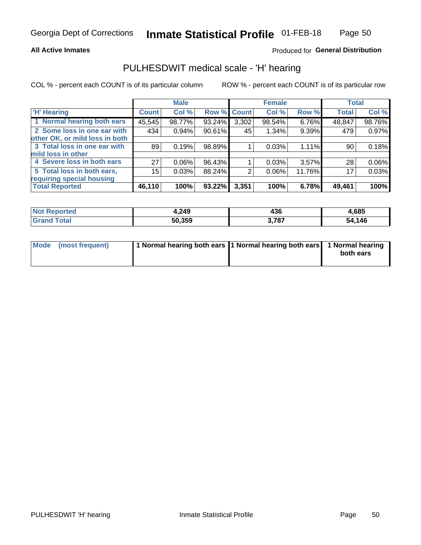## **All Active Inmates**

## Produced for General Distribution

## PULHESDWIT medical scale - 'H' hearing

COL % - percent each COUNT is of its particular column

|                                |                 | <b>Male</b> |        |             | <b>Female</b> |          | <b>Total</b> |        |
|--------------------------------|-----------------|-------------|--------|-------------|---------------|----------|--------------|--------|
| <b>'H' Hearing</b>             | <b>Count</b>    | Col %       |        | Row % Count | Col %         | Row %    | <b>Total</b> | Col %  |
| 1 Normal hearing both ears     | 45,545          | 98.77%      | 93.24% | 3,302       | 98.54%        | 6.76%    | 48,847       | 98.76% |
| 2 Some loss in one ear with    | 434             | 0.94%       | 90.61% | 45          | 1.34%         | 9.39%    | 479          | 0.97%  |
| other OK, or mild loss in both |                 |             |        |             |               |          |              |        |
| 3 Total loss in one ear with   | 89              | 0.19%       | 98.89% |             | 0.03%         | 1.11%    | 90           | 0.18%  |
| mild loss in other             |                 |             |        |             |               |          |              |        |
| 4 Severe loss in both ears     | 27              | 0.06%       | 96.43% |             | 0.03%         | $3.57\%$ | 28           | 0.06%  |
| 5 Total loss in both ears,     | 15 <sub>2</sub> | 0.03%       | 88.24% | 2           | $0.06\%$      | 11.76%   | 17           | 0.03%  |
| requiring special housing      |                 |             |        |             |               |          |              |        |
| <b>Total Reported</b>          | 46,110          | 100%        | 93.22% | 3,351       | 100%          | 6.78%    | 49,461       | 100%   |

| <b>Not Reno</b><br>ాorted | 4,249  | 490   | 1,685  |
|---------------------------|--------|-------|--------|
| Total                     | 50,359 | 3,787 | 54,146 |

| Mode (most frequent) | 1 Normal hearing both ears 1 Normal hearing both ears 1 Normal hearing | both ears |
|----------------------|------------------------------------------------------------------------|-----------|
|                      |                                                                        |           |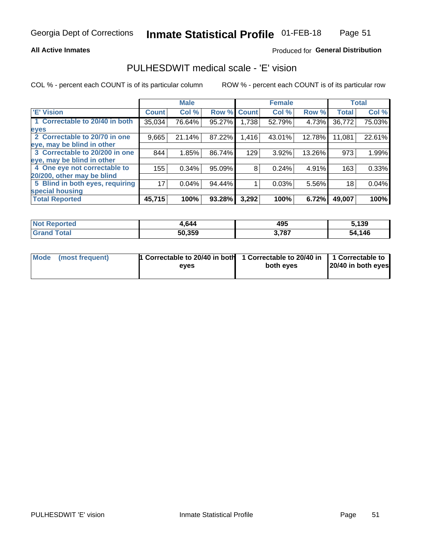## **All Active Inmates**

## Produced for General Distribution

# PULHESDWIT medical scale - 'E' vision

COL % - percent each COUNT is of its particular column

|                                 |              | <b>Male</b> |        |              | <b>Female</b> |        |              | <b>Total</b> |
|---------------------------------|--------------|-------------|--------|--------------|---------------|--------|--------------|--------------|
| <b>E' Vision</b>                | <b>Count</b> | Col %       | Row %  | <b>Count</b> | Col %         | Row %  | <b>Total</b> | Col %        |
| 1 Correctable to 20/40 in both  | 35,034       | 76.64%      | 95.27% | ا 738. ا     | 52.79%        | 4.73%  | 36,772       | 75.03%       |
| eyes                            |              |             |        |              |               |        |              |              |
| 2 Correctable to 20/70 in one   | 9,665        | 21.14%      | 87.22% | 1,416        | 43.01%        | 12.78% | 11,081       | 22.61%       |
| eye, may be blind in other      |              |             |        |              |               |        |              |              |
| 3 Correctable to 20/200 in one  | 844          | 1.85%       | 86.74% | 129          | 3.92%         | 13.26% | 973          | 1.99%        |
| eye, may be blind in other      |              |             |        |              |               |        |              |              |
| 4 One eye not correctable to    | 155          | 0.34%       | 95.09% | 8            | 0.24%         | 4.91%  | 163          | 0.33%        |
| 20/200, other may be blind      |              |             |        |              |               |        |              |              |
| 5 Blind in both eyes, requiring | 17           | 0.04%       | 94.44% |              | 0.03%         | 5.56%  | 18           | 0.04%        |
| special housing                 |              |             |        |              |               |        |              |              |
| <b>Total Reported</b>           | 45,715       | 100%        | 93.28% | 3,292        | 100%          | 6.72%  | 49,007       | 100%         |

| <b>Not Reported</b>     | 1,644  | 495   | 5,139  |
|-------------------------|--------|-------|--------|
| <b>Total</b><br>' Grand | 50,359 | 3,787 | 54,146 |

| Mode (most frequent) | 1 Correctable to 20/40 in both<br>eves | 1 Correctable to 20/40 in   1 Correctable to  <br>both eves | 20/40 in both eyes |
|----------------------|----------------------------------------|-------------------------------------------------------------|--------------------|
|                      |                                        |                                                             |                    |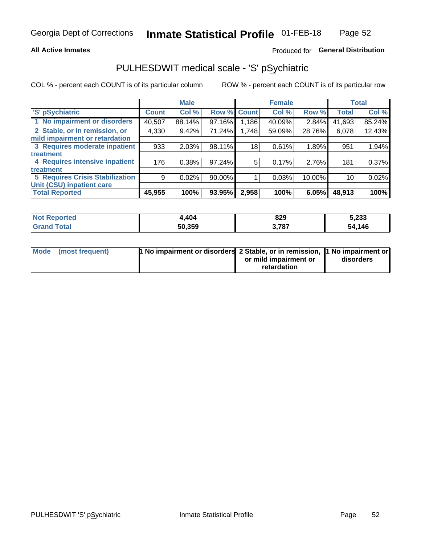## **All Active Inmates**

## Produced for General Distribution

# PULHESDWIT medical scale - 'S' pSychiatric

COL % - percent each COUNT is of its particular column

|                                        |              | <b>Male</b> |             |       | <b>Female</b> |        |              | <b>Total</b> |
|----------------------------------------|--------------|-------------|-------------|-------|---------------|--------|--------------|--------------|
| 'S' pSychiatric                        | <b>Count</b> | Col %       | Row % Count |       | Col %         | Row %  | <b>Total</b> | Col %        |
| 1 No impairment or disorders           | 40,507       | 88.14%      | 97.16%      | 1,186 | 40.09%        | 2.84%  | 41,693       | 85.24%       |
| 2 Stable, or in remission, or          | 4,330        | 9.42%       | 71.24%      | 1,748 | 59.09%        | 28.76% | 6,078        | 12.43%       |
| mild impairment or retardation         |              |             |             |       |               |        |              |              |
| 3 Requires moderate inpatient          | 933          | 2.03%       | 98.11%      | 18    | 0.61%         | 1.89%  | 951          | 1.94%        |
| treatment                              |              |             |             |       |               |        |              |              |
| 4 Requires intensive inpatient         | 176          | 0.38%       | 97.24%      | 5     | 0.17%         | 2.76%  | 181          | 0.37%        |
| treatment                              |              |             |             |       |               |        |              |              |
| <b>5 Requires Crisis Stabilization</b> | 9            | 0.02%       | 90.00%      |       | 0.03%         | 10.00% | 10           | 0.02%        |
| Unit (CSU) inpatient care              |              |             |             |       |               |        |              |              |
| <b>Total Reported</b>                  | 45,955       | 100%        | 93.95%      | 2,958 | 100%          | 6.05%  | 48,913       | 100%         |

| <b>Not Reported</b> | .404   | 829   | 5,233       |
|---------------------|--------|-------|-------------|
| Total               | 50,359 | 3,787 | ,146<br>54. |

| Mode (most frequent) | <b>1 No impairment or disorders 2 Stable, or in remission, 1 No impairment or</b> |                       |           |
|----------------------|-----------------------------------------------------------------------------------|-----------------------|-----------|
|                      |                                                                                   | or mild impairment or | disorders |
|                      |                                                                                   | retardation           |           |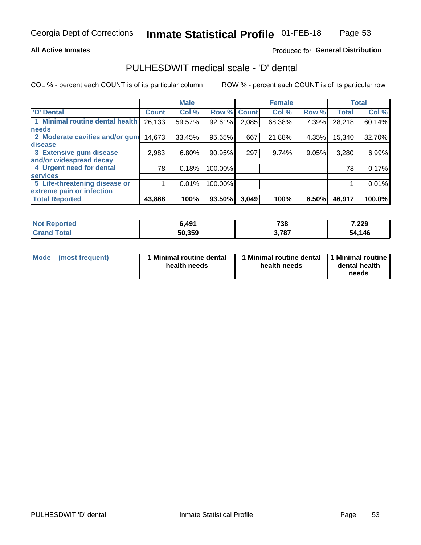## **All Active Inmates**

## Produced for General Distribution

# PULHESDWIT medical scale - 'D' dental

COL % - percent each COUNT is of its particular column

|                                 |              | <b>Male</b> |         |              | <b>Female</b> |       |              | <b>Total</b> |
|---------------------------------|--------------|-------------|---------|--------------|---------------|-------|--------------|--------------|
| <b>D'</b> Dental                | <b>Count</b> | Col %       | Row %   | <b>Count</b> | Col %         | Row % | <b>Total</b> | Col %        |
| 1 Minimal routine dental health | 26,133       | 59.57%      | 92.61%  | 2,085        | 68.38%        | 7.39% | 28,218       | 60.14%       |
| <b>needs</b>                    |              |             |         |              |               |       |              |              |
| 2 Moderate cavities and/or gum  | 14,673       | 33.45%      | 95.65%  | 667          | 21.88%        | 4.35% | 15,340       | 32.70%       |
| disease                         |              |             |         |              |               |       |              |              |
| 3 Extensive gum disease         | 2,983        | 6.80%       | 90.95%  | 297          | 9.74%         | 9.05% | 3,280        | 6.99%        |
| and/or widespread decay         |              |             |         |              |               |       |              |              |
| 4 Urgent need for dental        | 781          | 0.18%       | 100.00% |              |               |       | 78           | 0.17%        |
| <b>services</b>                 |              |             |         |              |               |       |              |              |
| 5 Life-threatening disease or   |              | 0.01%       | 100.00% |              |               |       |              | 0.01%        |
| extreme pain or infection       |              |             |         |              |               |       |              |              |
| <b>Total Reported</b>           | 43,868       | 100%        | 93.50%  | 3,049        | 100%          | 6.50% | 46,917       | 100.0%       |

| <b>Not Reported</b> | 6,491  | 738   | 7,229  |
|---------------------|--------|-------|--------|
| Total<br>' Grand    | 50,359 | 3,787 | 54,146 |

| 1 Minimal routine dental<br>Mode<br>(most frequent)<br>health needs | 1 Minimal routine dental 1 Minimal routine<br>health needs | dental health<br>needs |
|---------------------------------------------------------------------|------------------------------------------------------------|------------------------|
|---------------------------------------------------------------------|------------------------------------------------------------|------------------------|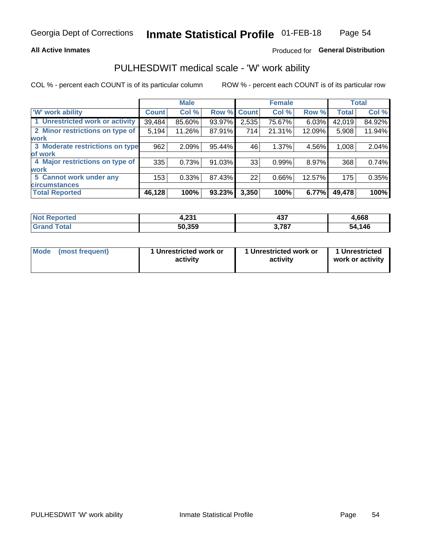## **All Active Inmates**

## Produced for General Distribution

# PULHESDWIT medical scale - 'W' work ability

COL % - percent each COUNT is of its particular column

|                                 |              | <b>Male</b> |        |             | <b>Female</b> |        |              | <b>Total</b> |
|---------------------------------|--------------|-------------|--------|-------------|---------------|--------|--------------|--------------|
| <b>W' work ability</b>          | <b>Count</b> | Col %       |        | Row % Count | Col %         | Row %  | <b>Total</b> | Col %        |
| 1 Unrestricted work or activity | 39,484       | 85.60%      | 93.97% | 2,535       | 75.67%        | 6.03%  | 42,019       | 84.92%       |
| 2 Minor restrictions on type of | 5,194        | 11.26%      | 87.91% | 714         | 21.31%        | 12.09% | 5,908        | 11.94%       |
| <b>work</b>                     |              |             |        |             |               |        |              |              |
| 3 Moderate restrictions on type | 962          | 2.09%       | 95.44% | 46          | 1.37%         | 4.56%  | 1,008        | 2.04%        |
| lof work                        |              |             |        |             |               |        |              |              |
| 4 Major restrictions on type of | 335          | 0.73%       | 91.03% | 33          | 0.99%         | 8.97%  | 368          | 0.74%        |
| <b>work</b>                     |              |             |        |             |               |        |              |              |
| 5 Cannot work under any         | 153          | 0.33%       | 87.43% | 22          | 0.66%         | 12.57% | 175          | 0.35%        |
| <b>circumstances</b>            |              |             |        |             |               |        |              |              |
| <b>Total Reported</b>           | 46,128       | 100%        | 93.23% | 3,350       | 100%          | 6.77%  | 49,478       | 100%         |

| <b>Not Reported</b> | ີດລະ<br>9, ZJ . | 107<br>7J.      | ,668   |
|---------------------|-----------------|-----------------|--------|
| Total<br>Grand      | 50,359          | 2707<br>.J. 10. | 54,146 |

| Mode            | 1 Unrestricted work or | 1 Unrestricted work or | 1 Unrestricted   |
|-----------------|------------------------|------------------------|------------------|
| (most frequent) | activity               | activity               | work or activity |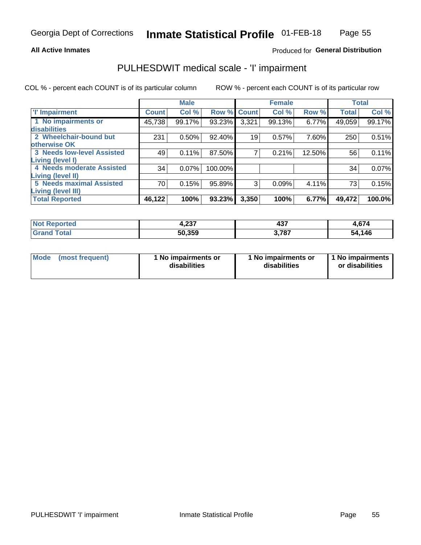## **All Active Inmates**

## Produced for General Distribution

# PULHESDWIT medical scale - 'I' impairment

COL % - percent each COUNT is of its particular column

|                                   |              | <b>Male</b> |             |       | <b>Female</b> |        |              | <b>Total</b> |
|-----------------------------------|--------------|-------------|-------------|-------|---------------|--------|--------------|--------------|
| <b>T' Impairment</b>              | <b>Count</b> | Col %       | Row % Count |       | Col %         | Row %  | <b>Total</b> | Col %        |
| 1 No impairments or               | 45,738       | 99.17%      | 93.23%      | 3,321 | 99.13%        | 6.77%  | 49,059       | 99.17%       |
| disabilities                      |              |             |             |       |               |        |              |              |
| 2 Wheelchair-bound but            | 231          | 0.50%       | 92.40%      | 19    | 0.57%         | 7.60%  | 250          | 0.51%        |
| otherwise OK                      |              |             |             |       |               |        |              |              |
| <b>3 Needs low-level Assisted</b> | 49           | 0.11%       | 87.50%      | 7     | 0.21%         | 12.50% | 56           | 0.11%        |
| Living (level I)                  |              |             |             |       |               |        |              |              |
| <b>4 Needs moderate Assisted</b>  | 34           | 0.07%       | 100.00%     |       |               |        | 34           | 0.07%        |
| <b>Living (level II)</b>          |              |             |             |       |               |        |              |              |
| <b>5 Needs maximal Assisted</b>   | 70           | 0.15%       | 95.89%      | 3     | 0.09%         | 4.11%  | 73           | 0.15%        |
| Living (level III)                |              |             |             |       |               |        |              |              |
| <b>Total Reported</b>             | 46,122       | 100%        | 93.23%      | 3,350 | 100%          | 6.77%  | 49,472       | 100.0%       |

| orted | $\sim$<br>4.ZJ1 | ィっフ<br>497 | 4,674       |
|-------|-----------------|------------|-------------|
|       | 50.359          | 707        | ,146<br>-54 |

| Mode | (most frequent) | 1 No impairments or<br>disabilities | 1 No impairments or<br>disabilities | 1 No impairments<br>or disabilities |
|------|-----------------|-------------------------------------|-------------------------------------|-------------------------------------|
|------|-----------------|-------------------------------------|-------------------------------------|-------------------------------------|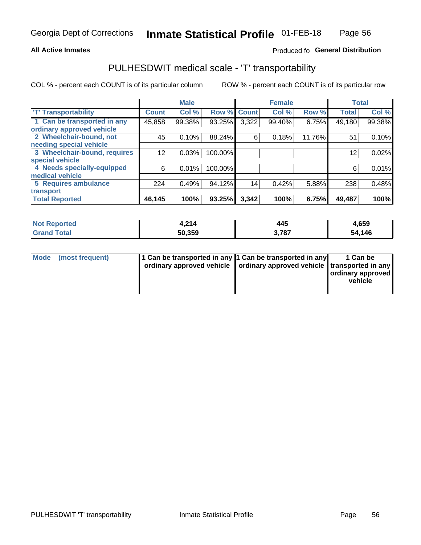## **All Active Inmates**

## Produced fo General Distribution

# PULHESDWIT medical scale - 'T' transportability

COL % - percent each COUNT is of its particular column

|                              |              | <b>Male</b> |         |              | <b>Female</b> |        |              | <b>Total</b> |
|------------------------------|--------------|-------------|---------|--------------|---------------|--------|--------------|--------------|
| <b>T' Transportability</b>   | <b>Count</b> | Col %       | Row %   | <b>Count</b> | Col %         | Row %  | <b>Total</b> | Col %        |
| 1 Can be transported in any  | 45,858       | 99.38%      | 93.25%  | 3,322        | 99.40%        | 6.75%  | 49,180       | 99.38%       |
| ordinary approved vehicle    |              |             |         |              |               |        |              |              |
| 2 Wheelchair-bound, not      | 45           | 0.10%       | 88.24%  | 6            | 0.18%         | 11.76% | 51           | 0.10%        |
| needing special vehicle      |              |             |         |              |               |        |              |              |
| 3 Wheelchair-bound, requires | 12           | 0.03%       | 100.00% |              |               |        | 12           | 0.02%        |
| special vehicle              |              |             |         |              |               |        |              |              |
| 4 Needs specially-equipped   | 6            | 0.01%       | 100.00% |              |               |        | 6            | 0.01%        |
| medical vehicle              |              |             |         |              |               |        |              |              |
| <b>5 Requires ambulance</b>  | 224          | 0.49%       | 94.12%  | 14           | 0.42%         | 5.88%  | 238          | 0.48%        |
| transport                    |              |             |         |              |               |        |              |              |
| <b>Total Reported</b>        | 46,145       | 100%        | 93.25%  | 3,342        | 100%          | 6.75%  | 49,487       | 100%         |

| N <sub>of</sub><br>Reported | . ചെ   | 445    | 4,659       |
|-----------------------------|--------|--------|-------------|
| īota.                       | 50,359 | $-70-$ | ,146<br>-54 |

|  | Mode (most frequent) | 1 Can be transported in any 1 Can be transported in any<br>ordinary approved vehicle   ordinary approved vehicle   transported in any |  | 1 Can be<br>  ordinary approved  <br>vehicle |
|--|----------------------|---------------------------------------------------------------------------------------------------------------------------------------|--|----------------------------------------------|
|--|----------------------|---------------------------------------------------------------------------------------------------------------------------------------|--|----------------------------------------------|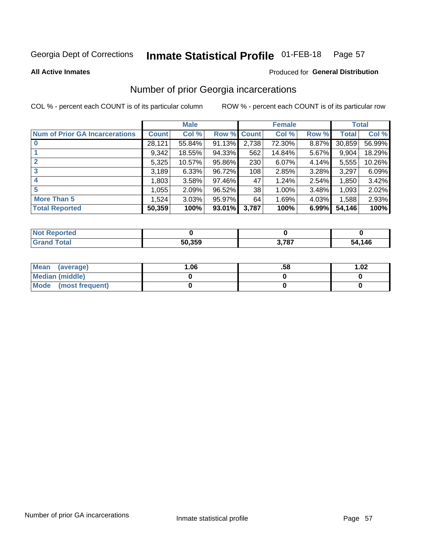#### Inmate Statistical Profile 01-FEB-18 Page 57

**All Active Inmates** 

### Produced for General Distribution

# Number of prior Georgia incarcerations

COL % - percent each COUNT is of its particular column

|                                       |              | <b>Male</b> |             |       | <b>Female</b> |       |        | <b>Total</b> |
|---------------------------------------|--------------|-------------|-------------|-------|---------------|-------|--------|--------------|
| <b>Num of Prior GA Incarcerations</b> | <b>Count</b> | Col %       | Row % Count |       | Col %         | Row % | Total  | Col %        |
|                                       | 28,121       | 55.84%      | 91.13%      | 2,738 | 72.30%        | 8.87% | 30,859 | 56.99%       |
|                                       | 9,342        | 18.55%      | 94.33%      | 562   | 14.84%        | 5.67% | 9,904  | 18.29%       |
| $\overline{2}$                        | 5,325        | 10.57%      | 95.86%      | 230   | 6.07%         | 4.14% | 5,555  | 10.26%       |
| 3                                     | 3,189        | 6.33%       | 96.72%      | 108   | 2.85%         | 3.28% | 3,297  | 6.09%        |
| $\boldsymbol{4}$                      | 1,803        | 3.58%       | $97.46\%$   | 47    | 1.24%         | 2.54% | 1,850  | 3.42%        |
| 5                                     | 1,055        | 2.09%       | 96.52%      | 38    | 1.00%         | 3.48% | 1,093  | 2.02%        |
| <b>More Than 5</b>                    | 1,524        | 3.03%       | 95.97%      | 64    | 1.69%         | 4.03% | 1,588  | 2.93%        |
| <b>Total Reported</b>                 | 50,359       | 100%        | 93.01%      | 3,787 | 100%          | 6.99% | 54,146 | 100%         |

| orted<br>NO. |        |       |            |
|--------------|--------|-------|------------|
|              | 50,359 | 3,787 | 146<br>-51 |

| Mean (average)         | .06 | .58 | 1.02 |
|------------------------|-----|-----|------|
| <b>Median (middle)</b> |     |     |      |
| Mode (most frequent)   |     |     |      |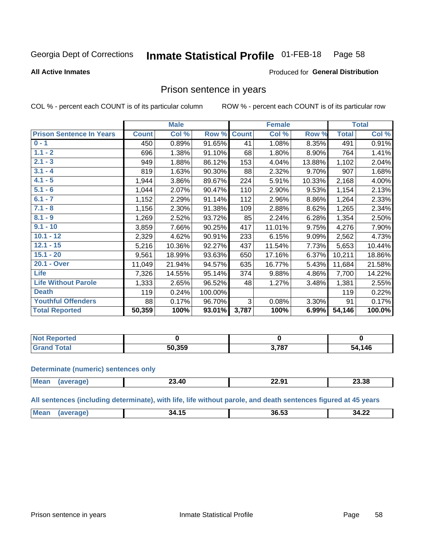#### **Inmate Statistical Profile 01-FEB-18** Page 58

### **All Active Inmates**

## Produced for General Distribution

## Prison sentence in years

COL % - percent each COUNT is of its particular column

ROW % - percent each COUNT is of its particular row

|                                 |              | <b>Male</b> |           |              | <b>Female</b> |        |              | <b>Total</b> |
|---------------------------------|--------------|-------------|-----------|--------------|---------------|--------|--------------|--------------|
| <b>Prison Sentence In Years</b> | <b>Count</b> | Col %       | Row %     | <b>Count</b> | Col %         | Row %  | <b>Total</b> | Col %        |
| $0 - 1$                         | 450          | 0.89%       | 91.65%    | 41           | 1.08%         | 8.35%  | 491          | 0.91%        |
| $1.1 - 2$                       | 696          | 1.38%       | 91.10%    | 68           | 1.80%         | 8.90%  | 764          | 1.41%        |
| $2.1 - 3$                       | 949          | 1.88%       | 86.12%    | 153          | 4.04%         | 13.88% | 1,102        | 2.04%        |
| $3.1 - 4$                       | 819          | 1.63%       | 90.30%    | 88           | 2.32%         | 9.70%  | 907          | 1.68%        |
| $4.1 - 5$                       | 1,944        | 3.86%       | 89.67%    | 224          | 5.91%         | 10.33% | 2,168        | 4.00%        |
| $5.1 - 6$                       | 1,044        | 2.07%       | 90.47%    | 110          | 2.90%         | 9.53%  | 1,154        | 2.13%        |
| $6.1 - 7$                       | 1,152        | 2.29%       | 91.14%    | 112          | 2.96%         | 8.86%  | 1,264        | 2.33%        |
| $7.1 - 8$                       | 1,156        | 2.30%       | 91.38%    | 109          | 2.88%         | 8.62%  | 1,265        | 2.34%        |
| $8.1 - 9$                       | 1,269        | 2.52%       | 93.72%    | 85           | 2.24%         | 6.28%  | 1,354        | 2.50%        |
| $9.1 - 10$                      | 3,859        | 7.66%       | 90.25%    | 417          | 11.01%        | 9.75%  | 4,276        | 7.90%        |
| $10.1 - 12$                     | 2,329        | 4.62%       | 90.91%    | 233          | 6.15%         | 9.09%  | 2,562        | 4.73%        |
| $12.1 - 15$                     | 5,216        | 10.36%      | 92.27%    | 437          | 11.54%        | 7.73%  | 5,653        | 10.44%       |
| $15.1 - 20$                     | 9,561        | 18.99%      | 93.63%    | 650          | 17.16%        | 6.37%  | 10,211       | 18.86%       |
| 20.1 - Over                     | 11,049       | 21.94%      | 94.57%    | 635          | 16.77%        | 5.43%  | 11,684       | 21.58%       |
| <b>Life</b>                     | 7,326        | 14.55%      | 95.14%    | 374          | 9.88%         | 4.86%  | 7,700        | 14.22%       |
| <b>Life Without Parole</b>      | 1,333        | 2.65%       | 96.52%    | 48           | 1.27%         | 3.48%  | 1,381        | 2.55%        |
| <b>Death</b>                    | 119          | 0.24%       | 100.00%   |              |               |        | 119          | 0.22%        |
| <b>Youthful Offenders</b>       | 88           | 0.17%       | 96.70%    | 3            | 0.08%         | 3.30%  | 91           | 0.17%        |
| <b>Total Reported</b>           | 50,359       | 100%        | $93.01\%$ | 3,787        | 100%          | 6.99%  | 54,146       | 100.0%       |

| ported<br>I NOT |        |     |        |
|-----------------|--------|-----|--------|
| n!              | 50.359 | 707 | 54,146 |

### **Determinate (numeric) sentences only**

| <b>Mean</b> | 40.د∠ | ום כפ<br>-2.J | 23.38 |
|-------------|-------|---------------|-------|
|             |       |               |       |

All sentences (including determinate), with life, life without parole, and death sentences figured at 45 years

| $M_{\odot}$<br>--<br>- -<br>^^<br>າາ<br>34.<br>34<br>5h<br>.<br>7.LL |  |  |  |
|----------------------------------------------------------------------|--|--|--|
|                                                                      |  |  |  |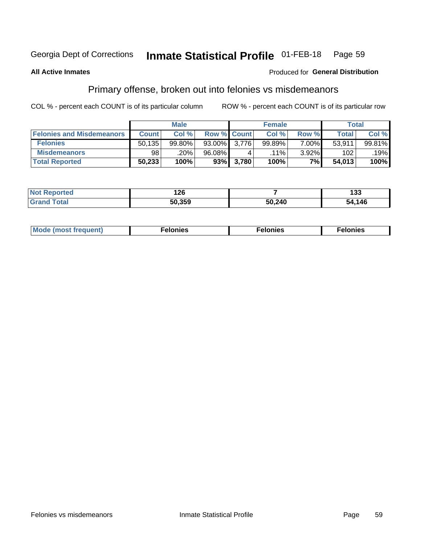#### **Inmate Statistical Profile 01-FEB-18** Page 59

## **All Active Inmates**

## Produced for General Distribution

# Primary offense, broken out into felonies vs misdemeanors

COL % - percent each COUNT is of its particular column

|                                  |              | <b>Male</b> |        |                    | <b>Female</b> |          | Total        |        |
|----------------------------------|--------------|-------------|--------|--------------------|---------------|----------|--------------|--------|
| <b>Felonies and Misdemeanors</b> | <b>Count</b> | Col%        |        | <b>Row % Count</b> | Col%          | Row %    | <b>Total</b> | Col %  |
| <b>Felonies</b>                  | 50,135       | 99.80%      | 93.00% | 3.776              | 99.89%        | $7.00\%$ | 53,911       | 99.81% |
| <b>Misdemeanors</b>              | 98           | .20%        | 96.08% |                    | $.11\%$       | $3.92\%$ | 102          | .19%   |
| <b>Total Reported</b>            | 50,233       | 100%        | 93%    | 3,780              | 100%          | $7\%$    | 54,013       | 100%   |

| <b>Not</b>            | 1つに    |        | ה הו   |
|-----------------------|--------|--------|--------|
| rted                  | IZU    |        | נט ו   |
| <b>Grand</b><br>⊺otai | EN AEN | 50,240 | 54,146 |

| Mo | ____ | 11 C.S<br>. | onies<br>. |
|----|------|-------------|------------|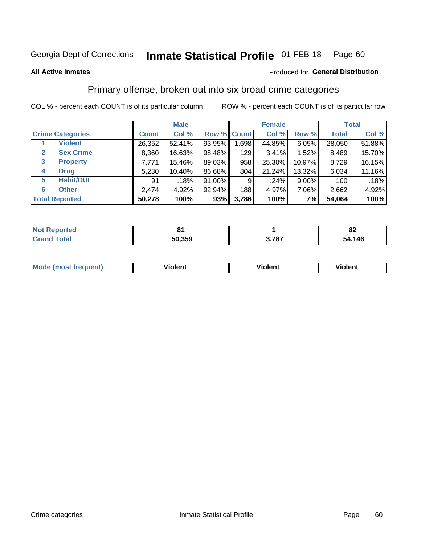#### **Inmate Statistical Profile 01-FEB-18** Page 60

### **All Active Inmates**

## Produced for General Distribution

# Primary offense, broken out into six broad crime categories

COL % - percent each COUNT is of its particular column

|                         |              | <b>Male</b> |        |             | <b>Female</b> |          |              | <b>Total</b> |
|-------------------------|--------------|-------------|--------|-------------|---------------|----------|--------------|--------------|
| <b>Crime Categories</b> | <b>Count</b> | Col %       |        | Row % Count | Col %         | Row %    | <b>Total</b> | Col %        |
| <b>Violent</b>          | 26,352       | 52.41%      | 93.95% | 1,698       | 44.85%        | 6.05%    | 28,050       | 51.88%       |
| <b>Sex Crime</b><br>2   | 8,360        | 16.63%      | 98.48% | 129         | 3.41%         | 1.52%    | 8,489        | 15.70%       |
| 3<br><b>Property</b>    | 7,771        | 15.46%      | 89.03% | 958         | 25.30%        | 10.97%   | 8,729        | 16.15%       |
| <b>Drug</b><br>4        | 5,230        | 10.40%      | 86.68% | 804         | 21.24%        | 13.32%   | 6,034        | 11.16%       |
| <b>Habit/DUI</b><br>5   | 91           | .18%        | 91.00% | 9           | .24%          | $9.00\%$ | 100          | .18%         |
| <b>Other</b><br>6       | 2,474        | 4.92%       | 92.94% | 188         | 4.97%         | 7.06%    | 2,662        | 4.92%        |
| <b>Total Reported</b>   | 50,278       | 100%        | 93%    | 3,786       | 100%          | 7%       | 54,064       | 100%         |

| rted<br>NO |        |            | n,<br>0Z   |
|------------|--------|------------|------------|
|            | 50.359 | 707<br>. ט | .146<br>54 |

| Mo<br>uent)<br>nos | .<br>/iolent | <br>Violent | - --<br><b>Tiolent</b> |
|--------------------|--------------|-------------|------------------------|
|                    |              |             |                        |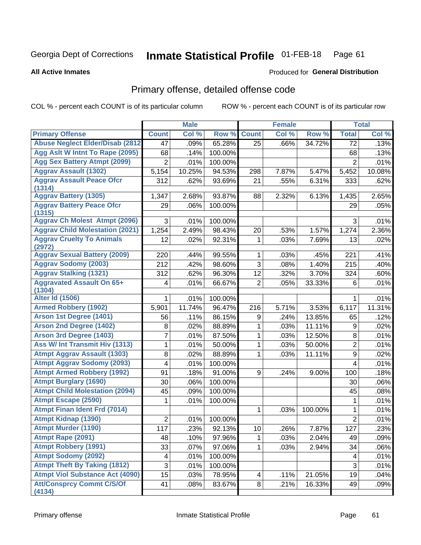### **Inmate Statistical Profile 01-FEB-18** Page 61

**All Active Inmates** 

### Produced for General Distribution

# Primary offense, detailed offense code

COL % - percent each COUNT is of its particular column

|                                            |                | <b>Male</b> |         |                | <b>Female</b> |         |                  | <b>Total</b> |
|--------------------------------------------|----------------|-------------|---------|----------------|---------------|---------|------------------|--------------|
| <b>Primary Offense</b>                     | <b>Count</b>   | Col %       | Row %   | <b>Count</b>   | Col %         | Row %   | <b>Total</b>     | Col %        |
| <b>Abuse Neglect Elder/Disab (2812)</b>    | 47             | .09%        | 65.28%  | 25             | .66%          | 34.72%  | 72               | .13%         |
| Agg Aslt W Intnt To Rape (2095)            | 68             | .14%        | 100.00% |                |               |         | 68               | .13%         |
| <b>Agg Sex Battery Atmpt (2099)</b>        | $\overline{2}$ | .01%        | 100.00% |                |               |         | $\overline{2}$   | .01%         |
| <b>Aggrav Assault (1302)</b>               | 5,154          | 10.25%      | 94.53%  | 298            | 7.87%         | 5.47%   | 5,452            | 10.08%       |
| <b>Aggrav Assault Peace Ofcr</b><br>(1314) | 312            | .62%        | 93.69%  | 21             | .55%          | 6.31%   | 333              | .62%         |
| <b>Aggrav Battery (1305)</b>               | 1,347          | 2.68%       | 93.87%  | 88             | 2.32%         | 6.13%   | 1,435            | 2.65%        |
| <b>Aggrav Battery Peace Ofcr</b><br>(1315) | 29             | .06%        | 100.00% |                |               |         | 29               | .05%         |
| <b>Aggrav Ch Molest Atmpt (2096)</b>       | 3              | .01%        | 100.00% |                |               |         | 3                | .01%         |
| <b>Aggrav Child Molestation (2021)</b>     | 1,254          | 2.49%       | 98.43%  | 20             | .53%          | 1.57%   | 1,274            | 2.36%        |
| <b>Aggrav Cruelty To Animals</b><br>(2972) | 12             | .02%        | 92.31%  | 1              | .03%          | 7.69%   | 13               | .02%         |
| <b>Aggrav Sexual Battery (2009)</b>        | 220            | .44%        | 99.55%  | 1              | .03%          | .45%    | 221              | .41%         |
| <b>Aggrav Sodomy (2003)</b>                | 212            | .42%        | 98.60%  | 3              | .08%          | 1.40%   | 215              | .40%         |
| <b>Aggrav Stalking (1321)</b>              | 312            | .62%        | 96.30%  | 12             | .32%          | 3.70%   | 324              | .60%         |
| <b>Aggravated Assault On 65+</b>           | 4              | .01%        | 66.67%  | $\overline{2}$ | .05%          | 33.33%  | 6                | .01%         |
| (1304)                                     |                |             |         |                |               |         |                  |              |
| <b>Alter Id (1506)</b>                     | 1              | .01%        | 100.00% |                |               |         | 1                | .01%         |
| <b>Armed Robbery (1902)</b>                | 5,901          | 11.74%      | 96.47%  | 216            | 5.71%         | 3.53%   | 6,117            | 11.31%       |
| Arson 1st Degree (1401)                    | 56             | .11%        | 86.15%  | 9              | .24%          | 13.85%  | 65               | .12%         |
| <b>Arson 2nd Degree (1402)</b>             | 8              | .02%        | 88.89%  | 1              | .03%          | 11.11%  | 9                | .02%         |
| <b>Arson 3rd Degree (1403)</b>             | 7              | .01%        | 87.50%  | 1              | .03%          | 12.50%  | 8                | .01%         |
| Ass W/ Int Transmit Hiv (1313)             | 1              | .01%        | 50.00%  | 1              | .03%          | 50.00%  | $\overline{2}$   | .01%         |
| <b>Atmpt Aggrav Assault (1303)</b>         | 8              | .02%        | 88.89%  | 1              | .03%          | 11.11%  | 9                | .02%         |
| <b>Atmpt Aggrav Sodomy (2093)</b>          | 4              | .01%        | 100.00% |                |               |         | 4                | .01%         |
| <b>Atmpt Armed Robbery (1992)</b>          | 91             | .18%        | 91.00%  | 9              | .24%          | 9.00%   | 100              | .18%         |
| <b>Atmpt Burglary (1690)</b>               | 30             | .06%        | 100.00% |                |               |         | 30               | .06%         |
| <b>Atmpt Child Molestation (2094)</b>      | 45             | .09%        | 100.00% |                |               |         | 45               | .08%         |
| <b>Atmpt Escape (2590)</b>                 | 1              | .01%        | 100.00% |                |               |         | 1                | .01%         |
| <b>Atmpt Finan Ident Frd (7014)</b>        |                |             |         | 1              | .03%          | 100.00% | 1                | .01%         |
| <b>Atmpt Kidnap (1390)</b>                 | 2              | .01%        | 100.00% |                |               |         | $\overline{2}$   | .01%         |
| <b>Atmpt Murder (1190)</b>                 | 117            | .23%        | 92.13%  | 10             | .26%          | 7.87%   | $\overline{127}$ | .23%         |
| Atmpt Rape (2091)                          | 48             | .10%        | 97.96%  | 1              | .03%          | 2.04%   | 49               | .09%         |
| <b>Atmpt Robbery (1991)</b>                | 33             | .07%        | 97.06%  | 1.             | .03%          | 2.94%   | 34               | .06%         |
| <b>Atmpt Sodomy (2092)</b>                 | 4              | .01%        | 100.00% |                |               |         | 4                | .01%         |
| <b>Atmpt Theft By Taking (1812)</b>        | $\overline{3}$ | .01%        | 100.00% |                |               |         | $\overline{3}$   | .01%         |
| <b>Atmpt Viol Substance Act (4090)</b>     | 15             | .03%        | 78.95%  | 4              | .11%          | 21.05%  | 19               | .04%         |
| <b>Att/Consprcy Commt C/S/Of</b><br>(4134) | 41             | .08%        | 83.67%  | 8 <sup>1</sup> | .21%          | 16.33%  | 49               | .09%         |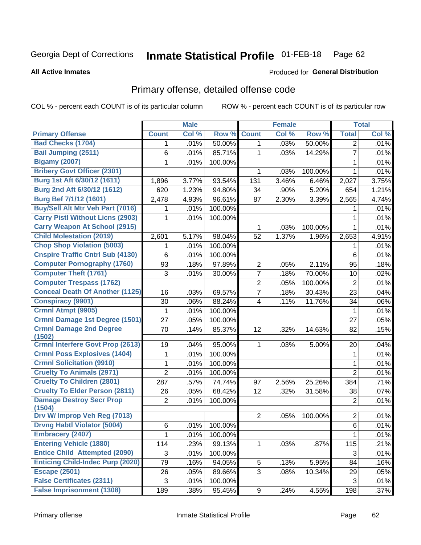### **Inmate Statistical Profile 01-FEB-18** Page 62

**All Active Inmates** 

### Produced for General Distribution

# Primary offense, detailed offense code

COL % - percent each COUNT is of its particular column

|                                          |                | <b>Male</b> |         |                         | <b>Female</b> |         |                | <b>Total</b> |
|------------------------------------------|----------------|-------------|---------|-------------------------|---------------|---------|----------------|--------------|
| <b>Primary Offense</b>                   | <b>Count</b>   | Col %       | Row %   | <b>Count</b>            | Col %         | Row %   | <b>Total</b>   | Col %        |
| <b>Bad Checks (1704)</b>                 | 1              | .01%        | 50.00%  | $\mathbf{1}$            | .03%          | 50.00%  | $\overline{2}$ | .01%         |
| <b>Bail Jumping (2511)</b>               | 6              | .01%        | 85.71%  | 1                       | .03%          | 14.29%  | $\overline{7}$ | .01%         |
| <b>Bigamy (2007)</b>                     | 1              | .01%        | 100.00% |                         |               |         | 1              | .01%         |
| <b>Bribery Govt Officer (2301)</b>       |                |             |         | 1                       | .03%          | 100.00% | $\mathbf{1}$   | .01%         |
| Burg 1st Aft 6/30/12 (1611)              | 1,896          | 3.77%       | 93.54%  | 131                     | 3.46%         | 6.46%   | 2,027          | 3.75%        |
| Burg 2nd Aft 6/30/12 (1612)              | 620            | 1.23%       | 94.80%  | 34                      | .90%          | 5.20%   | 654            | 1.21%        |
| <b>Burg Bef 7/1/12 (1601)</b>            | 2,478          | 4.93%       | 96.61%  | 87                      | 2.30%         | 3.39%   | 2,565          | 4.74%        |
| <b>Buy/Sell Alt Mtr Veh Part (7016)</b>  | 1              | .01%        | 100.00% |                         |               |         | 1              | .01%         |
| <b>Carry Pistl Without Licns (2903)</b>  | 1              | .01%        | 100.00% |                         |               |         | 1              | .01%         |
| <b>Carry Weapon At School (2915)</b>     |                |             |         | 1                       | .03%          | 100.00% | 1              | .01%         |
| <b>Child Molestation (2019)</b>          | 2,601          | 5.17%       | 98.04%  | 52                      | 1.37%         | 1.96%   | 2,653          | 4.91%        |
| <b>Chop Shop Violation (5003)</b>        | 1              | .01%        | 100.00% |                         |               |         | 1              | .01%         |
| <b>Cnspire Traffic Cntrl Sub (4130)</b>  | 6              | .01%        | 100.00% |                         |               |         | 6              | .01%         |
| <b>Computer Pornography (1760)</b>       | 93             | .18%        | 97.89%  | $\overline{c}$          | .05%          | 2.11%   | 95             | .18%         |
| <b>Computer Theft (1761)</b>             | 3              | .01%        | 30.00%  | $\overline{7}$          | .18%          | 70.00%  | 10             | .02%         |
| <b>Computer Trespass (1762)</b>          |                |             |         | $\overline{2}$          | .05%          | 100.00% | $\overline{2}$ | .01%         |
| <b>Conceal Death Of Another (1125)</b>   | 16             | .03%        | 69.57%  | $\overline{7}$          | .18%          | 30.43%  | 23             | .04%         |
| <b>Conspiracy (9901)</b>                 | 30             | .06%        | 88.24%  | $\overline{\mathbf{4}}$ | .11%          | 11.76%  | 34             | .06%         |
| Crmnl Atmpt (9905)                       | 1              | .01%        | 100.00% |                         |               |         | 1              | .01%         |
| <b>Crmnl Damage 1st Degree (1501)</b>    | 27             | .05%        | 100.00% |                         |               |         | 27             | .05%         |
| <b>Crmnl Damage 2nd Degree</b><br>(1502) | 70             | .14%        | 85.37%  | 12                      | .32%          | 14.63%  | 82             | .15%         |
| <b>Crmnl Interfere Govt Prop (2613)</b>  | 19             | .04%        | 95.00%  | $\mathbf{1}$            | .03%          | 5.00%   | 20             | .04%         |
| <b>Crmnl Poss Explosives (1404)</b>      | 1              | .01%        | 100.00% |                         |               |         | $\mathbf{1}$   | .01%         |
| <b>Crmnl Solicitation (9910)</b>         | 1              | .01%        | 100.00% |                         |               |         | 1              | .01%         |
| <b>Cruelty To Animals (2971)</b>         | $\overline{2}$ | .01%        | 100.00% |                         |               |         | $\overline{2}$ | .01%         |
| <b>Cruelty To Children (2801)</b>        | 287            | .57%        | 74.74%  | 97                      | 2.56%         | 25.26%  | 384            | .71%         |
| <b>Cruelty To Elder Person (2811)</b>    | 26             | .05%        | 68.42%  | 12                      | .32%          | 31.58%  | 38             | .07%         |
| <b>Damage Destroy Secr Prop</b>          | $\overline{2}$ | .01%        | 100.00% |                         |               |         | $\overline{2}$ | .01%         |
| (1504)                                   |                |             |         |                         |               |         |                |              |
| Drv W/ Improp Veh Reg (7013)             |                |             |         | $\overline{2}$          | .05%          | 100.00% | 2              | .01%         |
| <b>Drvng Habtl Violator (5004)</b>       | 6              | $.01\%$     | 100.00% |                         |               |         | $6\phantom{a}$ | .01%         |
| <b>Embracery (2407)</b>                  | 1              | .01%        | 100.00% |                         |               |         | $\mathbf 1$    | .01%         |
| <b>Entering Vehicle (1880)</b>           | 114            | .23%        | 99.13%  | $\mathbf{1}$            | .03%          | .87%    | 115            | .21%         |
| <b>Entice Child Attempted (2090)</b>     | 3              | .01%        | 100.00% |                         |               |         | 3              | .01%         |
| <b>Enticing Child-Indec Purp (2020)</b>  | 79             | .16%        | 94.05%  | 5                       | .13%          | 5.95%   | 84             | .16%         |
| <b>Escape (2501)</b>                     | 26             | .05%        | 89.66%  | 3 <sup>1</sup>          | .08%          | 10.34%  | 29             | .05%         |
| <b>False Certificates (2311)</b>         | 3              | .01%        | 100.00% |                         |               |         | $\mathbf{3}$   | .01%         |
| <b>False Imprisonment (1308)</b>         | 189            | .38%        | 95.45%  | 9                       | .24%          | 4.55%   | 198            | .37%         |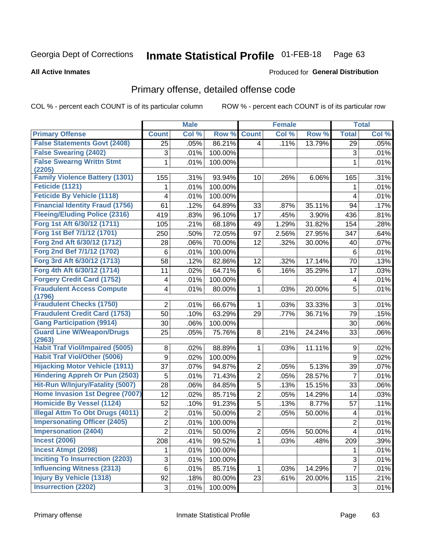### **Inmate Statistical Profile 01-FEB-18** Page 63

### **All Active Inmates**

### Produced for General Distribution

# Primary offense, detailed offense code

COL % - percent each COUNT is of its particular column

|                                                  |                 | <b>Male</b>  |                  |                                  | <b>Female</b> |                 |                         | <b>Total</b> |
|--------------------------------------------------|-----------------|--------------|------------------|----------------------------------|---------------|-----------------|-------------------------|--------------|
| <b>Primary Offense</b>                           | <b>Count</b>    | Col %        | Row %            | <b>Count</b>                     | Col %         | Row %           | <b>Total</b>            | Col %        |
| <b>False Statements Govt (2408)</b>              | 25              | .05%         | 86.21%           | 4                                | .11%          | 13.79%          | 29                      | .05%         |
| <b>False Swearing (2402)</b>                     | 3               | .01%         | 100.00%          |                                  |               |                 | 3                       | .01%         |
| <b>False Swearng Writtn Stmt</b><br>(2205)       | 1               | .01%         | 100.00%          |                                  |               |                 | $\mathbf{1}$            | .01%         |
| <b>Family Violence Battery (1301)</b>            | 155             | .31%         | 93.94%           | 10 <sup>°</sup>                  | .26%          | 6.06%           | 165                     | .31%         |
| <b>Feticide (1121)</b>                           | 1               | .01%         | 100.00%          |                                  |               |                 | 1                       | .01%         |
| <b>Feticide By Vehicle (1118)</b>                | 4               | .01%         | 100.00%          |                                  |               |                 | 4                       | .01%         |
| <b>Financial Identity Fraud (1756)</b>           | 61              | .12%         | 64.89%           | 33                               | .87%          | 35.11%          | 94                      | .17%         |
| <b>Fleeing/Eluding Police (2316)</b>             | 419             | .83%         | 96.10%           | 17                               | .45%          | 3.90%           | 436                     | .81%         |
| Forg 1st Aft 6/30/12 (1711)                      | 105             | .21%         | 68.18%           | 49                               | 1.29%         | 31.82%          | 154                     | .28%         |
| Forg 1st Bef 7/1/12 (1701)                       | 250             | .50%         | 72.05%           | 97                               | 2.56%         | 27.95%          | 347                     | .64%         |
| Forg 2nd Aft 6/30/12 (1712)                      | 28              | .06%         | 70.00%           | 12                               | .32%          | 30.00%          | 40                      | .07%         |
| Forg 2nd Bef 7/1/12 (1702)                       | $\,6$           | .01%         | 100.00%          |                                  |               |                 | $\,6$                   | .01%         |
| Forg 3rd Aft 6/30/12 (1713)                      | 58              | .12%         | 82.86%           | 12                               | .32%          | 17.14%          | 70                      | .13%         |
| Forg 4th Aft 6/30/12 (1714)                      | 11              | .02%         | 64.71%           | 6                                | .16%          | 35.29%          | 17                      | .03%         |
| <b>Forgery Credit Card (1752)</b>                | 4               | .01%         | 100.00%          |                                  |               |                 | 4                       | .01%         |
| <b>Fraudulent Access Compute</b><br>(1796)       | 4               | .01%         | 80.00%           | 1                                | .03%          | 20.00%          | 5                       | .01%         |
| <b>Fraudulent Checks (1750)</b>                  | $\overline{2}$  | .01%         | 66.67%           | 1                                | .03%          | 33.33%          | $\mathbf{3}$            | .01%         |
| <b>Fraudulent Credit Card (1753)</b>             | $\overline{50}$ | .10%         | 63.29%           | 29                               | .77%          | 36.71%          | 79                      | .15%         |
| <b>Gang Participation (9914)</b>                 | 30              | .06%         | 100.00%          |                                  |               |                 | 30                      | .06%         |
| <b>Guard Line W/Weapon/Drugs</b>                 | 25              | .05%         | 75.76%           | 8                                | .21%          | 24.24%          | 33                      | .06%         |
| (2963)<br><b>Habit Traf Viol/Impaired (5005)</b> | 8               | .02%         | 88.89%           | 1                                | .03%          | 11.11%          | 9                       | .02%         |
| <b>Habit Traf Viol/Other (5006)</b>              | 9               | .02%         | 100.00%          |                                  |               |                 | 9                       | .02%         |
| <b>Hijacking Motor Vehicle (1911)</b>            | 37              | .07%         |                  |                                  | .05%          |                 |                         | .07%         |
| <b>Hindering Appreh Or Pun (2503)</b>            | 5               |              | 94.87%<br>71.43% | $\overline{2}$<br>$\overline{2}$ | .05%          | 5.13%<br>28.57% | 39<br>$\overline{7}$    | .01%         |
| Hit-Run W/Injury/Fatality (5007)                 | 28              | .01%<br>.06% | 84.85%           | 5                                | .13%          | 15.15%          | 33                      | .06%         |
| Home Invasion 1st Degree (7007)                  | 12              | .02%         | 85.71%           | $\overline{2}$                   | .05%          | 14.29%          | 14                      | .03%         |
| <b>Homicide By Vessel (1124)</b>                 | 52              | .10%         | 91.23%           | $\overline{5}$                   | .13%          | 8.77%           | 57                      | .11%         |
| <b>Illegal Attm To Obt Drugs (4011)</b>          | $\overline{2}$  | .01%         | 50.00%           | $\overline{2}$                   | .05%          | 50.00%          | 4                       | .01%         |
| <b>Impersonating Officer (2405)</b>              | $\overline{2}$  | .01%         | 100.00%          |                                  |               |                 | $\overline{2}$          | .01%         |
| <b>Impersonation (2404)</b>                      | $\overline{2}$  | .01%         | 50.00%           | $\mathbf{2}$                     | .05%          | 50.00%          | $\overline{\mathbf{4}}$ | .01%         |
| <b>Incest (2006)</b>                             | 208             | .41%         | 99.52%           | 1                                | .03%          | .48%            | 209                     | .39%         |
| <b>Incest Atmpt (2098)</b>                       | 1.              | .01%         | 100.00%          |                                  |               |                 | 1                       | .01%         |
| <b>Inciting To Insurrection (2203)</b>           | 3               | .01%         | 100.00%          |                                  |               |                 | 3                       | .01%         |
| <b>Influencing Witness (2313)</b>                | $6\phantom{a}$  | .01%         | 85.71%           | $\mathbf{1}$                     | .03%          | 14.29%          | 7                       | .01%         |
| <b>Injury By Vehicle (1318)</b>                  | 92              | .18%         | 80.00%           | 23                               | .61%          | 20.00%          | 115                     | .21%         |
| <b>Insurrection (2202)</b>                       | 3               | .01%         | 100.00%          |                                  |               |                 | 3                       | .01%         |
|                                                  |                 |              |                  |                                  |               |                 |                         |              |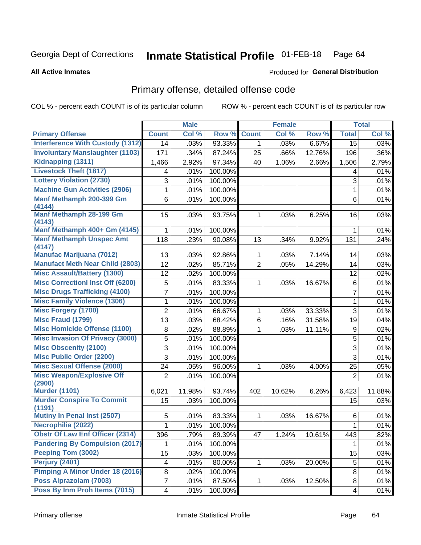### **Inmate Statistical Profile 01-FEB-18** Page 64

**All Active Inmates** 

## Produced for General Distribution

# Primary offense, detailed offense code

COL % - percent each COUNT is of its particular column

|                                            |                | <b>Male</b> |         |                | <b>Female</b> |        |                           | <b>Total</b> |
|--------------------------------------------|----------------|-------------|---------|----------------|---------------|--------|---------------------------|--------------|
| <b>Primary Offense</b>                     | <b>Count</b>   | Col %       | Row %   | <b>Count</b>   | Col %         | Row %  | <b>Total</b>              | Col %        |
| <b>Interference With Custody (1312)</b>    | 14             | .03%        | 93.33%  | 1 <sup>1</sup> | .03%          | 6.67%  | $\overline{15}$           | .03%         |
| <b>Involuntary Manslaughter (1103)</b>     | 171            | .34%        | 87.24%  | 25             | .66%          | 12.76% | 196                       | .36%         |
| Kidnapping (1311)                          | 1,466          | 2.92%       | 97.34%  | 40             | 1.06%         | 2.66%  | 1,506                     | 2.79%        |
| <b>Livestock Theft (1817)</b>              | 4              | .01%        | 100.00% |                |               |        | 4                         | .01%         |
| <b>Lottery Violation (2730)</b>            | 3              | .01%        | 100.00% |                |               |        | 3                         | .01%         |
| <b>Machine Gun Activities (2906)</b>       | 1              | .01%        | 100.00% |                |               |        | 1                         | .01%         |
| Manf Methamph 200-399 Gm<br>(4144)         | 6              | .01%        | 100.00% |                |               |        | 6                         | .01%         |
| <b>Manf Methamph 28-199 Gm</b><br>(4143)   | 15             | .03%        | 93.75%  | 1              | .03%          | 6.25%  | 16                        | .03%         |
| Manf Methamph 400+ Gm (4145)               | 1              | .01%        | 100.00% |                |               |        | 1                         | .01%         |
| <b>Manf Methamph Unspec Amt</b><br>(4147)  | 118            | .23%        | 90.08%  | 13             | .34%          | 9.92%  | 131                       | .24%         |
| <b>Manufac Marijuana (7012)</b>            | 13             | .03%        | 92.86%  | $\mathbf{1}$   | .03%          | 7.14%  | 14                        | .03%         |
| <b>Manufact Meth Near Child (2803)</b>     | 12             | .02%        | 85.71%  | $\overline{2}$ | .05%          | 14.29% | 14                        | .03%         |
| <b>Misc Assault/Battery (1300)</b>         | 12             | .02%        | 100.00% |                |               |        | 12                        | .02%         |
| <b>Misc Correctionl Inst Off (6200)</b>    | 5              | .01%        | 83.33%  | $\mathbf 1$    | .03%          | 16.67% | 6                         | .01%         |
| <b>Misc Drugs Trafficking (4100)</b>       | 7              | .01%        | 100.00% |                |               |        | $\overline{7}$            | .01%         |
| <b>Misc Family Violence (1306)</b>         | 1              | .01%        | 100.00% |                |               |        | 1                         | .01%         |
| <b>Misc Forgery (1700)</b>                 | $\overline{2}$ | .01%        | 66.67%  | 1              | .03%          | 33.33% | $\ensuremath{\mathsf{3}}$ | .01%         |
| <b>Misc Fraud (1799)</b>                   | 13             | .03%        | 68.42%  | 6              | .16%          | 31.58% | 19                        | .04%         |
| <b>Misc Homicide Offense (1100)</b>        | 8              | .02%        | 88.89%  | $\mathbf{1}$   | .03%          | 11.11% | 9                         | .02%         |
| <b>Misc Invasion Of Privacy (3000)</b>     | 5              | .01%        | 100.00% |                |               |        | 5                         | .01%         |
| <b>Misc Obscenity (2100)</b>               | 3              | .01%        | 100.00% |                |               |        | $\mathsf 3$               | .01%         |
| <b>Misc Public Order (2200)</b>            | 3              | .01%        | 100.00% |                |               |        | 3                         | .01%         |
| <b>Misc Sexual Offense (2000)</b>          | 24             | .05%        | 96.00%  | 1              | .03%          | 4.00%  | 25                        | .05%         |
| <b>Misc Weapon/Explosive Off</b><br>(2900) | $\overline{2}$ | .01%        | 100.00% |                |               |        | $\overline{2}$            | .01%         |
| <b>Murder (1101)</b>                       | 6,021          | 11.98%      | 93.74%  | 402            | 10.62%        | 6.26%  | 6,423                     | 11.88%       |
| <b>Murder Conspire To Commit</b><br>(1191) | 15             | .03%        | 100.00% |                |               |        | 15                        | .03%         |
| Mutiny In Penal Inst (2507)                | 5              | .01%        | 83.33%  | 1              | .03%          | 16.67% | 6                         | .01%         |
| Necrophilia (2022)                         | $\mathbf{1}$   | .01%        | 100.00% |                |               |        | $\mathbf 1$               | .01%         |
| <b>Obstr Of Law Enf Officer (2314)</b>     | 396            | .79%        | 89.39%  | 47             | 1.24%         | 10.61% | 443                       | .82%         |
| <b>Pandering By Compulsion (2017)</b>      |                | .01%        | 100.00% |                |               |        | 1                         | .01%         |
| Peeping Tom (3002)                         | 15             | .03%        | 100.00% |                |               |        | 15                        | .03%         |
| Perjury (2401)                             | 4              | .01%        | 80.00%  | 1              | .03%          | 20.00% | 5                         | .01%         |
| <b>Pimping A Minor Under 18 (2016)</b>     | 8              | .02%        | 100.00% |                |               |        | 8                         | .01%         |
| Poss Alprazolam (7003)                     | 7              | .01%        | 87.50%  | $\mathbf{1}$   | .03%          | 12.50% | 8                         | .01%         |
| Poss By Inm Proh Items (7015)              | 4              | .01%        | 100.00% |                |               |        | 4                         | .01%         |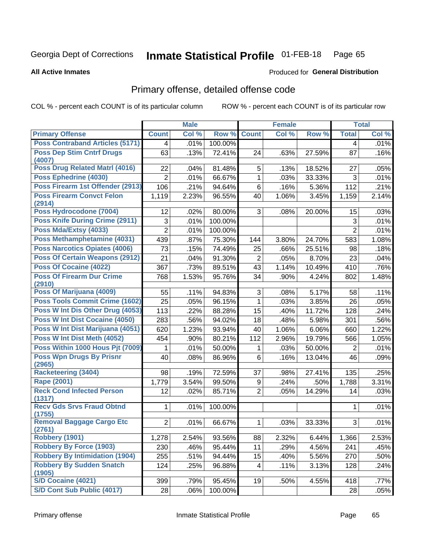### **Inmate Statistical Profile 01-FEB-18** Page 65

### **All Active Inmates**

## **Produced for General Distribution**

# Primary offense, detailed offense code

COL % - percent each COUNT is of its particular column

|                                            |                | <b>Male</b> |         |                | <b>Female</b> |        |                | <b>Total</b> |
|--------------------------------------------|----------------|-------------|---------|----------------|---------------|--------|----------------|--------------|
| <b>Primary Offense</b>                     | <b>Count</b>   | Col %       | Row %   | <b>Count</b>   | Col %         | Row %  | <b>Total</b>   | Col %        |
| <b>Poss Contraband Articles (5171)</b>     | $\overline{4}$ | .01%        | 100.00% |                |               |        | $\overline{4}$ | .01%         |
| <b>Poss Dep Stim Cntrf Drugs</b><br>(4007) | 63             | .13%        | 72.41%  | 24             | .63%          | 27.59% | 87             | .16%         |
| <b>Poss Drug Related Matri (4016)</b>      | 22             | .04%        | 81.48%  | 5              | .13%          | 18.52% | 27             | .05%         |
| Poss Ephedrine (4030)                      | $\overline{2}$ | .01%        | 66.67%  | $\mathbf{1}$   | .03%          | 33.33% | 3              | .01%         |
| Poss Firearm 1st Offender (2913)           | 106            | .21%        | 94.64%  | 6              | .16%          | 5.36%  | 112            | .21%         |
| <b>Poss Firearm Convct Felon</b><br>(2914) | 1,119          | 2.23%       | 96.55%  | 40             | 1.06%         | 3.45%  | 1,159          | 2.14%        |
| Poss Hydrocodone (7004)                    | 12             | .02%        | 80.00%  | 3              | .08%          | 20.00% | 15             | .03%         |
| <b>Poss Knife During Crime (2911)</b>      | 3              | .01%        | 100.00% |                |               |        | 3              | .01%         |
| Poss Mda/Extsy (4033)                      | $\overline{2}$ | .01%        | 100.00% |                |               |        | $\overline{2}$ | .01%         |
| Poss Methamphetamine (4031)                | 439            | .87%        | 75.30%  | 144            | 3.80%         | 24.70% | 583            | 1.08%        |
| <b>Poss Narcotics Opiates (4006)</b>       | 73             | .15%        | 74.49%  | 25             | .66%          | 25.51% | 98             | .18%         |
| <b>Poss Of Certain Weapons (2912)</b>      | 21             | .04%        | 91.30%  | $\overline{2}$ | .05%          | 8.70%  | 23             | .04%         |
| Poss Of Cocaine (4022)                     | 367            | .73%        | 89.51%  | 43             | 1.14%         | 10.49% | 410            | .76%         |
| <b>Poss Of Firearm Dur Crime</b>           | 768            | 1.53%       | 95.76%  | 34             | .90%          | 4.24%  | 802            | 1.48%        |
| (2910)                                     |                |             |         |                |               |        |                |              |
| Poss Of Marijuana (4009)                   | 55             | .11%        | 94.83%  | 3              | .08%          | 5.17%  | 58             | .11%         |
| <b>Poss Tools Commit Crime (1602)</b>      | 25             | .05%        | 96.15%  | $\mathbf{1}$   | .03%          | 3.85%  | 26             | .05%         |
| Poss W Int Dis Other Drug (4053)           | 113            | .22%        | 88.28%  | 15             | .40%          | 11.72% | 128            | .24%         |
| Poss W Int Dist Cocaine (4050)             | 283            | .56%        | 94.02%  | 18             | .48%          | 5.98%  | 301            | .56%         |
| Poss W Int Dist Marijuana (4051)           | 620            | 1.23%       | 93.94%  | 40             | 1.06%         | 6.06%  | 660            | 1.22%        |
| Poss W Int Dist Meth (4052)                | 454            | .90%        | 80.21%  | 112            | 2.96%         | 19.79% | 566            | 1.05%        |
| Poss Within 1000 Hous Pjt (7009)           |                | .01%        | 50.00%  | 1              | .03%          | 50.00% | $\overline{2}$ | .01%         |
| <b>Poss Wpn Drugs By Prisnr</b><br>(2965)  | 40             | .08%        | 86.96%  | 6              | .16%          | 13.04% | 46             | .09%         |
| <b>Racketeering (3404)</b>                 | 98             | .19%        | 72.59%  | 37             | .98%          | 27.41% | 135            | .25%         |
| Rape (2001)                                | 1,779          | 3.54%       | 99.50%  | 9              | .24%          | .50%   | 1,788          | 3.31%        |
| <b>Reck Cond Infected Person</b><br>(1317) | 12             | .02%        | 85.71%  | $\overline{2}$ | .05%          | 14.29% | 14             | .03%         |
| <b>Recv Gds Srvs Fraud Obtnd</b><br>(1755) | $\mathbf{1}$   | .01%        | 100.00% |                |               |        | 1              | .01%         |
| <b>Removal Baggage Cargo Etc</b><br>(2761) | $\overline{2}$ | .01%        | 66.67%  | 1              | .03%          | 33.33% | 3              | .01%         |
| <b>Robbery (1901)</b>                      | 1,278          | 2.54%       | 93.56%  | 88             | 2.32%         | 6.44%  | 1,366          | 2.53%        |
| <b>Robbery By Force (1903)</b>             | 230            | .46%        | 95.44%  | 11             | .29%          | 4.56%  | 241            | .45%         |
| <b>Robbery By Intimidation (1904)</b>      | 255            | .51%        | 94.44%  | 15             | .40%          | 5.56%  | 270            | .50%         |
| <b>Robbery By Sudden Snatch</b>            | 124            | .25%        | 96.88%  | 4              | .11%          | 3.13%  | 128            | .24%         |
| (1905)                                     |                |             |         |                |               |        |                |              |
| S/D Cocaine (4021)                         | 399            | .79%        | 95.45%  | 19             | .50%          | 4.55%  | 418            | .77%         |
| S/D Cont Sub Public (4017)                 | 28             | .06%        | 100.00% |                |               |        | 28             | .05%         |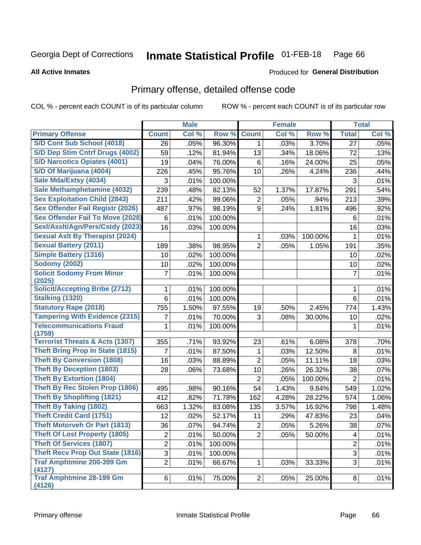### **Inmate Statistical Profile 01-FEB-18** Page 66

**All Active Inmates** 

### Produced for General Distribution

# Primary offense, detailed offense code

COL % - percent each COUNT is of its particular column

|                                                                            |                | <b>Male</b> |                  |                     | <b>Female</b> |                  |                         | <b>Total</b> |
|----------------------------------------------------------------------------|----------------|-------------|------------------|---------------------|---------------|------------------|-------------------------|--------------|
| <b>Primary Offense</b>                                                     | <b>Count</b>   | Col %       | Row %            | <b>Count</b>        | Col %         | Row %            | <b>Total</b>            | Col %        |
| S/D Cont Sub School (4018)                                                 | 26             | .05%        | 96.30%           | 1                   | .03%          | 3.70%            | 27                      | .05%         |
| S/D Dep Stim Cntrf Drugs (4002)                                            | 59             | .12%        | 81.94%           | 13                  | .34%          | 18.06%           | 72                      | .13%         |
| <b>S/D Narcotics Opiates (4001)</b>                                        | 19             | .04%        | 76.00%           | 6                   | .16%          | 24.00%           | 25                      | .05%         |
| S/D Of Marijuana (4004)                                                    | 226            | .45%        | 95.76%           | 10                  | .26%          | 4.24%            | 236                     | .44%         |
| Sale Mda/Extsy (4034)                                                      | 3              | .01%        | 100.00%          |                     |               |                  | 3                       | .01%         |
| Sale Methamphetamine (4032)                                                | 239            | .48%        | 82.13%           | 52                  | 1.37%         | 17.87%           | 291                     | .54%         |
| <b>Sex Exploitation Child (2843)</b>                                       | 211            | .42%        | 99.06%           | $\overline{2}$      | .05%          | .94%             | 213                     | .39%         |
| <b>Sex Offender Fail Registr (2026)</b>                                    | 487            | .97%        | 98.19%           | 9                   | .24%          | 1.81%            | 496                     | .92%         |
| <b>Sex Offender Fail To Move (2028)</b>                                    | $\,6$          | .01%        | 100.00%          |                     |               |                  | 6                       | .01%         |
| Sexl/Asslt/Agn/Pers/Cstdy (2023)                                           | 16             | .03%        | 100.00%          |                     |               |                  | 16                      | .03%         |
| <b>Sexual Aslt By Therapist (2024)</b>                                     |                |             |                  | 1                   | .03%          | 100.00%          | 1                       | .01%         |
| <b>Sexual Battery (2011)</b>                                               | 189            | .38%        | 98.95%           | $\overline{2}$      | .05%          | 1.05%            | 191                     | .35%         |
| <b>Simple Battery (1316)</b>                                               | 10             | .02%        | 100.00%          |                     |               |                  | 10                      | .02%         |
| <b>Sodomy (2002)</b>                                                       | 10             | .02%        | 100.00%          |                     |               |                  | 10                      | .02%         |
| <b>Solicit Sodomy From Minor</b>                                           | 7              | .01%        | 100.00%          |                     |               |                  | $\overline{7}$          | .01%         |
| (2025)                                                                     |                |             |                  |                     |               |                  |                         |              |
| <b>Solicit/Accepting Bribe (2712)</b>                                      |                | .01%        | 100.00%          |                     |               |                  | 1                       | .01%         |
| <b>Stalking (1320)</b>                                                     | 6              | .01%        | 100.00%          |                     |               |                  | 6                       | .01%         |
| <b>Statutory Rape (2018)</b>                                               | 755            | 1.50%       | 97.55%           | 19                  | .50%          | 2.45%            | 774                     | 1.43%        |
| <b>Tampering With Evidence (2315)</b>                                      | 7              | .01%        | 70.00%           | 3                   | .08%          | 30.00%           | 10                      | .02%         |
| <b>Telecommunications Fraud</b>                                            | 1              | .01%        | 100.00%          |                     |               |                  | 1                       | .01%         |
| (1759)<br><b>Terrorist Threats &amp; Acts (1307)</b>                       | 355            | .71%        | 93.92%           | 23                  | .61%          | 6.08%            | 378                     | .70%         |
| <b>Theft Bring Prop In State (1815)</b>                                    | 7              | .01%        | 87.50%           |                     | .03%          | 12.50%           | 8                       | .01%         |
| <b>Theft By Conversion (1808)</b>                                          | 16             | .03%        |                  | 1<br>$\overline{2}$ | .05%          |                  |                         |              |
| <b>Theft By Deception (1803)</b>                                           | 28             | .06%        | 88.89%<br>73.68% | 10                  | .26%          | 11.11%<br>26.32% | 18<br>38                | .03%<br>.07% |
| <b>Theft By Extortion (1804)</b>                                           |                |             |                  | $\overline{2}$      |               |                  | $\overline{2}$          |              |
| Theft By Rec Stolen Prop (1806)                                            |                |             |                  |                     | .05%          | 100.00%          |                         | .01%         |
| <b>Theft By Shoplifting (1821)</b>                                         | 495            | .98%        | 90.16%           | 54                  | 1.43%         | 9.84%            | 549                     | 1.02%        |
| <b>Theft By Taking (1802)</b>                                              | 412            | .82%        | 71.78%           | 162                 | 4.28%         | 28.22%           | 574                     | 1.06%        |
| <b>Theft Credit Card (1751)</b>                                            | 663            | 1.32%       | 83.08%           | 135                 | 3.57%         | 16.92%           | 798                     | 1.48%        |
| <b>Theft Motorveh Or Part (1813)</b>                                       | 12             | .02%        | 52.17%           | 11                  | .29%          | 47.83%           | 23                      | .04%         |
|                                                                            | 36             | .07%        | 94.74%           | $\overline{2}$      | .05%          | 5.26%            | 38                      | .07%         |
| <b>Theft Of Lost Property (1805)</b>                                       | $\overline{2}$ | .01%        | 50.00%           | $\overline{2}$      | .05%          | 50.00%           | $\overline{\mathbf{4}}$ | .01%         |
| <b>Theft Of Services (1807)</b><br><b>Theft Recv Prop Out State (1816)</b> | $\overline{2}$ | .01%        | 100.00%          |                     |               |                  | $\overline{2}$          | .01%         |
|                                                                            | $\overline{3}$ | .01%        | 100.00%          |                     |               |                  | 3                       | .01%         |
| <b>Traf Amphtmine 200-399 Gm</b><br>(4127)                                 | $\overline{2}$ | .01%        | 66.67%           | 1                   | .03%          | 33.33%           | 3                       | .01%         |
| <b>Traf Amphtmine 28-199 Gm</b>                                            | 6              | .01%        | 75.00%           | $\overline{2}$      | .05%          | 25.00%           | 8                       | .01%         |
| (4126)                                                                     |                |             |                  |                     |               |                  |                         |              |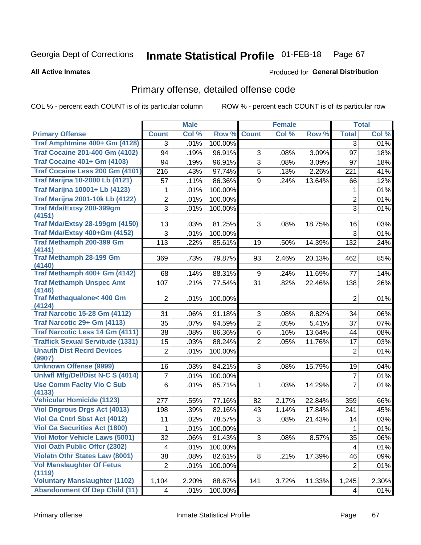### **Inmate Statistical Profile 01-FEB-18** Page 67

**All Active Inmates** 

## Produced for General Distribution

# Primary offense, detailed offense code

COL % - percent each COUNT is of its particular column

|                                            |                         | <b>Male</b> |         |                | <b>Female</b> |        |                | <b>Total</b> |
|--------------------------------------------|-------------------------|-------------|---------|----------------|---------------|--------|----------------|--------------|
| <b>Primary Offense</b>                     | <b>Count</b>            | Col %       | Row %   | <b>Count</b>   | Col %         | Row %  | <b>Total</b>   | Col %        |
| Traf Amphtmine 400+ Gm (4128)              | 3                       | .01%        | 100.00% |                |               |        | 3              | .01%         |
| <b>Traf Cocaine 201-400 Gm (4102)</b>      | 94                      | .19%        | 96.91%  | 3              | .08%          | 3.09%  | 97             | .18%         |
| <b>Traf Cocaine 401+ Gm (4103)</b>         | 94                      | .19%        | 96.91%  | $\overline{3}$ | .08%          | 3.09%  | 97             | .18%         |
| Traf Cocaine Less 200 Gm (4101)            | 216                     | .43%        | 97.74%  | 5              | .13%          | 2.26%  | 221            | .41%         |
| <b>Traf Marijna 10-2000 Lb (4121)</b>      | 57                      | .11%        | 86.36%  | 9              | .24%          | 13.64% | 66             | .12%         |
| <b>Traf Marijna 10001+ Lb (4123)</b>       | 1                       | .01%        | 100.00% |                |               |        | 1              | .01%         |
| <b>Traf Marijna 2001-10k Lb (4122)</b>     | $\overline{2}$          | .01%        | 100.00% |                |               |        | $\overline{2}$ | .01%         |
| <b>Traf Mda/Extsy 200-399gm</b><br>(4151)  | $\overline{3}$          | .01%        | 100.00% |                |               |        | 3              | .01%         |
| <b>Traf Mda/Extsy 28-199gm (4150)</b>      | 13                      | .03%        | 81.25%  | 3              | .08%          | 18.75% | 16             | .03%         |
| Traf Mda/Extsy 400+Gm (4152)               | 3                       | .01%        | 100.00% |                |               |        | $\mathbf{3}$   | .01%         |
| Traf Methamph 200-399 Gm                   | 113                     | .22%        | 85.61%  | 19             | .50%          | 14.39% | 132            | .24%         |
| (4141)                                     |                         |             |         |                |               |        |                |              |
| <b>Traf Methamph 28-199 Gm</b><br>(4140)   | 369                     | .73%        | 79.87%  | 93             | 2.46%         | 20.13% | 462            | .85%         |
| Traf Methamph 400+ Gm (4142)               | 68                      | .14%        | 88.31%  | 9              | .24%          | 11.69% | 77             | .14%         |
| <b>Traf Methamph Unspec Amt</b>            | 107                     | .21%        | 77.54%  | 31             | .82%          | 22.46% | 138            | .26%         |
| (4146)                                     |                         |             |         |                |               |        |                |              |
| <b>Traf Methaqualone&lt; 400 Gm</b>        | $\overline{2}$          | .01%        | 100.00% |                |               |        | $\overline{2}$ | .01%         |
| (4124)                                     |                         |             |         |                |               |        |                |              |
| <b>Traf Narcotic 15-28 Gm (4112)</b>       | 31                      | .06%        | 91.18%  | 3              | .08%          | 8.82%  | 34             | .06%         |
| Traf Narcotic 29+ Gm (4113)                | 35                      | .07%        | 94.59%  | $\overline{2}$ | .05%          | 5.41%  | 37             | .07%         |
| <b>Traf Narcotic Less 14 Gm (4111)</b>     | 38                      | .08%        | 86.36%  | 6              | .16%          | 13.64% | 44             | .08%         |
| <b>Traffick Sexual Servitude (1331)</b>    | 15                      | .03%        | 88.24%  | $\overline{2}$ | .05%          | 11.76% | 17             | .03%         |
| <b>Unauth Dist Recrd Devices</b><br>(9907) | $\overline{2}$          | .01%        | 100.00% |                |               |        | $\overline{2}$ | .01%         |
| <b>Unknown Offense (9999)</b>              | 16                      | .03%        | 84.21%  | 3              | .08%          | 15.79% | 19             | .04%         |
| Uniwfl Mfg/Del/Dist N-C S (4014)           | 7                       | .01%        | 100.00% |                |               |        | $\overline{7}$ | .01%         |
| <b>Use Comm Facity Vio C Sub</b>           | 6                       | .01%        | 85.71%  | $\mathbf 1$    | .03%          | 14.29% | 7              | .01%         |
| (4133)                                     |                         |             |         |                |               |        |                |              |
| <b>Vehicular Homicide (1123)</b>           | 277                     | .55%        | 77.16%  | 82             | 2.17%         | 22.84% | 359            | .66%         |
| <b>Viol Dngrous Drgs Act (4013)</b>        | 198                     | .39%        | 82.16%  | 43             | 1.14%         | 17.84% | 241            | .45%         |
| Viol Ga Cntrl Sbst Act (4012)              | 11                      | .02%        | 78.57%  | 3              | .08%          | 21.43% | 14             | .03%         |
| <b>Viol Ga Securities Act (1800)</b>       | $\mathbf 1$             | .01%        | 100.00% |                |               |        | $\overline{1}$ | .01%         |
| <b>Viol Motor Vehicle Laws (5001)</b>      | 32                      | .06%        | 91.43%  | 3              | .08%          | 8.57%  | 35             | .06%         |
| <b>Viol Oath Public Offer (2302)</b>       | 4                       | .01%        | 100.00% |                |               |        | 4              | .01%         |
| <b>Violatn Othr States Law (8001)</b>      | 38                      | .08%        | 82.61%  | 8 <sup>1</sup> | .21%          | 17.39% | 46             | .09%         |
| <b>Vol Manslaughter Of Fetus</b>           | 2                       | .01%        | 100.00% |                |               |        | $\overline{2}$ | .01%         |
| (1119)                                     |                         |             |         |                |               |        |                |              |
| <b>Voluntary Manslaughter (1102)</b>       | 1,104                   | 2.20%       | 88.67%  | 141            | 3.72%         | 11.33% | 1,245          | 2.30%        |
| <b>Abandonment Of Dep Child (11)</b>       | $\overline{\mathbf{4}}$ | .01%        | 100.00% |                |               |        | 4              | .01%         |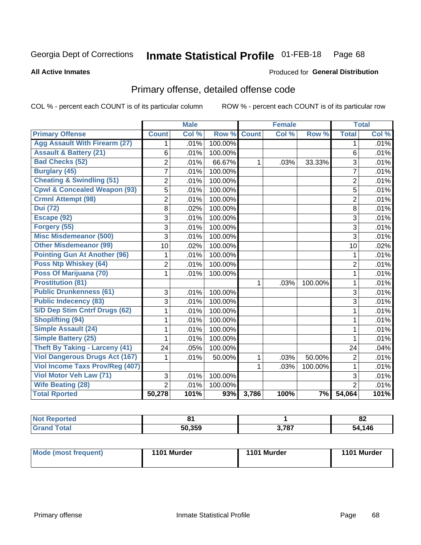### **Inmate Statistical Profile 01-FEB-18** Page 68

**All Active Inmates** 

## Produced for General Distribution

# Primary offense, detailed offense code

COL % - percent each COUNT is of its particular column

|                                         |                | <b>Male</b> |         |              | <b>Female</b> |         |                | <b>Total</b> |
|-----------------------------------------|----------------|-------------|---------|--------------|---------------|---------|----------------|--------------|
| <b>Primary Offense</b>                  | <b>Count</b>   | Col %       | Row %   | <b>Count</b> | Col %         | Row %   | <b>Total</b>   | Col %        |
| <b>Agg Assault With Firearm (27)</b>    | 1              | .01%        | 100.00% |              |               |         | 1              | .01%         |
| <b>Assault &amp; Battery (21)</b>       | 6              | .01%        | 100.00% |              |               |         | 6              | .01%         |
| <b>Bad Checks (52)</b>                  | $\overline{c}$ | .01%        | 66.67%  | 1            | .03%          | 33.33%  | $\overline{3}$ | .01%         |
| <b>Burglary (45)</b>                    | $\overline{7}$ | .01%        | 100.00% |              |               |         | $\overline{7}$ | .01%         |
| <b>Cheating &amp; Swindling (51)</b>    | 2              | .01%        | 100.00% |              |               |         | $\overline{2}$ | .01%         |
| <b>Cpwl &amp; Concealed Weapon (93)</b> | 5              | .01%        | 100.00% |              |               |         | 5              | .01%         |
| <b>Crmnl Attempt (98)</b>               | $\overline{2}$ | .01%        | 100.00% |              |               |         | $\overline{2}$ | .01%         |
| <b>Dui</b> (72)                         | 8              | .02%        | 100.00% |              |               |         | 8              | .01%         |
| Escape (92)                             | 3              | .01%        | 100.00% |              |               |         | 3              | .01%         |
| Forgery (55)                            | 3              | .01%        | 100.00% |              |               |         | 3              | .01%         |
| <b>Misc Misdemeanor (500)</b>           | 3              | .01%        | 100.00% |              |               |         | 3              | .01%         |
| <b>Other Misdemeanor (99)</b>           | 10             | .02%        | 100.00% |              |               |         | 10             | .02%         |
| <b>Pointing Gun At Another (96)</b>     | 1              | .01%        | 100.00% |              |               |         | 1              | .01%         |
| Poss Ntp Whiskey (64)                   | 2              | .01%        | 100.00% |              |               |         | $\overline{2}$ | .01%         |
| Poss Of Marijuana (70)                  | 1              | .01%        | 100.00% |              |               |         | $\mathbf{1}$   | .01%         |
| <b>Prostitution (81)</b>                |                |             |         | 1            | .03%          | 100.00% | $\mathbf{1}$   | .01%         |
| <b>Public Drunkenness (61)</b>          | 3              | .01%        | 100.00% |              |               |         | 3              | .01%         |
| <b>Public Indecency (83)</b>            | 3              | .01%        | 100.00% |              |               |         | $\overline{3}$ | .01%         |
| <b>S/D Dep Stim Cntrf Drugs (62)</b>    | 1              | .01%        | 100.00% |              |               |         | $\mathbf{1}$   | .01%         |
| <b>Shoplifting (94)</b>                 | 1              | .01%        | 100.00% |              |               |         | 1              | .01%         |
| <b>Simple Assault (24)</b>              | 1              | .01%        | 100.00% |              |               |         | 1              | .01%         |
| <b>Simple Battery (25)</b>              | 1              | .01%        | 100.00% |              |               |         | 1              | .01%         |
| <b>Theft By Taking - Larceny (41)</b>   | 24             | .05%        | 100.00% |              |               |         | 24             | .04%         |
| <b>Viol Dangerous Drugs Act (167)</b>   | 1              | .01%        | 50.00%  | 1            | .03%          | 50.00%  | $\overline{2}$ | .01%         |
| Viol Income Taxs Prov/Reg (407)         |                |             |         | 1            | .03%          | 100.00% | $\mathbf{1}$   | .01%         |
| <b>Viol Motor Veh Law (71)</b>          | 3              | .01%        | 100.00% |              |               |         | $\overline{3}$ | .01%         |
| <b>Wife Beating (28)</b>                | $\overline{2}$ | .01%        | 100.00% |              |               |         | $\overline{2}$ | .01%         |
| <b>Total Rported</b>                    | 50,278         | 101%        | 93%     | 3,786        | 100%          | 7%      | 54,064         | 101%         |

| <b>Not</b><br><b>Reported</b> |               |              | o-<br>OZ. |
|-------------------------------|---------------|--------------|-----------|
| ™ota⊫                         | 50.359<br>וור | , 707<br>۰ο. | .146      |

| Mode (most frequent) | 1101 Murder | 1101 Murder | 1101 Murder |
|----------------------|-------------|-------------|-------------|
|                      |             |             |             |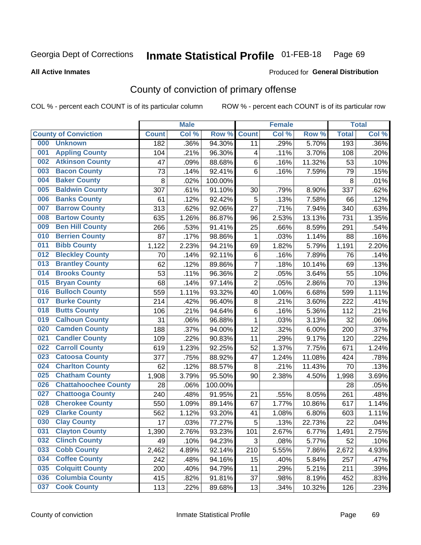#### **Inmate Statistical Profile 01-FEB-18** Page 69

**All Active Inmates** 

## Produced for General Distribution

# County of conviction of primary offense

COL % - percent each COUNT is of its particular column

|     |                             |              | <b>Male</b> |         |                | <b>Female</b> |        |              | <b>Total</b> |
|-----|-----------------------------|--------------|-------------|---------|----------------|---------------|--------|--------------|--------------|
|     | <b>County of Conviction</b> | <b>Count</b> | Col %       | Row %   | <b>Count</b>   | Col %         | Row %  | <b>Total</b> | Col %        |
| 000 | <b>Unknown</b>              | 182          | .36%        | 94.30%  | 11             | .29%          | 5.70%  | 193          | .36%         |
| 001 | <b>Appling County</b>       | 104          | .21%        | 96.30%  | 4              | .11%          | 3.70%  | 108          | .20%         |
| 002 | <b>Atkinson County</b>      | 47           | .09%        | 88.68%  | 6              | .16%          | 11.32% | 53           | .10%         |
| 003 | <b>Bacon County</b>         | 73           | .14%        | 92.41%  | 6              | .16%          | 7.59%  | 79           | .15%         |
| 004 | <b>Baker County</b>         | 8            | .02%        | 100.00% |                |               |        | 8            | .01%         |
| 005 | <b>Baldwin County</b>       | 307          | .61%        | 91.10%  | 30             | .79%          | 8.90%  | 337          | .62%         |
| 006 | <b>Banks County</b>         | 61           | .12%        | 92.42%  | 5              | .13%          | 7.58%  | 66           | .12%         |
| 007 | <b>Barrow County</b>        | 313          | .62%        | 92.06%  | 27             | .71%          | 7.94%  | 340          | .63%         |
| 008 | <b>Bartow County</b>        | 635          | 1.26%       | 86.87%  | 96             | 2.53%         | 13.13% | 731          | 1.35%        |
| 009 | <b>Ben Hill County</b>      | 266          | .53%        | 91.41%  | 25             | .66%          | 8.59%  | 291          | .54%         |
| 010 | <b>Berrien County</b>       | 87           | .17%        | 98.86%  | 1              | .03%          | 1.14%  | 88           | .16%         |
| 011 | <b>Bibb County</b>          | 1,122        | 2.23%       | 94.21%  | 69             | 1.82%         | 5.79%  | 1,191        | 2.20%        |
| 012 | <b>Bleckley County</b>      | 70           | .14%        | 92.11%  | 6              | .16%          | 7.89%  | 76           | .14%         |
| 013 | <b>Brantley County</b>      | 62           | .12%        | 89.86%  | $\overline{7}$ | .18%          | 10.14% | 69           | .13%         |
| 014 | <b>Brooks County</b>        | 53           | .11%        | 96.36%  | $\overline{2}$ | .05%          | 3.64%  | 55           | .10%         |
| 015 | <b>Bryan County</b>         | 68           | .14%        | 97.14%  | $\overline{2}$ | .05%          | 2.86%  | 70           | .13%         |
| 016 | <b>Bulloch County</b>       | 559          | 1.11%       | 93.32%  | 40             | 1.06%         | 6.68%  | 599          | 1.11%        |
| 017 | <b>Burke County</b>         | 214          | .42%        | 96.40%  | 8              | .21%          | 3.60%  | 222          | .41%         |
| 018 | <b>Butts County</b>         | 106          | .21%        | 94.64%  | 6              | .16%          | 5.36%  | 112          | .21%         |
| 019 | <b>Calhoun County</b>       | 31           | .06%        | 96.88%  | $\mathbf{1}$   | .03%          | 3.13%  | 32           | .06%         |
| 020 | <b>Camden County</b>        | 188          | .37%        | 94.00%  | 12             | .32%          | 6.00%  | 200          | .37%         |
| 021 | <b>Candler County</b>       | 109          | .22%        | 90.83%  | 11             | .29%          | 9.17%  | 120          | .22%         |
| 022 | <b>Carroll County</b>       | 619          | 1.23%       | 92.25%  | 52             | 1.37%         | 7.75%  | 671          | 1.24%        |
| 023 | <b>Catoosa County</b>       | 377          | .75%        | 88.92%  | 47             | 1.24%         | 11.08% | 424          | .78%         |
| 024 | <b>Charlton County</b>      | 62           | .12%        | 88.57%  | 8              | .21%          | 11.43% | 70           | .13%         |
| 025 | <b>Chatham County</b>       | 1,908        | 3.79%       | 95.50%  | 90             | 2.38%         | 4.50%  | 1,998        | 3.69%        |
| 026 | <b>Chattahoochee County</b> | 28           | .06%        | 100.00% |                |               |        | 28           | .05%         |
| 027 | <b>Chattooga County</b>     | 240          | .48%        | 91.95%  | 21             | .55%          | 8.05%  | 261          | .48%         |
| 028 | <b>Cherokee County</b>      | 550          | 1.09%       | 89.14%  | 67             | 1.77%         | 10.86% | 617          | 1.14%        |
| 029 | <b>Clarke County</b>        | 562          | 1.12%       | 93.20%  | 41             | 1.08%         | 6.80%  | 603          | 1.11%        |
| 030 | <b>Clay County</b>          | 17           | .03%        | 77.27%  | 5              | .13%          | 22.73% | 22           | .04%         |
| 031 | <b>Clayton County</b>       | 1,390        | 2.76%       | 93.23%  | 101            | 2.67%         | 6.77%  | 1,491        | 2.75%        |
| 032 | <b>Clinch County</b>        | 49           | .10%        | 94.23%  | 3              | .08%          | 5.77%  | 52           | .10%         |
| 033 | <b>Cobb County</b>          | 2,462        | 4.89%       | 92.14%  | 210            | 5.55%         | 7.86%  | 2,672        | 4.93%        |
| 034 | <b>Coffee County</b>        | 242          | .48%        | 94.16%  | 15             | .40%          | 5.84%  | 257          | .47%         |
| 035 | <b>Colquitt County</b>      | 200          | .40%        | 94.79%  | 11             | .29%          | 5.21%  | 211          | .39%         |
| 036 | <b>Columbia County</b>      | 415          | .82%        | 91.81%  | 37             | .98%          | 8.19%  | 452          | .83%         |
| 037 | <b>Cook County</b>          | 113          | .22%        | 89.68%  | 13             | .34%          | 10.32% | 126          | .23%         |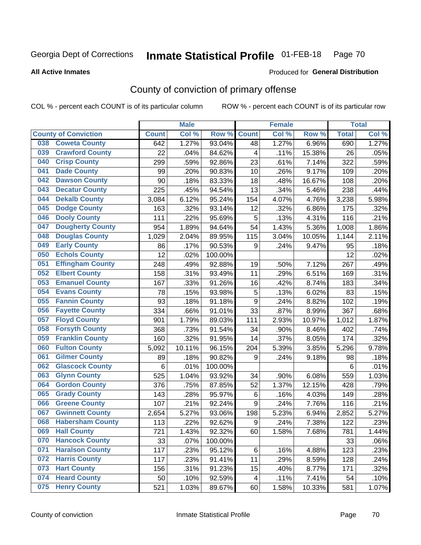### **Inmate Statistical Profile 01-FEB-18** Page 70

Produced for General Distribution

### **All Active Inmates**

# County of conviction of primary offense

COL % - percent each COUNT is of its particular column

|     |                             |              | <b>Male</b> |         |                  | <b>Female</b> |        |              | <b>Total</b> |
|-----|-----------------------------|--------------|-------------|---------|------------------|---------------|--------|--------------|--------------|
|     | <b>County of Conviction</b> | <b>Count</b> | Col %       | Row %   | <b>Count</b>     | Col%          | Row %  | <b>Total</b> | Col %        |
| 038 | <b>Coweta County</b>        | 642          | 1.27%       | 93.04%  | 48               | 1.27%         | 6.96%  | 690          | 1.27%        |
| 039 | <b>Crawford County</b>      | 22           | .04%        | 84.62%  | 4                | .11%          | 15.38% | 26           | .05%         |
| 040 | <b>Crisp County</b>         | 299          | .59%        | 92.86%  | 23               | .61%          | 7.14%  | 322          | .59%         |
| 041 | <b>Dade County</b>          | 99           | .20%        | 90.83%  | 10               | .26%          | 9.17%  | 109          | .20%         |
| 042 | <b>Dawson County</b>        | 90           | .18%        | 83.33%  | 18               | .48%          | 16.67% | 108          | .20%         |
| 043 | <b>Decatur County</b>       | 225          | .45%        | 94.54%  | 13               | .34%          | 5.46%  | 238          | .44%         |
| 044 | <b>Dekalb County</b>        | 3,084        | 6.12%       | 95.24%  | 154              | 4.07%         | 4.76%  | 3,238        | 5.98%        |
| 045 | <b>Dodge County</b>         | 163          | .32%        | 93.14%  | 12               | .32%          | 6.86%  | 175          | .32%         |
| 046 | <b>Dooly County</b>         | 111          | .22%        | 95.69%  | 5                | .13%          | 4.31%  | 116          | .21%         |
| 047 | <b>Dougherty County</b>     | 954          | 1.89%       | 94.64%  | 54               | 1.43%         | 5.36%  | 1,008        | 1.86%        |
| 048 | <b>Douglas County</b>       | 1,029        | 2.04%       | 89.95%  | 115              | 3.04%         | 10.05% | 1,144        | 2.11%        |
| 049 | <b>Early County</b>         | 86           | .17%        | 90.53%  | 9                | .24%          | 9.47%  | 95           | .18%         |
| 050 | <b>Echols County</b>        | 12           | .02%        | 100.00% |                  |               |        | 12           | .02%         |
| 051 | <b>Effingham County</b>     | 248          | .49%        | 92.88%  | 19               | .50%          | 7.12%  | 267          | .49%         |
| 052 | <b>Elbert County</b>        | 158          | .31%        | 93.49%  | 11               | .29%          | 6.51%  | 169          | .31%         |
| 053 | <b>Emanuel County</b>       | 167          | .33%        | 91.26%  | 16               | .42%          | 8.74%  | 183          | .34%         |
| 054 | <b>Evans County</b>         | 78           | .15%        | 93.98%  | $\mathbf 5$      | .13%          | 6.02%  | 83           | .15%         |
| 055 | <b>Fannin County</b>        | 93           | .18%        | 91.18%  | $\boldsymbol{9}$ | .24%          | 8.82%  | 102          | .19%         |
| 056 | <b>Fayette County</b>       | 334          | .66%        | 91.01%  | 33               | .87%          | 8.99%  | 367          | .68%         |
| 057 | <b>Floyd County</b>         | 901          | 1.79%       | 89.03%  | 111              | 2.93%         | 10.97% | 1,012        | 1.87%        |
| 058 | <b>Forsyth County</b>       | 368          | .73%        | 91.54%  | 34               | .90%          | 8.46%  | 402          | .74%         |
| 059 | <b>Franklin County</b>      | 160          | .32%        | 91.95%  | 14               | .37%          | 8.05%  | 174          | .32%         |
| 060 | <b>Fulton County</b>        | 5,092        | 10.11%      | 96.15%  | 204              | 5.39%         | 3.85%  | 5,296        | 9.78%        |
| 061 | <b>Gilmer County</b>        | 89           | .18%        | 90.82%  | 9                | .24%          | 9.18%  | 98           | .18%         |
| 062 | <b>Glascock County</b>      | 6            | .01%        | 100.00% |                  |               |        | 6            | .01%         |
| 063 | <b>Glynn County</b>         | 525          | 1.04%       | 93.92%  | 34               | .90%          | 6.08%  | 559          | 1.03%        |
| 064 | <b>Gordon County</b>        | 376          | .75%        | 87.85%  | 52               | 1.37%         | 12.15% | 428          | .79%         |
| 065 | <b>Grady County</b>         | 143          | .28%        | 95.97%  | 6                | .16%          | 4.03%  | 149          | .28%         |
| 066 | <b>Greene County</b>        | 107          | .21%        | 92.24%  | 9                | .24%          | 7.76%  | 116          | .21%         |
| 067 | <b>Gwinnett County</b>      | 2,654        | 5.27%       | 93.06%  | 198              | 5.23%         | 6.94%  | 2,852        | 5.27%        |
| 068 | <b>Habersham County</b>     | 113          | .22%        | 92.62%  | $\boldsymbol{9}$ | .24%          | 7.38%  | 122          | .23%         |
| 069 | <b>Hall County</b>          | 721          | 1.43%       | 92.32%  | 60               | 1.58%         | 7.68%  | 781          | 1.44%        |
| 070 | <b>Hancock County</b>       | 33           | .07%        | 100.00% |                  |               |        | 33           | .06%         |
| 071 | <b>Haralson County</b>      | 117          | .23%        | 95.12%  | 6                | .16%          | 4.88%  | 123          | .23%         |
| 072 | <b>Harris County</b>        | 117          | .23%        | 91.41%  | 11               | .29%          | 8.59%  | 128          | .24%         |
| 073 | <b>Hart County</b>          | 156          | .31%        | 91.23%  | 15               | .40%          | 8.77%  | 171          | .32%         |
| 074 | <b>Heard County</b>         | 50           | .10%        | 92.59%  | 4                | .11%          | 7.41%  | 54           | .10%         |
| 075 | <b>Henry County</b>         | 521          | 1.03%       | 89.67%  | 60               | 1.58%         | 10.33% | 581          | 1.07%        |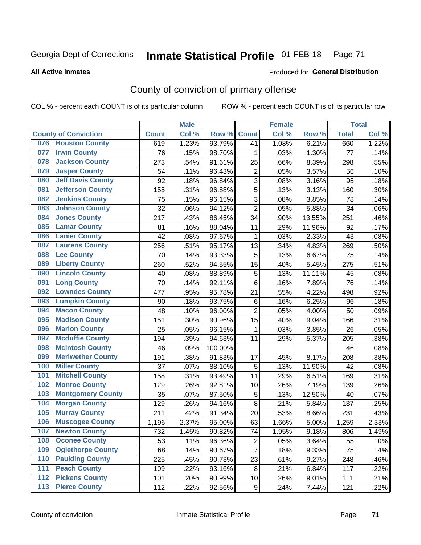### **Inmate Statistical Profile 01-FEB-18** Page 71

### **All Active Inmates**

### Produced for General Distribution

# County of conviction of primary offense

COL % - percent each COUNT is of its particular column

|       |                             |              | <b>Male</b> |         |                | <b>Female</b> |        |              | <b>Total</b> |
|-------|-----------------------------|--------------|-------------|---------|----------------|---------------|--------|--------------|--------------|
|       | <b>County of Conviction</b> | <b>Count</b> | Col %       | Row %   | <b>Count</b>   | Col %         | Row %  | <b>Total</b> | Col %        |
| 076   | <b>Houston County</b>       | 619          | 1.23%       | 93.79%  | 41             | 1.08%         | 6.21%  | 660          | 1.22%        |
| 077   | <b>Irwin County</b>         | 76           | .15%        | 98.70%  | 1              | .03%          | 1.30%  | 77           | .14%         |
| 078   | <b>Jackson County</b>       | 273          | .54%        | 91.61%  | 25             | .66%          | 8.39%  | 298          | .55%         |
| 079   | <b>Jasper County</b>        | 54           | .11%        | 96.43%  | $\overline{2}$ | .05%          | 3.57%  | 56           | .10%         |
| 080   | <b>Jeff Davis County</b>    | 92           | .18%        | 96.84%  | 3              | .08%          | 3.16%  | 95           | .18%         |
| 081   | <b>Jefferson County</b>     | 155          | .31%        | 96.88%  | 5              | .13%          | 3.13%  | 160          | .30%         |
| 082   | <b>Jenkins County</b>       | 75           | .15%        | 96.15%  | 3              | .08%          | 3.85%  | 78           | .14%         |
| 083   | <b>Johnson County</b>       | 32           | .06%        | 94.12%  | $\overline{2}$ | .05%          | 5.88%  | 34           | .06%         |
| 084   | <b>Jones County</b>         | 217          | .43%        | 86.45%  | 34             | .90%          | 13.55% | 251          | .46%         |
| 085   | <b>Lamar County</b>         | 81           | .16%        | 88.04%  | 11             | .29%          | 11.96% | 92           | .17%         |
| 086   | <b>Lanier County</b>        | 42           | .08%        | 97.67%  | 1              | .03%          | 2.33%  | 43           | .08%         |
| 087   | <b>Laurens County</b>       | 256          | .51%        | 95.17%  | 13             | .34%          | 4.83%  | 269          | .50%         |
| 088   | <b>Lee County</b>           | 70           | .14%        | 93.33%  | 5              | .13%          | 6.67%  | 75           | .14%         |
| 089   | <b>Liberty County</b>       | 260          | .52%        | 94.55%  | 15             | .40%          | 5.45%  | 275          | .51%         |
| 090   | <b>Lincoln County</b>       | 40           | .08%        | 88.89%  | $\mathbf 5$    | .13%          | 11.11% | 45           | .08%         |
| 091   | <b>Long County</b>          | 70           | .14%        | 92.11%  | 6              | .16%          | 7.89%  | 76           | .14%         |
| 092   | <b>Lowndes County</b>       | 477          | .95%        | 95.78%  | 21             | .55%          | 4.22%  | 498          | .92%         |
| 093   | <b>Lumpkin County</b>       | 90           | .18%        | 93.75%  | 6              | .16%          | 6.25%  | 96           | .18%         |
| 094   | <b>Macon County</b>         | 48           | .10%        | 96.00%  | $\overline{2}$ | .05%          | 4.00%  | 50           | .09%         |
| 095   | <b>Madison County</b>       | 151          | .30%        | 90.96%  | 15             | .40%          | 9.04%  | 166          | .31%         |
| 096   | <b>Marion County</b>        | 25           | .05%        | 96.15%  | $\mathbf 1$    | .03%          | 3.85%  | 26           | .05%         |
| 097   | <b>Mcduffie County</b>      | 194          | .39%        | 94.63%  | 11             | .29%          | 5.37%  | 205          | .38%         |
| 098   | <b>Mcintosh County</b>      | 46           | .09%        | 100.00% |                |               |        | 46           | .08%         |
| 099   | <b>Meriwether County</b>    | 191          | .38%        | 91.83%  | 17             | .45%          | 8.17%  | 208          | .38%         |
| 100   | <b>Miller County</b>        | 37           | .07%        | 88.10%  | $\mathbf 5$    | .13%          | 11.90% | 42           | .08%         |
| 101   | <b>Mitchell County</b>      | 158          | .31%        | 93.49%  | 11             | .29%          | 6.51%  | 169          | .31%         |
| 102   | <b>Monroe County</b>        | 129          | .26%        | 92.81%  | 10             | .26%          | 7.19%  | 139          | .26%         |
| 103   | <b>Montgomery County</b>    | 35           | .07%        | 87.50%  | 5              | .13%          | 12.50% | 40           | .07%         |
| 104   | <b>Morgan County</b>        | 129          | .26%        | 94.16%  | 8              | .21%          | 5.84%  | 137          | .25%         |
| 105   | <b>Murray County</b>        | 211          | .42%        | 91.34%  | 20             | .53%          | 8.66%  | 231          | .43%         |
| 106   | <b>Muscogee County</b>      | 1,196        | 2.37%       | 95.00%  | 63             | 1.66%         | 5.00%  | 1,259        | 2.33%        |
| 107   | <b>Newton County</b>        | 732          | 1.45%       | 90.82%  | 74             | 1.95%         | 9.18%  | 806          | 1.49%        |
| 108   | <b>Oconee County</b>        | 53           | .11%        | 96.36%  | $\overline{2}$ | .05%          | 3.64%  | 55           | .10%         |
| 109   | <b>Oglethorpe County</b>    | 68           | .14%        | 90.67%  | $\overline{7}$ | .18%          | 9.33%  | 75           | .14%         |
| 110   | <b>Paulding County</b>      | 225          | .45%        | 90.73%  | 23             | .61%          | 9.27%  | 248          | .46%         |
| 111   | <b>Peach County</b>         | 109          | .22%        | 93.16%  | 8              | .21%          | 6.84%  | 117          | .22%         |
| 112   | <b>Pickens County</b>       | 101          | .20%        | 90.99%  | 10             | .26%          | 9.01%  | 111          | .21%         |
| $113$ | <b>Pierce County</b>        | 112          | .22%        | 92.56%  | 9              | .24%          | 7.44%  | 121          | .22%         |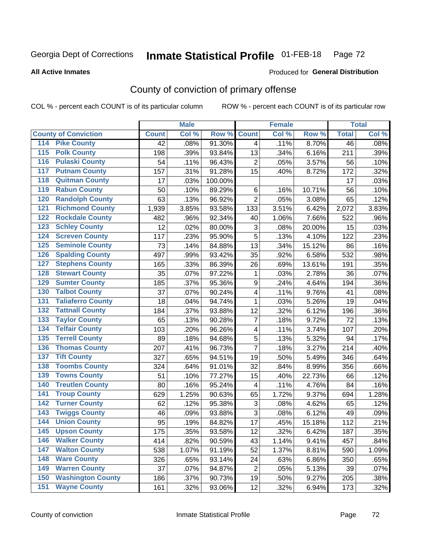### **Inmate Statistical Profile 01-FEB-18** Page 72

Produced for General Distribution

### **All Active Inmates**

# County of conviction of primary offense

COL % - percent each COUNT is of its particular column

|                                          |              | <b>Male</b> |         |                          | <b>Female</b> |        | <b>Total</b> |       |
|------------------------------------------|--------------|-------------|---------|--------------------------|---------------|--------|--------------|-------|
| <b>County of Conviction</b>              | <b>Count</b> | Col %       | Row %   | <b>Count</b>             | Col %         | Row %  | <b>Total</b> | Col % |
| 114 Pike County                          | 42           | .08%        | 91.30%  | $\overline{4}$           | .11%          | 8.70%  | 46           | .08%  |
| <b>Polk County</b><br>$\overline{115}$   | 198          | .39%        | 93.84%  | 13                       | .34%          | 6.16%  | 211          | .39%  |
| <b>Pulaski County</b><br>116             | 54           | .11%        | 96.43%  | $\overline{2}$           | .05%          | 3.57%  | 56           | .10%  |
| <b>Putnam County</b><br>117              | 157          | .31%        | 91.28%  | 15                       | .40%          | 8.72%  | 172          | .32%  |
| <b>Quitman County</b><br>118             | 17           | .03%        | 100.00% |                          |               |        | 17           | .03%  |
| <b>Rabun County</b><br>119               | 50           | .10%        | 89.29%  | 6                        | .16%          | 10.71% | 56           | .10%  |
| <b>Randolph County</b><br>120            | 63           | .13%        | 96.92%  | $\overline{2}$           | .05%          | 3.08%  | 65           | .12%  |
| <b>Richmond County</b><br>121            | 1,939        | 3.85%       | 93.58%  | 133                      | 3.51%         | 6.42%  | 2,072        | 3.83% |
| <b>Rockdale County</b><br>122            | 482          | .96%        | 92.34%  | 40                       | 1.06%         | 7.66%  | 522          | .96%  |
| <b>Schley County</b><br>123              | 12           | .02%        | 80.00%  | 3                        | .08%          | 20.00% | 15           | .03%  |
| <b>Screven County</b><br>124             | 117          | .23%        | 95.90%  | 5                        | .13%          | 4.10%  | 122          | .23%  |
| <b>Seminole County</b><br>125            | 73           | .14%        | 84.88%  | 13                       | .34%          | 15.12% | 86           | .16%  |
| 126<br><b>Spalding County</b>            | 497          | .99%        | 93.42%  | 35                       | .92%          | 6.58%  | 532          | .98%  |
| <b>Stephens County</b><br>127            | 165          | .33%        | 86.39%  | 26                       | .69%          | 13.61% | 191          | .35%  |
| <b>Stewart County</b><br>128             | 35           | .07%        | 97.22%  | $\mathbf{1}$             | .03%          | 2.78%  | 36           | .07%  |
| <b>Sumter County</b><br>129              | 185          | .37%        | 95.36%  | 9                        | .24%          | 4.64%  | 194          | .36%  |
| <b>Talbot County</b><br>130              | 37           | .07%        | 90.24%  | $\overline{\mathbf{4}}$  | .11%          | 9.76%  | 41           | .08%  |
| <b>Taliaferro County</b><br>131          | 18           | .04%        | 94.74%  | $\mathbf{1}$             | .03%          | 5.26%  | 19           | .04%  |
| <b>Tattnall County</b><br>132            | 184          | .37%        | 93.88%  | 12                       | .32%          | 6.12%  | 196          | .36%  |
| <b>Taylor County</b><br>133              | 65           | .13%        | 90.28%  | $\overline{7}$           | .18%          | 9.72%  | 72           | .13%  |
| <b>Telfair County</b><br>134             | 103          | .20%        | 96.26%  | $\overline{\mathbf{4}}$  | .11%          | 3.74%  | 107          | .20%  |
| <b>Terrell County</b><br>135             | 89           | .18%        | 94.68%  | 5                        | .13%          | 5.32%  | 94           | .17%  |
| <b>Thomas County</b><br>136              | 207          | .41%        | 96.73%  | $\overline{7}$           | .18%          | 3.27%  | 214          | .40%  |
| <b>Tift County</b><br>137                | 327          | .65%        | 94.51%  | 19                       | .50%          | 5.49%  | 346          | .64%  |
| <b>Toombs County</b><br>138              | 324          | .64%        | 91.01%  | 32                       | .84%          | 8.99%  | 356          | .66%  |
| <b>Towns County</b><br>139               | 51           | .10%        | 77.27%  | 15                       | .40%          | 22.73% | 66           | .12%  |
| <b>Treutlen County</b><br>140            | 80           | .16%        | 95.24%  | $\overline{\mathcal{A}}$ | .11%          | 4.76%  | 84           | .16%  |
| <b>Troup County</b><br>141               | 629          | 1.25%       | 90.63%  | 65                       | 1.72%         | 9.37%  | 694          | 1.28% |
| <b>Turner County</b><br>142              | 62           | .12%        | 95.38%  | 3                        | .08%          | 4.62%  | 65           | .12%  |
| <b>Twiggs County</b><br>$\overline{143}$ | 46           | .09%        | 93.88%  | 3                        | .08%          | 6.12%  | 49           | .09%  |
| <b>Union County</b><br>144               | 95           | .19%        | 84.82%  | 17                       | .45%          | 15.18% | 112          | .21%  |
| 145<br><b>Upson County</b>               | 175          | .35%        | 93.58%  | 12                       | .32%          | 6.42%  | 187          | .35%  |
| <b>Walker County</b><br>146              | 414          | .82%        | 90.59%  | 43                       | 1.14%         | 9.41%  | 457          | .84%  |
| <b>Walton County</b><br>147              | 538          | 1.07%       | 91.19%  | 52                       | 1.37%         | 8.81%  | 590          | 1.09% |
| <b>Ware County</b><br>148                | 326          | .65%        | 93.14%  | 24                       | .63%          | 6.86%  | 350          | .65%  |
| <b>Warren County</b><br>149              | 37           | .07%        | 94.87%  | $\overline{2}$           | .05%          | 5.13%  | 39           | .07%  |
| <b>Washington County</b><br>150          | 186          | .37%        | 90.73%  | 19                       | .50%          | 9.27%  | 205          | .38%  |
| <b>Wayne County</b><br>151               | 161          | .32%        | 93.06%  | 12                       | .32%          | 6.94%  | 173          | .32%  |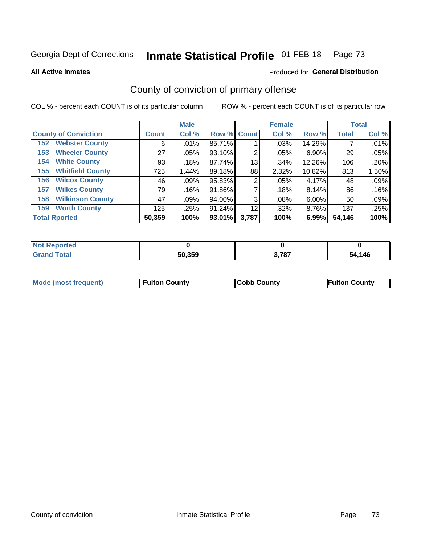### **Inmate Statistical Profile 01-FEB-18** Page 73

**All Active Inmates** 

## Produced for General Distribution

# County of conviction of primary offense

COL % - percent each COUNT is of its particular column

|                                |              | <b>Male</b> |             |       | <b>Female</b> |          |              | <b>Total</b> |
|--------------------------------|--------------|-------------|-------------|-------|---------------|----------|--------------|--------------|
| <b>County of Conviction</b>    | <b>Count</b> | Col %       | Row % Count |       | Col %         | Row %    | <b>Total</b> | Col %        |
| <b>Webster County</b><br>152   | 6            | .01%        | 85.71%      |       | .03%          | 14.29%   |              | .01%         |
| <b>Wheeler County</b><br>153   | 27           | $.05\%$     | 93.10%      | 2     | .05%          | $6.90\%$ | 29           | .05%         |
| <b>White County</b><br>154     | 93           | .18%        | 87.74%      | 13    | .34%          | 12.26%   | 106          | .20%         |
| <b>Whitfield County</b><br>155 | 725          | 1.44%       | 89.18%      | 88    | 2.32%         | 10.82%   | 813          | 1.50%        |
| <b>Wilcox County</b><br>156    | 46           | $.09\%$     | 95.83%      | 2     | .05%          | 4.17%    | 48           | .09%         |
| <b>Wilkes County</b><br>157    | 79           | .16%        | 91.86%      |       | .18%          | 8.14%    | 86           | .16%         |
| <b>Wilkinson County</b><br>158 | 47           | .09%        | 94.00%      | 3     | .08%          | 6.00%    | 50           | .09%         |
| <b>Worth County</b><br>159     | 125          | .25%        | 91.24%      | 12    | .32%          | 8.76%    | 137          | .25%         |
| <b>Total Rported</b>           | 50,359       | 100%        | 93.01%      | 3,787 | 100%          | 6.99%    | 54,146       | 100%         |

| <b>Not Reported</b> |        |       |        |
|---------------------|--------|-------|--------|
| <b>Grand Total</b>  | 50,359 | 3,787 | 54,146 |

| Mode (most frequent) | <b>Fulton County</b> | <b>Cobb County</b> | <b>Fulton County</b> |
|----------------------|----------------------|--------------------|----------------------|
|                      |                      |                    |                      |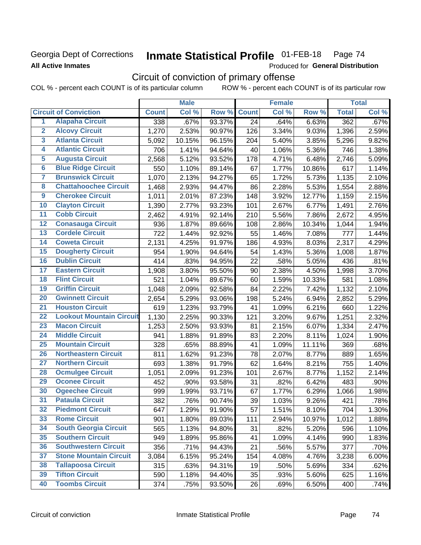## Georgia Dept of Corrections **All Active Inmates**

### Inmate Statistical Profile 01-FEB-18 Page 74

Produced for General Distribution

# Circuit of conviction of primary offense

COL % - percent each COUNT is of its particular column ROW % - percent each COUNT is of its particular row

|                         |                                 |              | <b>Male</b> |        |              | <b>Female</b> |        |              | <b>Total</b> |
|-------------------------|---------------------------------|--------------|-------------|--------|--------------|---------------|--------|--------------|--------------|
|                         | <b>Circuit of Conviction</b>    | <b>Count</b> | Col %       | Row %  | <b>Count</b> | Col %         | Row %  | <b>Total</b> | Col %        |
| 1                       | <b>Alapaha Circuit</b>          | 338          | .67%        | 93.37% | 24           | .64%          | 6.63%  | 362          | .67%         |
| $\overline{2}$          | <b>Alcovy Circuit</b>           | 1,270        | 2.53%       | 90.97% | 126          | 3.34%         | 9.03%  | 1,396        | 2.59%        |
| $\overline{\mathbf{3}}$ | <b>Atlanta Circuit</b>          | 5,092        | 10.15%      | 96.15% | 204          | 5.40%         | 3.85%  | 5,296        | 9.82%        |
| 4                       | <b>Atlantic Circuit</b>         | 706          | 1.41%       | 94.64% | 40           | 1.06%         | 5.36%  | 746          | 1.38%        |
| 5                       | <b>Augusta Circuit</b>          | 2,568        | 5.12%       | 93.52% | 178          | 4.71%         | 6.48%  | 2,746        | 5.09%        |
| $\overline{6}$          | <b>Blue Ridge Circuit</b>       | 550          | 1.10%       | 89.14% | 67           | 1.77%         | 10.86% | 617          | 1.14%        |
| $\overline{\mathbf{7}}$ | <b>Brunswick Circuit</b>        | 1,070        | 2.13%       | 94.27% | 65           | 1.72%         | 5.73%  | 1,135        | 2.10%        |
| $\overline{\mathbf{8}}$ | <b>Chattahoochee Circuit</b>    | 1,468        | 2.93%       | 94.47% | 86           | 2.28%         | 5.53%  | 1,554        | 2.88%        |
| $\overline{9}$          | <b>Cherokee Circuit</b>         | 1,011        | 2.01%       | 87.23% | 148          | 3.92%         | 12.77% | 1,159        | 2.15%        |
| 10                      | <b>Clayton Circuit</b>          | 1,390        | 2.77%       | 93.23% | 101          | 2.67%         | 6.77%  | 1,491        | 2.76%        |
| $\overline{11}$         | <b>Cobb Circuit</b>             | 2,462        | 4.91%       | 92.14% | 210          | 5.56%         | 7.86%  | 2,672        | 4.95%        |
| $\overline{12}$         | <b>Conasauga Circuit</b>        | 936          | 1.87%       | 89.66% | 108          | 2.86%         | 10.34% | 1,044        | 1.94%        |
| 13                      | <b>Cordele Circuit</b>          | 722          | 1.44%       | 92.92% | 55           | 1.46%         | 7.08%  | 777          | 1.44%        |
| 14                      | <b>Coweta Circuit</b>           | 2,131        | 4.25%       | 91.97% | 186          | 4.93%         | 8.03%  | 2,317        | 4.29%        |
| 15                      | <b>Dougherty Circuit</b>        | 954          | 1.90%       | 94.64% | 54           | 1.43%         | 5.36%  | 1,008        | 1.87%        |
| 16                      | <b>Dublin Circuit</b>           | 414          | .83%        | 94.95% | 22           | .58%          | 5.05%  | 436          | .81%         |
| 17                      | <b>Eastern Circuit</b>          | 1,908        | 3.80%       | 95.50% | 90           | 2.38%         | 4.50%  | 1,998        | 3.70%        |
| 18                      | <b>Flint Circuit</b>            | 521          | 1.04%       | 89.67% | 60           | 1.59%         | 10.33% | 581          | 1.08%        |
| 19                      | <b>Griffin Circuit</b>          | 1,048        | 2.09%       | 92.58% | 84           | 2.22%         | 7.42%  | 1,132        | 2.10%        |
| $\overline{20}$         | <b>Gwinnett Circuit</b>         | 2,654        | 5.29%       | 93.06% | 198          | 5.24%         | 6.94%  | 2,852        | 5.29%        |
| $\overline{21}$         | <b>Houston Circuit</b>          | 619          | 1.23%       | 93.79% | 41           | 1.09%         | 6.21%  | 660          | 1.22%        |
| $\overline{22}$         | <b>Lookout Mountain Circuit</b> | 1,130        | 2.25%       | 90.33% | 121          | 3.20%         | 9.67%  | 1,251        | 2.32%        |
| 23                      | <b>Macon Circuit</b>            | 1,253        | 2.50%       | 93.93% | 81           | 2.15%         | 6.07%  | 1,334        | 2.47%        |
| $\overline{24}$         | <b>Middle Circuit</b>           | 941          | 1.88%       | 91.89% | 83           | 2.20%         | 8.11%  | 1,024        | 1.90%        |
| 25                      | <b>Mountain Circuit</b>         | 328          | .65%        | 88.89% | 41           | 1.09%         | 11.11% | 369          | .68%         |
| 26                      | <b>Northeastern Circuit</b>     | 811          | 1.62%       | 91.23% | 78           | 2.07%         | 8.77%  | 889          | 1.65%        |
| $\overline{27}$         | <b>Northern Circuit</b>         | 693          | 1.38%       | 91.79% | 62           | 1.64%         | 8.21%  | 755          | 1.40%        |
| 28                      | <b>Ocmulgee Circuit</b>         | 1,051        | 2.09%       | 91.23% | 101          | 2.67%         | 8.77%  | 1,152        | 2.14%        |
| 29                      | <b>Oconee Circuit</b>           | 452          | .90%        | 93.58% | 31           | .82%          | 6.42%  | 483          | .90%         |
| 30                      | <b>Ogeechee Circuit</b>         | 999          | 1.99%       | 93.71% | 67           | 1.77%         | 6.29%  | 1,066        | 1.98%        |
| $\overline{31}$         | <b>Pataula Circuit</b>          | 382          | .76%        | 90.74% | 39           | 1.03%         | 9.26%  | 421          | .78%         |
| 32                      | <b>Piedmont Circuit</b>         | 647          | 1.29%       | 91.90% | 57           | 1.51%         | 8.10%  | 704          | 1.30%        |
| 33                      | <b>Rome Circuit</b>             | 901          | 1.80%       | 89.03% | 111          | 2.94%         | 10.97% | 1,012        | 1.88%        |
| 34                      | <b>South Georgia Circuit</b>    | 565          | 1.13%       | 94.80% | 31           | .82%          | 5.20%  | 596          | 1.10%        |
| 35                      | <b>Southern Circuit</b>         | 949          | 1.89%       | 95.86% | 41           | 1.09%         | 4.14%  | 990          | 1.83%        |
| 36                      | <b>Southwestern Circuit</b>     | 356          | .71%        | 94.43% | 21           | .56%          | 5.57%  | 377          | .70%         |
| 37                      | <b>Stone Mountain Circuit</b>   | 3,084        | 6.15%       | 95.24% | 154          | 4.08%         | 4.76%  | 3,238        | 6.00%        |
| 38                      | <b>Tallapoosa Circuit</b>       | 315          | .63%        | 94.31% | 19           | .50%          | 5.69%  | 334          | .62%         |
| 39                      | <b>Tifton Circuit</b>           | 590          | 1.18%       | 94.40% | 35           | .93%          | 5.60%  | 625          | 1.16%        |
| 40                      | <b>Toombs Circuit</b>           | 374          | .75%        | 93.50% | 26           | .69%          | 6.50%  | 400          | .74%         |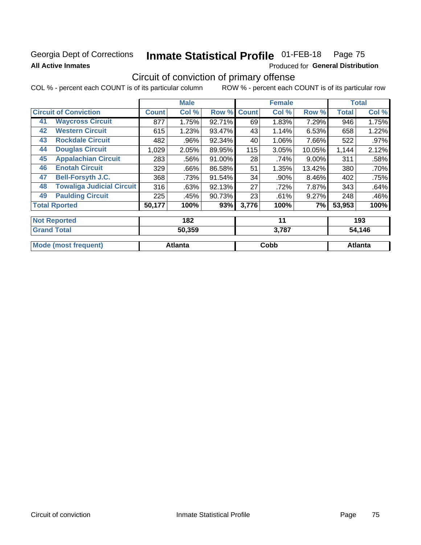# Georgia Dept of Corrections **All Active Inmates**

### Inmate Statistical Profile 01-FEB-18 Page 75

Produced for General Distribution

# Circuit of conviction of primary offense

COL % - percent each COUNT is of its particular column ROW % - percent each COUNT is of its particular row

|                                       |                                  |        | <b>Male</b> |        |              | <b>Female</b> |          |              | <b>Total</b> |
|---------------------------------------|----------------------------------|--------|-------------|--------|--------------|---------------|----------|--------------|--------------|
|                                       | <b>Circuit of Conviction</b>     |        | Col %       | Row %  | <b>Count</b> | Col %         | Row %    | <b>Total</b> | Col %        |
| 41                                    | <b>Waycross Circuit</b>          | 877    | 1.75%       | 92.71% | 69           | 1.83%         | 7.29%    | 946          | 1.75%        |
| 42                                    | <b>Western Circuit</b>           | 615    | 1.23%       | 93.47% | 43           | 1.14%         | 6.53%    | 658          | 1.22%        |
| 43                                    | <b>Rockdale Circuit</b>          | 482    | .96%        | 92.34% | 40           | 1.06%         | 7.66%    | 522          | .97%         |
| 44                                    | <b>Douglas Circuit</b>           | 1,029  | 2.05%       | 89.95% | 115          | 3.05%         | 10.05%   | 1,144        | 2.12%        |
| 45                                    | <b>Appalachian Circuit</b>       | 283    | .56%        | 91.00% | 28           | .74%          | $9.00\%$ | 311          | .58%         |
| 46                                    | <b>Enotah Circuit</b>            | 329    | .66%        | 86.58% | 51           | 1.35%         | 13.42%   | 380          | .70%         |
| 47                                    | <b>Bell-Forsyth J.C.</b>         | 368    | .73%        | 91.54% | 34           | .90%          | $8.46\%$ | 402          | .75%         |
| 48                                    | <b>Towaliga Judicial Circuit</b> | 316    | .63%        | 92.13% | 27           | .72%          | 7.87%    | 343          | .64%         |
| 49                                    | <b>Paulding Circuit</b>          | 225    | .45%        | 90.73% | 23           | .61%          | 9.27%    | 248          | .46%         |
|                                       | <b>Total Rported</b>             | 50,177 | 100%        | 93%    | 3,776        | 100%          | 7%       | 53,953       | 100%         |
|                                       | <b>Not Reported</b>              |        | 182         |        |              | 11            |          |              | 193          |
|                                       |                                  |        |             |        |              |               |          |              | 54,146       |
| <b>Grand Total</b><br>50,359<br>3,787 |                                  |        |             |        |              |               |          |              |              |

| Mode (most f<br>frequent) | <b>Atlanta</b> | <b>Copp</b> | Atlanta |
|---------------------------|----------------|-------------|---------|
|                           |                |             |         |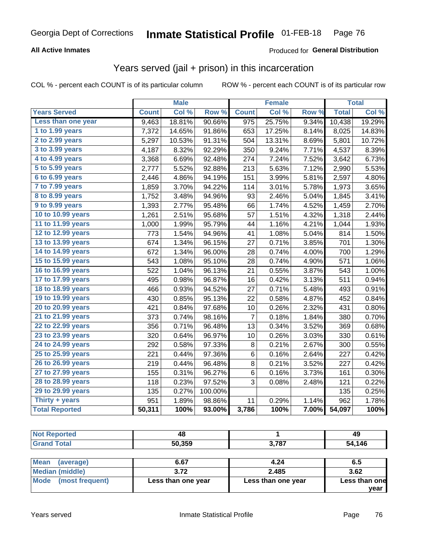#### **All Active Inmates**

#### Produced for **General Distribution**

### Years served (jail + prison) in this incarceration

|                       |              | <b>Male</b> |         |              | <b>Female</b> |                  |              | <b>Total</b> |
|-----------------------|--------------|-------------|---------|--------------|---------------|------------------|--------------|--------------|
| <b>Years Served</b>   | <b>Count</b> | Col %       | Row %   | <b>Count</b> | Col %         | Row <sub>%</sub> | <b>Total</b> | Col %        |
| Less than one year    | 9,463        | 18.81%      | 90.66%  | 975          | 25.75%        | 9.34%            | 10,438       | 19.29%       |
| 1 to 1.99 years       | 7,372        | 14.65%      | 91.86%  | 653          | 17.25%        | 8.14%            | 8,025        | 14.83%       |
| 2 to 2.99 years       | 5,297        | 10.53%      | 91.31%  | 504          | 13.31%        | 8.69%            | 5,801        | 10.72%       |
| 3 to 3.99 years       | 4,187        | 8.32%       | 92.29%  | 350          | 9.24%         | 7.71%            | 4,537        | 8.39%        |
| 4 to 4.99 years       | 3,368        | 6.69%       | 92.48%  | 274          | 7.24%         | 7.52%            | 3,642        | 6.73%        |
| 5 to 5.99 years       | 2,777        | 5.52%       | 92.88%  | 213          | 5.63%         | 7.12%            | 2,990        | 5.53%        |
| 6 to 6.99 years       | 2,446        | 4.86%       | 94.19%  | 151          | 3.99%         | 5.81%            | 2,597        | 4.80%        |
| 7 to 7.99 years       | 1,859        | 3.70%       | 94.22%  | 114          | 3.01%         | 5.78%            | 1,973        | 3.65%        |
| 8 to 8.99 years       | 1,752        | 3.48%       | 94.96%  | 93           | 2.46%         | 5.04%            | 1,845        | 3.41%        |
| 9 to 9.99 years       | 1,393        | 2.77%       | 95.48%  | 66           | 1.74%         | 4.52%            | 1,459        | 2.70%        |
| 10 to 10.99 years     | 1,261        | 2.51%       | 95.68%  | 57           | 1.51%         | 4.32%            | 1,318        | 2.44%        |
| 11 to 11.99 years     | 1,000        | 1.99%       | 95.79%  | 44           | 1.16%         | 4.21%            | 1,044        | 1.93%        |
| 12 to 12.99 years     | 773          | 1.54%       | 94.96%  | 41           | 1.08%         | 5.04%            | 814          | 1.50%        |
| 13 to 13.99 years     | 674          | 1.34%       | 96.15%  | 27           | 0.71%         | 3.85%            | 701          | 1.30%        |
| 14 to 14.99 years     | 672          | 1.34%       | 96.00%  | 28           | 0.74%         | 4.00%            | 700          | 1.29%        |
| 15 to 15.99 years     | 543          | 1.08%       | 95.10%  | 28           | 0.74%         | 4.90%            | 571          | 1.06%        |
| 16 to 16.99 years     | 522          | 1.04%       | 96.13%  | 21           | 0.55%         | 3.87%            | 543          | 1.00%        |
| 17 to 17.99 years     | 495          | 0.98%       | 96.87%  | 16           | 0.42%         | 3.13%            | 511          | 0.94%        |
| 18 to 18.99 years     | 466          | 0.93%       | 94.52%  | 27           | 0.71%         | 5.48%            | 493          | 0.91%        |
| 19 to 19.99 years     | 430          | 0.85%       | 95.13%  | 22           | 0.58%         | 4.87%            | 452          | 0.84%        |
| 20 to 20.99 years     | 421          | 0.84%       | 97.68%  | 10           | 0.26%         | 2.32%            | 431          | 0.80%        |
| 21 to 21.99 years     | 373          | 0.74%       | 98.16%  | 7            | 0.18%         | 1.84%            | 380          | 0.70%        |
| 22 to 22.99 years     | 356          | 0.71%       | 96.48%  | 13           | 0.34%         | 3.52%            | 369          | 0.68%        |
| 23 to 23.99 years     | 320          | 0.64%       | 96.97%  | 10           | 0.26%         | 3.03%            | 330          | 0.61%        |
| 24 to 24.99 years     | 292          | 0.58%       | 97.33%  | $\bf 8$      | 0.21%         | 2.67%            | 300          | 0.55%        |
| 25 to 25.99 years     | 221          | 0.44%       | 97.36%  | 6            | 0.16%         | 2.64%            | 227          | 0.42%        |
| 26 to 26.99 years     | 219          | 0.44%       | 96.48%  | $\bf 8$      | 0.21%         | 3.52%            | 227          | 0.42%        |
| 27 to 27.99 years     | 155          | 0.31%       | 96.27%  | $\,6$        | 0.16%         | 3.73%            | 161          | 0.30%        |
| 28 to 28.99 years     | 118          | 0.23%       | 97.52%  | 3            | 0.08%         | 2.48%            | 121          | 0.22%        |
| 29 to 29.99 years     | 135          | 0.27%       | 100.00% |              |               |                  | 135          | 0.25%        |
| Thirty + years        | 951          | 1.89%       | 98.86%  | 11           | 0.29%         | 1.14%            | 962          | 1.78%        |
| <b>Total Reported</b> | 50,311       | 100%        | 93.00%  | 3,786        | 100%          | 7.00%            | 54,097       | 100%         |

| тч     |             | 49        |
|--------|-------------|-----------|
| 50.359 | 2.707<br>וש | 146<br>54 |

| <b>Mean</b><br>(average) | 6.67               | 4.24               | 6.5           |
|--------------------------|--------------------|--------------------|---------------|
| Median (middle)          | 3.72               | 2.485              | 3.62          |
| Mode (most frequent)     | Less than one year | Less than one year | Less than one |
|                          |                    |                    | vear          |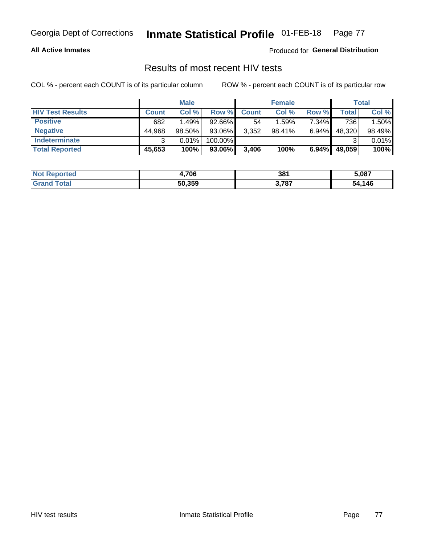#### **All Active Inmates**

Produced for **General Distribution**

### Results of most recent HIV tests

|                         |              | <b>Male</b> |         |              | <b>Female</b> |          |        | Total  |
|-------------------------|--------------|-------------|---------|--------------|---------------|----------|--------|--------|
| <b>HIV Test Results</b> | <b>Count</b> | Col %       | Row %I  | <b>Count</b> | Col %         | Row %    | Total  | Col %  |
| <b>Positive</b>         | 682          | 1.49%       | 92.66%  | 54           | 1.59%         | 7.34%    | 736    | 1.50%  |
| <b>Negative</b>         | 44,968       | $98.50\%$   | 93.06%  | 3,352        | $98.41\%$     | $6.94\%$ | 48,320 | 98.49% |
| Indeterminate           | າ            | 0.01%       | 100.00% |              |               |          |        | 0.01%  |
| <b>Total Reported</b>   | 45,653       | 100%        | 93.06%  | 3,406        | 100%          | $6.94\%$ | 49,059 | 100%   |

| <b>Not Reported</b> | 4,706  | 381   | 5,087       |
|---------------------|--------|-------|-------------|
| ™otai               | 50,359 | 3,787 | ,146<br>-54 |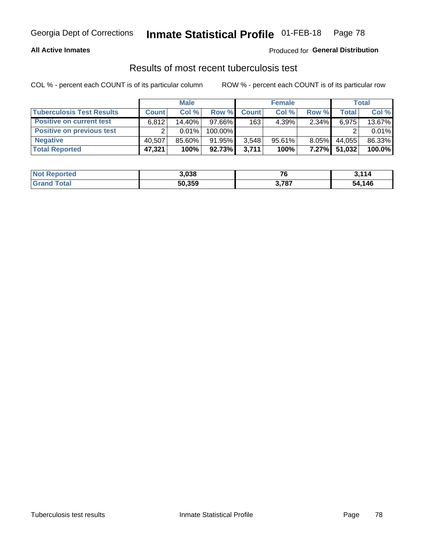#### **All Active Inmates**

#### Produced for **General Distribution**

### Results of most recent tuberculosis test

|                                  |              | <b>Male</b> |           |              | <b>Female</b> |          |        | Total  |
|----------------------------------|--------------|-------------|-----------|--------------|---------------|----------|--------|--------|
| <b>Tuberculosis Test Results</b> | <b>Count</b> | Col%        | Row %I    | <b>Count</b> | Col%          | Row %    | Total  | Col %  |
| <b>Positive on current test</b>  | 6.812        | 14.40%      | $97.66\%$ | 163          | 4.39%         | $2.34\%$ | 6,975  | 13.67% |
| <b>Positive on previous test</b> | ົ            | $0.01\%$    | 100.00%   |              |               |          |        | 0.01%  |
| <b>Negative</b>                  | 40.507       | 85.60%      | 91.95%    | 3,548        | $95.61\%$     | $8.05\%$ | 44,055 | 86.33% |
| <b>Total Reported</b>            | 47,321       | 100%        | 92.73%    | 3,711        | 100%          | $7.27\%$ | 51,032 | 100.0% |

| <b>Not Reported</b> | 3,038  | 76    | 3.114  |
|---------------------|--------|-------|--------|
| <b>Total</b>        | 50,359 | 3,787 | 54,146 |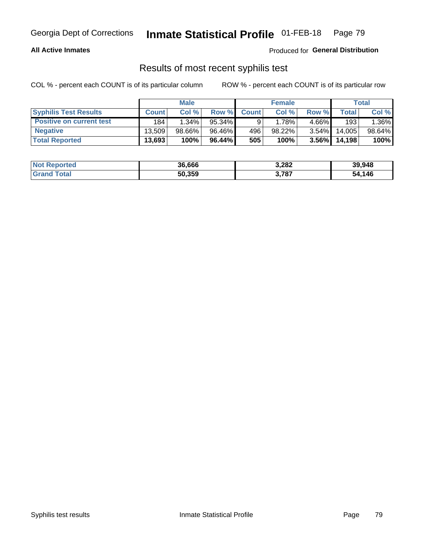#### **All Active Inmates**

Produced for **General Distribution**

### Results of most recent syphilis test

|                                 |              | <b>Male</b> |           |              | <b>Female</b> |          |        | Total  |
|---------------------------------|--------------|-------------|-----------|--------------|---------------|----------|--------|--------|
| <b>Syphilis Test Results</b>    | <b>Count</b> | Col %       | Row %     | <b>Count</b> | Col %         | Row %    | Total  | Col %  |
| <b>Positive on current test</b> | 184          | $1.34\%$    | $95.34\%$ |              | 1.78%         | $4.66\%$ | 193    | 1.36%  |
| <b>Negative</b>                 | 13.509       | $98.66\%$   | 96.46%    | 496          | 98.22%        | $3.54\%$ | 14.005 | 98.64% |
| <b>Total Reported</b>           | 13,693       | 100%        | 96.44%    | 505          | 100%          | $3.56\%$ | 14,198 | 100%   |

| <b>Not Reported</b> | 36,666 | 3,282 | 39,948 |
|---------------------|--------|-------|--------|
| <b>Grand Total</b>  | 50,359 | 3,787 | 54,146 |